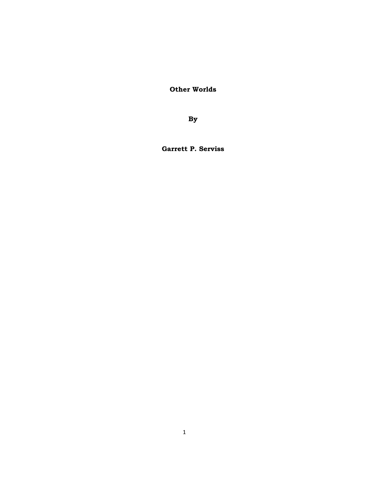**Other Worlds** 

**By** 

**Garrett P. Serviss**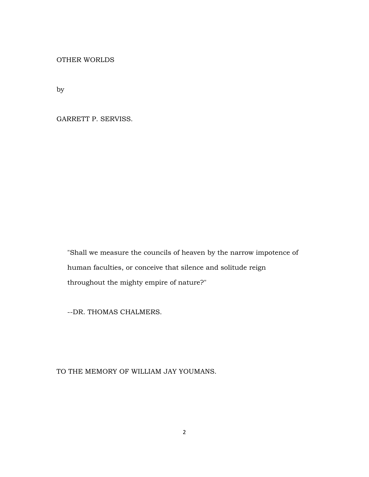OTHER WORLDS

by

GARRETT P. SERVISS.

 "Shall we measure the councils of heaven by the narrow impotence of human faculties, or conceive that silence and solitude reign throughout the mighty empire of nature?"

--DR. THOMAS CHALMERS.

# TO THE MEMORY OF WILLIAM JAY YOUMANS.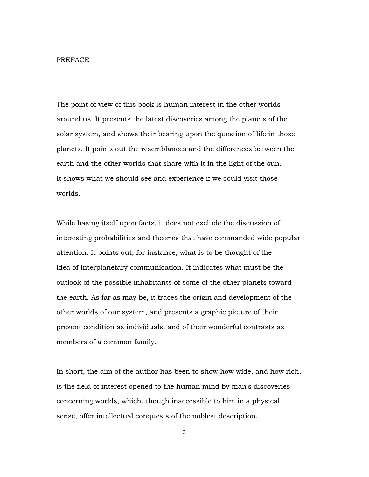#### PREFACE

The point of view of this book is human interest in the other worlds around us. It presents the latest discoveries among the planets of the solar system, and shows their bearing upon the question of life in those planets. It points out the resemblances and the differences between the earth and the other worlds that share with it in the light of the sun. It shows what we should see and experience if we could visit those worlds.

While basing itself upon facts, it does not exclude the discussion of interesting probabilities and theories that have commanded wide popular attention. It points out, for instance, what is to be thought of the idea of interplanetary communication. It indicates what must be the outlook of the possible inhabitants of some of the other planets toward the earth. As far as may be, it traces the origin and development of the other worlds of our system, and presents a graphic picture of their present condition as individuals, and of their wonderful contrasts as members of a common family.

In short, the aim of the author has been to show how wide, and how rich, is the field of interest opened to the human mind by man's discoveries concerning worlds, which, though inaccessible to him in a physical sense, offer intellectual conquests of the noblest description.

3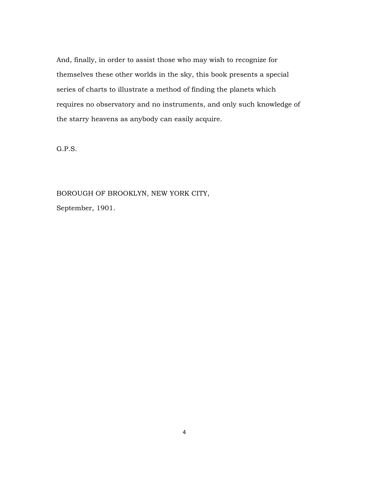And, finally, in order to assist those who may wish to recognize for themselves these other worlds in the sky, this book presents a special series of charts to illustrate a method of finding the planets which requires no observatory and no instruments, and only such knowledge of the starry heavens as anybody can easily acquire.

G.P.S.

BOROUGH OF BROOKLYN, NEW YORK CITY, September, 1901.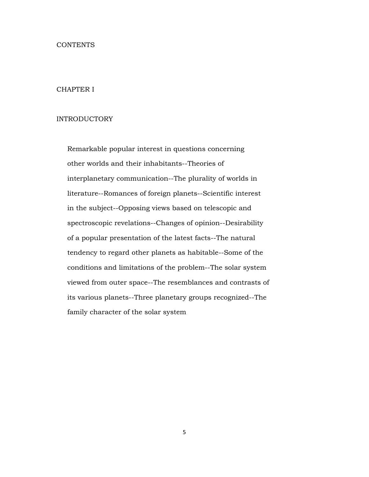#### CONTENTS

## CHAPTER I

## INTRODUCTORY

 Remarkable popular interest in questions concerning other worlds and their inhabitants--Theories of interplanetary communication--The plurality of worlds in literature--Romances of foreign planets--Scientific interest in the subject--Opposing views based on telescopic and spectroscopic revelations--Changes of opinion--Desirability of a popular presentation of the latest facts--The natural tendency to regard other planets as habitable--Some of the conditions and limitations of the problem--The solar system viewed from outer space--The resemblances and contrasts of its various planets--Three planetary groups recognized--The family character of the solar system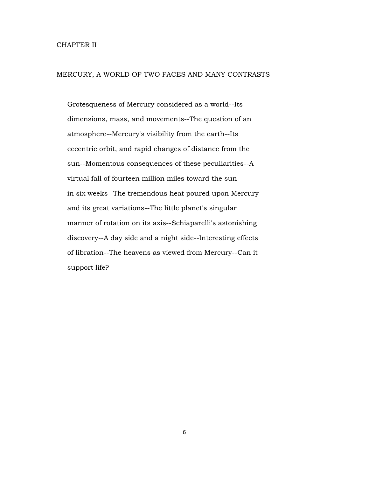## CHAPTER II

# MERCURY, A WORLD OF TWO FACES AND MANY CONTRASTS

 Grotesqueness of Mercury considered as a world--Its dimensions, mass, and movements--The question of an atmosphere--Mercury's visibility from the earth--Its eccentric orbit, and rapid changes of distance from the sun--Momentous consequences of these peculiarities--A virtual fall of fourteen million miles toward the sun in six weeks--The tremendous heat poured upon Mercury and its great variations--The little planet's singular manner of rotation on its axis--Schiaparelli's astonishing discovery--A day side and a night side--Interesting effects of libration--The heavens as viewed from Mercury--Can it support life?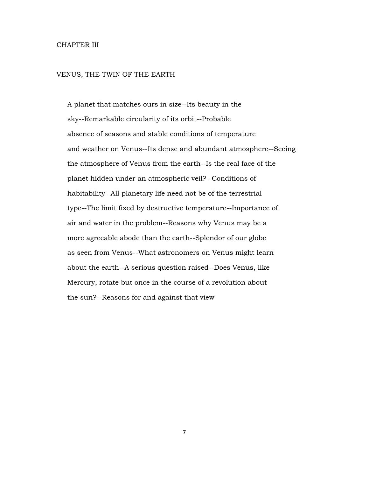## CHAPTER III

#### VENUS, THE TWIN OF THE EARTH

 A planet that matches ours in size--Its beauty in the sky--Remarkable circularity of its orbit--Probable absence of seasons and stable conditions of temperature and weather on Venus--Its dense and abundant atmosphere--Seeing the atmosphere of Venus from the earth--Is the real face of the planet hidden under an atmospheric veil?--Conditions of habitability--All planetary life need not be of the terrestrial type--The limit fixed by destructive temperature--Importance of air and water in the problem--Reasons why Venus may be a more agreeable abode than the earth--Splendor of our globe as seen from Venus--What astronomers on Venus might learn about the earth--A serious question raised--Does Venus, like Mercury, rotate but once in the course of a revolution about the sun?--Reasons for and against that view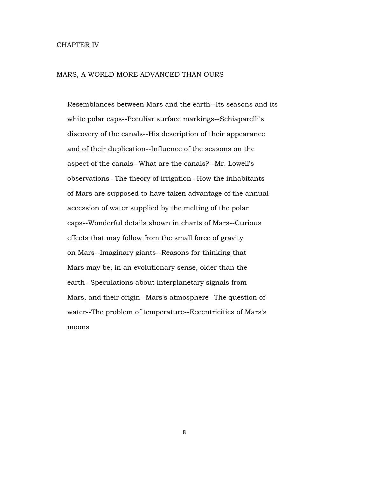#### CHAPTER IV

### MARS, A WORLD MORE ADVANCED THAN OURS

 Resemblances between Mars and the earth--Its seasons and its white polar caps--Peculiar surface markings--Schiaparelli's discovery of the canals--His description of their appearance and of their duplication--Influence of the seasons on the aspect of the canals--What are the canals?--Mr. Lowell's observations--The theory of irrigation--How the inhabitants of Mars are supposed to have taken advantage of the annual accession of water supplied by the melting of the polar caps--Wonderful details shown in charts of Mars--Curious effects that may follow from the small force of gravity on Mars--Imaginary giants--Reasons for thinking that Mars may be, in an evolutionary sense, older than the earth--Speculations about interplanetary signals from Mars, and their origin--Mars's atmosphere--The question of water--The problem of temperature--Eccentricities of Mars's moons

8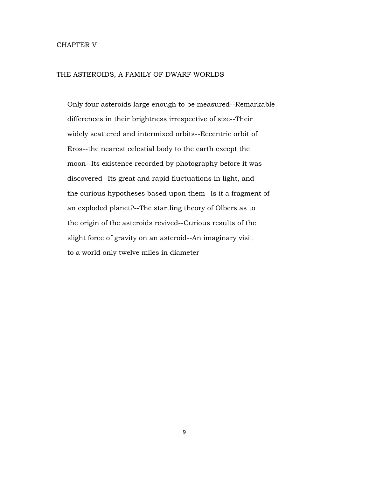#### CHAPTER V

## THE ASTEROIDS, A FAMILY OF DWARF WORLDS

 Only four asteroids large enough to be measured--Remarkable differences in their brightness irrespective of size--Their widely scattered and intermixed orbits--Eccentric orbit of Eros--the nearest celestial body to the earth except the moon--Its existence recorded by photography before it was discovered--Its great and rapid fluctuations in light, and the curious hypotheses based upon them--Is it a fragment of an exploded planet?--The startling theory of Olbers as to the origin of the asteroids revived--Curious results of the slight force of gravity on an asteroid--An imaginary visit to a world only twelve miles in diameter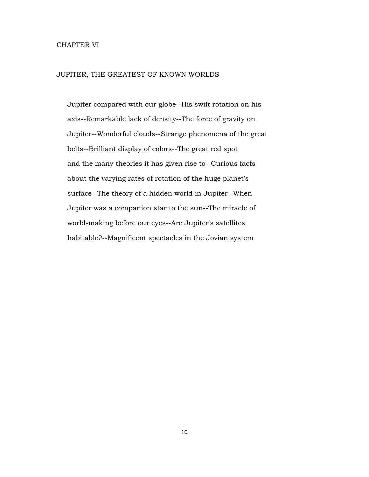## CHAPTER VI

### JUPITER, THE GREATEST OF KNOWN WORLDS

 Jupiter compared with our globe--His swift rotation on his axis--Remarkable lack of density--The force of gravity on Jupiter--Wonderful clouds--Strange phenomena of the great belts--Brilliant display of colors--The great red spot and the many theories it has given rise to--Curious facts about the varying rates of rotation of the huge planet's surface--The theory of a hidden world in Jupiter--When Jupiter was a companion star to the sun--The miracle of world-making before our eyes--Are Jupiter's satellites habitable?--Magnificent spectacles in the Jovian system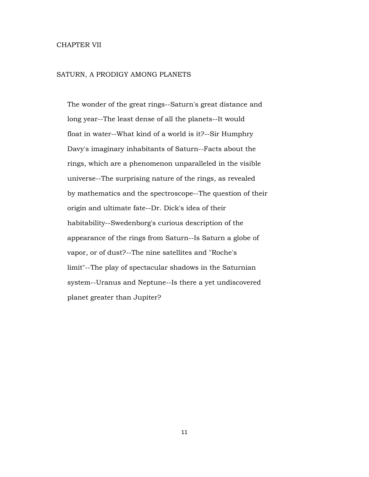## CHAPTER VII

## SATURN, A PRODIGY AMONG PLANETS

 The wonder of the great rings--Saturn's great distance and long year--The least dense of all the planets--It would float in water--What kind of a world is it?--Sir Humphry Davy's imaginary inhabitants of Saturn--Facts about the rings, which are a phenomenon unparalleled in the visible universe--The surprising nature of the rings, as revealed by mathematics and the spectroscope--The question of their origin and ultimate fate--Dr. Dick's idea of their habitability--Swedenborg's curious description of the appearance of the rings from Saturn--Is Saturn a globe of vapor, or of dust?--The nine satellites and "Roche's limit"--The play of spectacular shadows in the Saturnian system--Uranus and Neptune--Is there a yet undiscovered planet greater than Jupiter?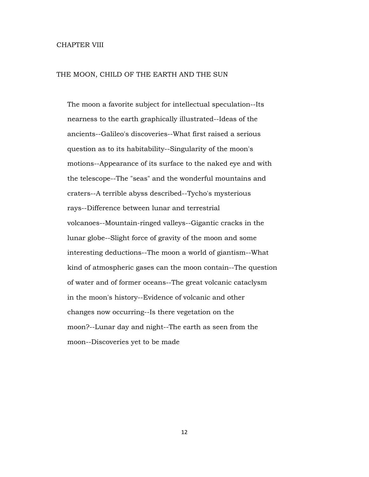### CHAPTER VIII

### THE MOON, CHILD OF THE EARTH AND THE SUN

 The moon a favorite subject for intellectual speculation--Its nearness to the earth graphically illustrated--Ideas of the ancients--Galileo's discoveries--What first raised a serious question as to its habitability--Singularity of the moon's motions--Appearance of its surface to the naked eye and with the telescope--The "seas" and the wonderful mountains and craters--A terrible abyss described--Tycho's mysterious rays--Difference between lunar and terrestrial volcanoes--Mountain-ringed valleys--Gigantic cracks in the lunar globe--Slight force of gravity of the moon and some interesting deductions--The moon a world of giantism--What kind of atmospheric gases can the moon contain--The question of water and of former oceans--The great volcanic cataclysm in the moon's history--Evidence of volcanic and other changes now occurring--Is there vegetation on the moon?--Lunar day and night--The earth as seen from the moon--Discoveries yet to be made

12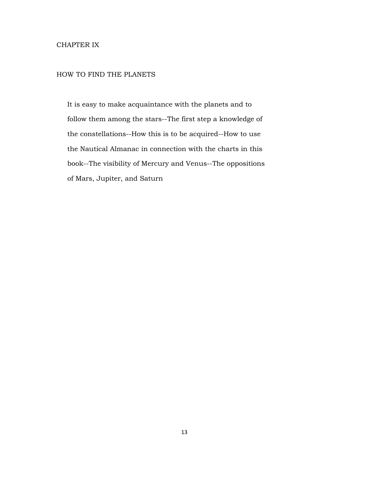# CHAPTER IX

# HOW TO FIND THE PLANETS

 It is easy to make acquaintance with the planets and to follow them among the stars--The first step a knowledge of the constellations--How this is to be acquired--How to use the Nautical Almanac in connection with the charts in this book--The visibility of Mercury and Venus--The oppositions of Mars, Jupiter, and Saturn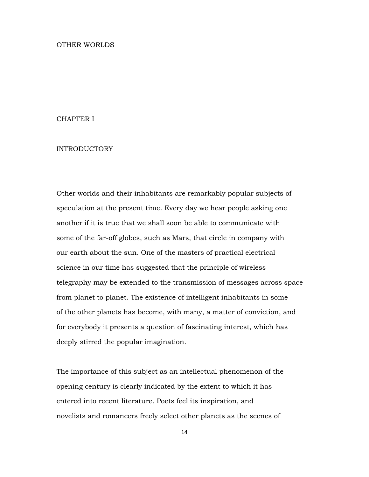### OTHER WORLDS

## CHAPTER I

# INTRODUCTORY

Other worlds and their inhabitants are remarkably popular subjects of speculation at the present time. Every day we hear people asking one another if it is true that we shall soon be able to communicate with some of the far-off globes, such as Mars, that circle in company with our earth about the sun. One of the masters of practical electrical science in our time has suggested that the principle of wireless telegraphy may be extended to the transmission of messages across space from planet to planet. The existence of intelligent inhabitants in some of the other planets has become, with many, a matter of conviction, and for everybody it presents a question of fascinating interest, which has deeply stirred the popular imagination.

The importance of this subject as an intellectual phenomenon of the opening century is clearly indicated by the extent to which it has entered into recent literature. Poets feel its inspiration, and novelists and romancers freely select other planets as the scenes of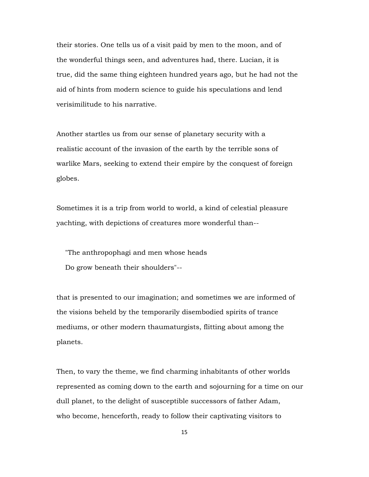their stories. One tells us of a visit paid by men to the moon, and of the wonderful things seen, and adventures had, there. Lucian, it is true, did the same thing eighteen hundred years ago, but he had not the aid of hints from modern science to guide his speculations and lend verisimilitude to his narrative.

Another startles us from our sense of planetary security with a realistic account of the invasion of the earth by the terrible sons of warlike Mars, seeking to extend their empire by the conquest of foreign globes.

Sometimes it is a trip from world to world, a kind of celestial pleasure yachting, with depictions of creatures more wonderful than--

 "The anthropophagi and men whose heads Do grow beneath their shoulders"--

that is presented to our imagination; and sometimes we are informed of the visions beheld by the temporarily disembodied spirits of trance mediums, or other modern thaumaturgists, flitting about among the planets.

Then, to vary the theme, we find charming inhabitants of other worlds represented as coming down to the earth and sojourning for a time on our dull planet, to the delight of susceptible successors of father Adam, who become, henceforth, ready to follow their captivating visitors to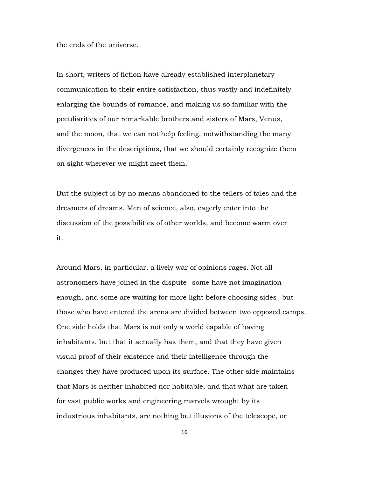the ends of the universe.

In short, writers of fiction have already established interplanetary communication to their entire satisfaction, thus vastly and indefinitely enlarging the bounds of romance, and making us so familiar with the peculiarities of our remarkable brothers and sisters of Mars, Venus, and the moon, that we can not help feeling, notwithstanding the many divergences in the descriptions, that we should certainly recognize them on sight wherever we might meet them.

But the subject is by no means abandoned to the tellers of tales and the dreamers of dreams. Men of science, also, eagerly enter into the discussion of the possibilities of other worlds, and become warm over it.

Around Mars, in particular, a lively war of opinions rages. Not all astronomers have joined in the dispute--some have not imagination enough, and some are waiting for more light before choosing sides--but those who have entered the arena are divided between two opposed camps. One side holds that Mars is not only a world capable of having inhabitants, but that it actually has them, and that they have given visual proof of their existence and their intelligence through the changes they have produced upon its surface. The other side maintains that Mars is neither inhabited nor habitable, and that what are taken for vast public works and engineering marvels wrought by its industrious inhabitants, are nothing but illusions of the telescope, or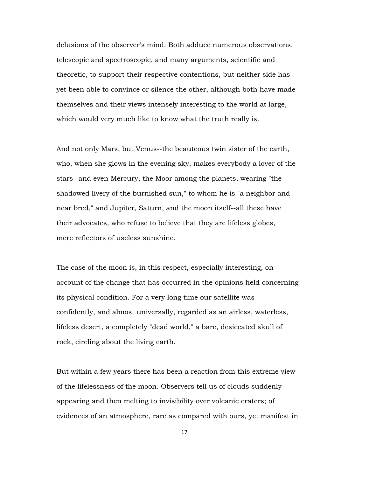delusions of the observer's mind. Both adduce numerous observations, telescopic and spectroscopic, and many arguments, scientific and theoretic, to support their respective contentions, but neither side has yet been able to convince or silence the other, although both have made themselves and their views intensely interesting to the world at large, which would very much like to know what the truth really is.

And not only Mars, but Venus--the beauteous twin sister of the earth, who, when she glows in the evening sky, makes everybody a lover of the stars--and even Mercury, the Moor among the planets, wearing "the shadowed livery of the burnished sun," to whom he is "a neighbor and near bred," and Jupiter, Saturn, and the moon itself--all these have their advocates, who refuse to believe that they are lifeless globes, mere reflectors of useless sunshine.

The case of the moon is, in this respect, especially interesting, on account of the change that has occurred in the opinions held concerning its physical condition. For a very long time our satellite was confidently, and almost universally, regarded as an airless, waterless, lifeless desert, a completely "dead world," a bare, desiccated skull of rock, circling about the living earth.

But within a few years there has been a reaction from this extreme view of the lifelessness of the moon. Observers tell us of clouds suddenly appearing and then melting to invisibility over volcanic craters; of evidences of an atmosphere, rare as compared with ours, yet manifest in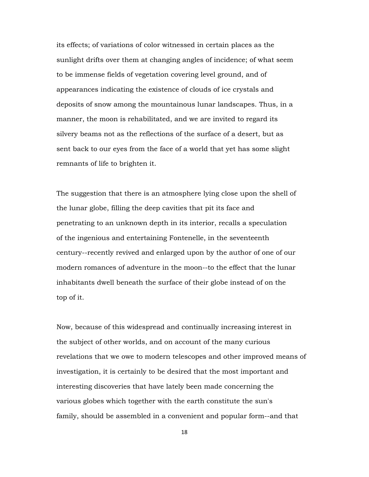its effects; of variations of color witnessed in certain places as the sunlight drifts over them at changing angles of incidence; of what seem to be immense fields of vegetation covering level ground, and of appearances indicating the existence of clouds of ice crystals and deposits of snow among the mountainous lunar landscapes. Thus, in a manner, the moon is rehabilitated, and we are invited to regard its silvery beams not as the reflections of the surface of a desert, but as sent back to our eyes from the face of a world that yet has some slight remnants of life to brighten it.

The suggestion that there is an atmosphere lying close upon the shell of the lunar globe, filling the deep cavities that pit its face and penetrating to an unknown depth in its interior, recalls a speculation of the ingenious and entertaining Fontenelle, in the seventeenth century--recently revived and enlarged upon by the author of one of our modern romances of adventure in the moon--to the effect that the lunar inhabitants dwell beneath the surface of their globe instead of on the top of it.

Now, because of this widespread and continually increasing interest in the subject of other worlds, and on account of the many curious revelations that we owe to modern telescopes and other improved means of investigation, it is certainly to be desired that the most important and interesting discoveries that have lately been made concerning the various globes which together with the earth constitute the sun's family, should be assembled in a convenient and popular form--and that

18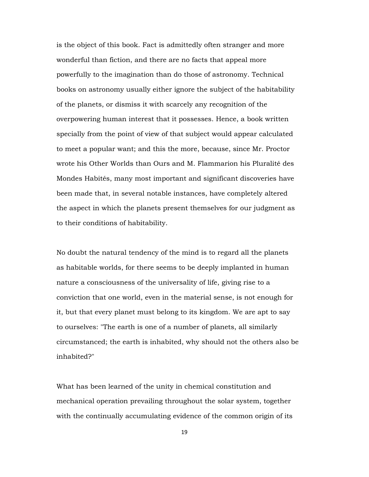is the object of this book. Fact is admittedly often stranger and more wonderful than fiction, and there are no facts that appeal more powerfully to the imagination than do those of astronomy. Technical books on astronomy usually either ignore the subject of the habitability of the planets, or dismiss it with scarcely any recognition of the overpowering human interest that it possesses. Hence, a book written specially from the point of view of that subject would appear calculated to meet a popular want; and this the more, because, since Mr. Proctor wrote his Other Worlds than Ours and M. Flammarion his Pluralité des Mondes Habités, many most important and significant discoveries have been made that, in several notable instances, have completely altered the aspect in which the planets present themselves for our judgment as to their conditions of habitability.

No doubt the natural tendency of the mind is to regard all the planets as habitable worlds, for there seems to be deeply implanted in human nature a consciousness of the universality of life, giving rise to a conviction that one world, even in the material sense, is not enough for it, but that every planet must belong to its kingdom. We are apt to say to ourselves: "The earth is one of a number of planets, all similarly circumstanced; the earth is inhabited, why should not the others also be inhabited?"

What has been learned of the unity in chemical constitution and mechanical operation prevailing throughout the solar system, together with the continually accumulating evidence of the common origin of its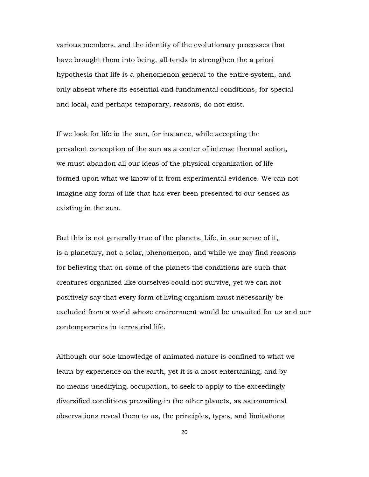various members, and the identity of the evolutionary processes that have brought them into being, all tends to strengthen the a priori hypothesis that life is a phenomenon general to the entire system, and only absent where its essential and fundamental conditions, for special and local, and perhaps temporary, reasons, do not exist.

If we look for life in the sun, for instance, while accepting the prevalent conception of the sun as a center of intense thermal action, we must abandon all our ideas of the physical organization of life formed upon what we know of it from experimental evidence. We can not imagine any form of life that has ever been presented to our senses as existing in the sun.

But this is not generally true of the planets. Life, in our sense of it, is a planetary, not a solar, phenomenon, and while we may find reasons for believing that on some of the planets the conditions are such that creatures organized like ourselves could not survive, yet we can not positively say that every form of living organism must necessarily be excluded from a world whose environment would be unsuited for us and our contemporaries in terrestrial life.

Although our sole knowledge of animated nature is confined to what we learn by experience on the earth, yet it is a most entertaining, and by no means unedifying, occupation, to seek to apply to the exceedingly diversified conditions prevailing in the other planets, as astronomical observations reveal them to us, the principles, types, and limitations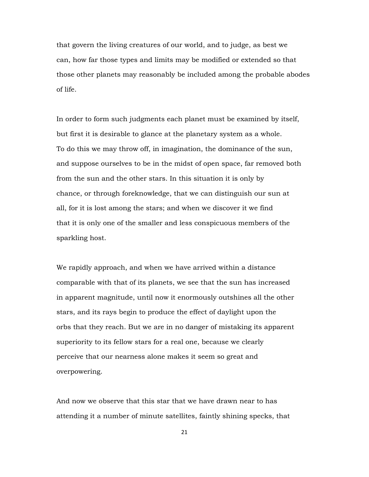that govern the living creatures of our world, and to judge, as best we can, how far those types and limits may be modified or extended so that those other planets may reasonably be included among the probable abodes of life.

In order to form such judgments each planet must be examined by itself, but first it is desirable to glance at the planetary system as a whole. To do this we may throw off, in imagination, the dominance of the sun, and suppose ourselves to be in the midst of open space, far removed both from the sun and the other stars. In this situation it is only by chance, or through foreknowledge, that we can distinguish our sun at all, for it is lost among the stars; and when we discover it we find that it is only one of the smaller and less conspicuous members of the sparkling host.

We rapidly approach, and when we have arrived within a distance comparable with that of its planets, we see that the sun has increased in apparent magnitude, until now it enormously outshines all the other stars, and its rays begin to produce the effect of daylight upon the orbs that they reach. But we are in no danger of mistaking its apparent superiority to its fellow stars for a real one, because we clearly perceive that our nearness alone makes it seem so great and overpowering.

And now we observe that this star that we have drawn near to has attending it a number of minute satellites, faintly shining specks, that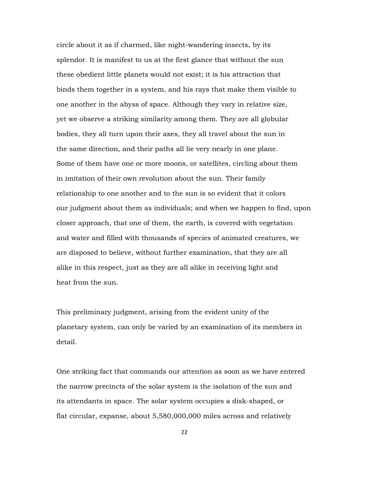circle about it as if charmed, like night-wandering insects, by its splendor. It is manifest to us at the first glance that without the sun these obedient little planets would not exist; it is his attraction that binds them together in a system, and his rays that make them visible to one another in the abyss of space. Although they vary in relative size, yet we observe a striking similarity among them. They are all globular bodies, they all turn upon their axes, they all travel about the sun in the same direction, and their paths all lie very nearly in one plane. Some of them have one or more moons, or satellites, circling about them in imitation of their own revolution about the sun. Their family relationship to one another and to the sun is so evident that it colors our judgment about them as individuals; and when we happen to find, upon closer approach, that one of them, the earth, is covered with vegetation and water and filled with thousands of species of animated creatures, we are disposed to believe, without further examination, that they are all alike in this respect, just as they are all alike in receiving light and heat from the sun.

This preliminary judgment, arising from the evident unity of the planetary system, can only be varied by an examination of its members in detail.

One striking fact that commands our attention as soon as we have entered the narrow precincts of the solar system is the isolation of the sun and its attendants in space. The solar system occupies a disk-shaped, or flat circular, expanse, about 5,580,000,000 miles across and relatively

22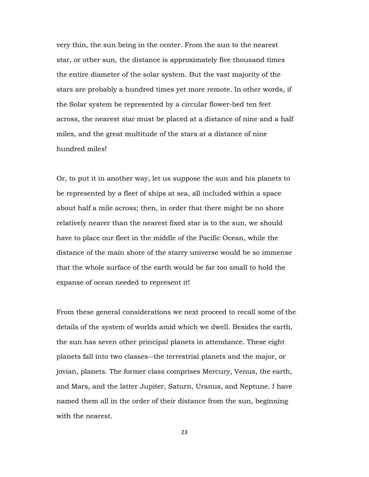very thin, the sun being in the center. From the sun to the nearest star, or other sun, the distance is approximately five thousand times the entire diameter of the solar system. But the vast majority of the stars are probably a hundred times yet more remote. In other words, if the Solar system be represented by a circular flower-bed ten feet across, the nearest star must be placed at a distance of nine and a half miles, and the great multitude of the stars at a distance of nine hundred miles!

Or, to put it in another way, let us suppose the sun and his planets to be represented by a fleet of ships at sea, all included within a space about half a mile across; then, in order that there might be no shore relatively nearer than the nearest fixed star is to the sun, we should have to place our fleet in the middle of the Pacific Ocean, while the distance of the main shore of the starry universe would be so immense that the whole surface of the earth would be far too small to hold the expanse of ocean needed to represent it!

From these general considerations we next proceed to recall some of the details of the system of worlds amid which we dwell. Besides the earth, the sun has seven other principal planets in attendance. These eight planets fall into two classes--the terrestrial planets and the major, or jovian, planets. The former class comprises Mercury, Venus, the earth, and Mars, and the latter Jupiter, Saturn, Uranus, and Neptune. I have named them all in the order of their distance from the sun, beginning with the nearest.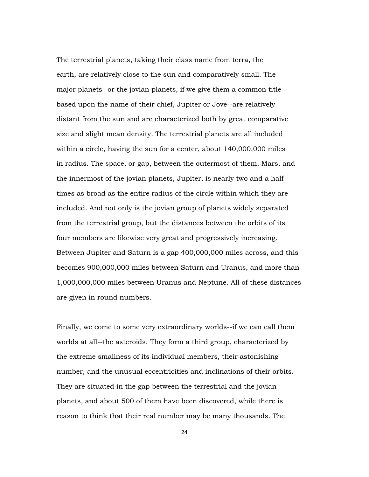The terrestrial planets, taking their class name from terra, the earth, are relatively close to the sun and comparatively small. The major planets--or the jovian planets, if we give them a common title based upon the name of their chief, Jupiter or Jove--are relatively distant from the sun and are characterized both by great comparative size and slight mean density. The terrestrial planets are all included within a circle, having the sun for a center, about 140,000,000 miles in radius. The space, or gap, between the outermost of them, Mars, and the innermost of the jovian planets, Jupiter, is nearly two and a half times as broad as the entire radius of the circle within which they are included. And not only is the jovian group of planets widely separated from the terrestrial group, but the distances between the orbits of its four members are likewise very great and progressively increasing. Between Jupiter and Saturn is a gap 400,000,000 miles across, and this becomes 900,000,000 miles between Saturn and Uranus, and more than 1,000,000,000 miles between Uranus and Neptune. All of these distances are given in round numbers.

Finally, we come to some very extraordinary worlds--if we can call them worlds at all--the asteroids. They form a third group, characterized by the extreme smallness of its individual members, their astonishing number, and the unusual eccentricities and inclinations of their orbits. They are situated in the gap between the terrestrial and the jovian planets, and about 500 of them have been discovered, while there is reason to think that their real number may be many thousands. The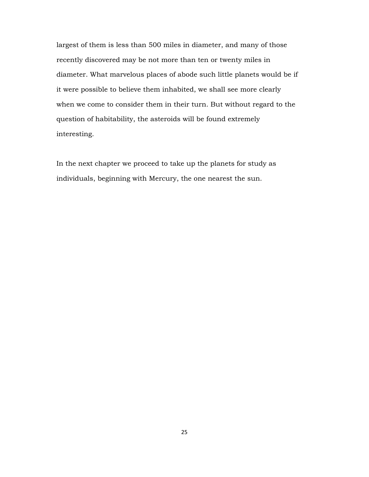largest of them is less than 500 miles in diameter, and many of those recently discovered may be not more than ten or twenty miles in diameter. What marvelous places of abode such little planets would be if it were possible to believe them inhabited, we shall see more clearly when we come to consider them in their turn. But without regard to the question of habitability, the asteroids will be found extremely interesting.

In the next chapter we proceed to take up the planets for study as individuals, beginning with Mercury, the one nearest the sun.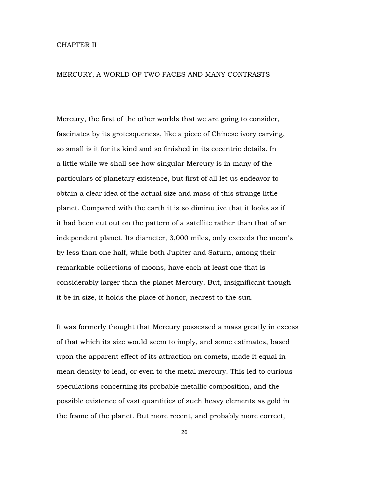## CHAPTER II

### MERCURY, A WORLD OF TWO FACES AND MANY CONTRASTS

Mercury, the first of the other worlds that we are going to consider, fascinates by its grotesqueness, like a piece of Chinese ivory carving, so small is it for its kind and so finished in its eccentric details. In a little while we shall see how singular Mercury is in many of the particulars of planetary existence, but first of all let us endeavor to obtain a clear idea of the actual size and mass of this strange little planet. Compared with the earth it is so diminutive that it looks as if it had been cut out on the pattern of a satellite rather than that of an independent planet. Its diameter, 3,000 miles, only exceeds the moon's by less than one half, while both Jupiter and Saturn, among their remarkable collections of moons, have each at least one that is considerably larger than the planet Mercury. But, insignificant though it be in size, it holds the place of honor, nearest to the sun.

It was formerly thought that Mercury possessed a mass greatly in excess of that which its size would seem to imply, and some estimates, based upon the apparent effect of its attraction on comets, made it equal in mean density to lead, or even to the metal mercury. This led to curious speculations concerning its probable metallic composition, and the possible existence of vast quantities of such heavy elements as gold in the frame of the planet. But more recent, and probably more correct,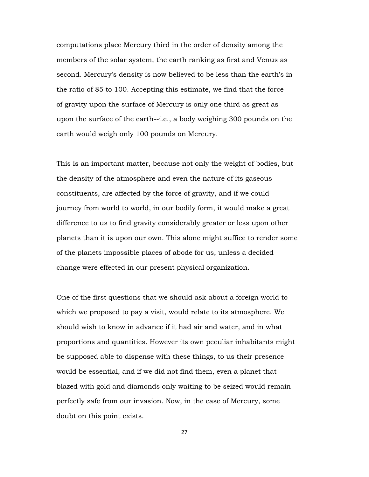computations place Mercury third in the order of density among the members of the solar system, the earth ranking as first and Venus as second. Mercury's density is now believed to be less than the earth's in the ratio of 85 to 100. Accepting this estimate, we find that the force of gravity upon the surface of Mercury is only one third as great as upon the surface of the earth--i.e., a body weighing 300 pounds on the earth would weigh only 100 pounds on Mercury.

This is an important matter, because not only the weight of bodies, but the density of the atmosphere and even the nature of its gaseous constituents, are affected by the force of gravity, and if we could journey from world to world, in our bodily form, it would make a great difference to us to find gravity considerably greater or less upon other planets than it is upon our own. This alone might suffice to render some of the planets impossible places of abode for us, unless a decided change were effected in our present physical organization.

One of the first questions that we should ask about a foreign world to which we proposed to pay a visit, would relate to its atmosphere. We should wish to know in advance if it had air and water, and in what proportions and quantities. However its own peculiar inhabitants might be supposed able to dispense with these things, to us their presence would be essential, and if we did not find them, even a planet that blazed with gold and diamonds only waiting to be seized would remain perfectly safe from our invasion. Now, in the case of Mercury, some doubt on this point exists.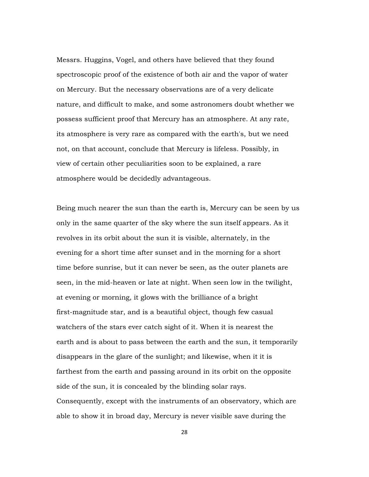Messrs. Huggins, Vogel, and others have believed that they found spectroscopic proof of the existence of both air and the vapor of water on Mercury. But the necessary observations are of a very delicate nature, and difficult to make, and some astronomers doubt whether we possess sufficient proof that Mercury has an atmosphere. At any rate, its atmosphere is very rare as compared with the earth's, but we need not, on that account, conclude that Mercury is lifeless. Possibly, in view of certain other peculiarities soon to be explained, a rare atmosphere would be decidedly advantageous.

Being much nearer the sun than the earth is, Mercury can be seen by us only in the same quarter of the sky where the sun itself appears. As it revolves in its orbit about the sun it is visible, alternately, in the evening for a short time after sunset and in the morning for a short time before sunrise, but it can never be seen, as the outer planets are seen, in the mid-heaven or late at night. When seen low in the twilight, at evening or morning, it glows with the brilliance of a bright first-magnitude star, and is a beautiful object, though few casual watchers of the stars ever catch sight of it. When it is nearest the earth and is about to pass between the earth and the sun, it temporarily disappears in the glare of the sunlight; and likewise, when it it is farthest from the earth and passing around in its orbit on the opposite side of the sun, it is concealed by the blinding solar rays. Consequently, except with the instruments of an observatory, which are able to show it in broad day, Mercury is never visible save during the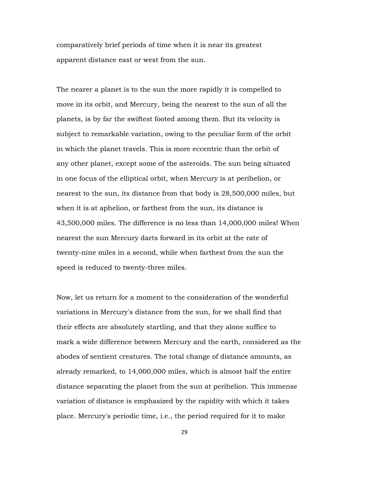comparatively brief periods of time when it is near its greatest apparent distance east or west from the sun.

The nearer a planet is to the sun the more rapidly it is compelled to move in its orbit, and Mercury, being the nearest to the sun of all the planets, is by far the swiftest footed among them. But its velocity is subject to remarkable variation, owing to the peculiar form of the orbit in which the planet travels. This is more eccentric than the orbit of any other planet, except some of the asteroids. The sun being situated in one focus of the elliptical orbit, when Mercury is at perihelion, or nearest to the sun, its distance from that body is 28,500,000 miles, but when it is at aphelion, or farthest from the sun, its distance is 43,500,000 miles. The difference is no less than 14,000,000 miles! When nearest the sun Mercury darts forward in its orbit at the rate of twenty-nine miles in a second, while when farthest from the sun the speed is reduced to twenty-three miles.

Now, let us return for a moment to the consideration of the wonderful variations in Mercury's distance from the sun, for we shall find that their effects are absolutely startling, and that they alone suffice to mark a wide difference between Mercury and the earth, considered as the abodes of sentient creatures. The total change of distance amounts, as already remarked, to 14,000,000 miles, which is almost half the entire distance separating the planet from the sun at perihelion. This immense variation of distance is emphasized by the rapidity with which it takes place. Mercury's periodic time, i.e., the period required for it to make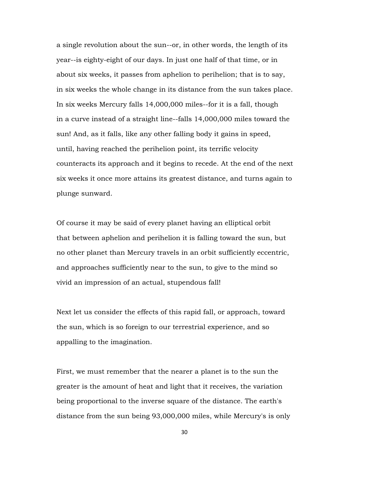a single revolution about the sun--or, in other words, the length of its year--is eighty-eight of our days. In just one half of that time, or in about six weeks, it passes from aphelion to perihelion; that is to say, in six weeks the whole change in its distance from the sun takes place. In six weeks Mercury falls 14,000,000 miles--for it is a fall, though in a curve instead of a straight line--falls 14,000,000 miles toward the sun! And, as it falls, like any other falling body it gains in speed, until, having reached the perihelion point, its terrific velocity counteracts its approach and it begins to recede. At the end of the next six weeks it once more attains its greatest distance, and turns again to plunge sunward.

Of course it may be said of every planet having an elliptical orbit that between aphelion and perihelion it is falling toward the sun, but no other planet than Mercury travels in an orbit sufficiently eccentric, and approaches sufficiently near to the sun, to give to the mind so vivid an impression of an actual, stupendous fall!

Next let us consider the effects of this rapid fall, or approach, toward the sun, which is so foreign to our terrestrial experience, and so appalling to the imagination.

First, we must remember that the nearer a planet is to the sun the greater is the amount of heat and light that it receives, the variation being proportional to the inverse square of the distance. The earth's distance from the sun being 93,000,000 miles, while Mercury's is only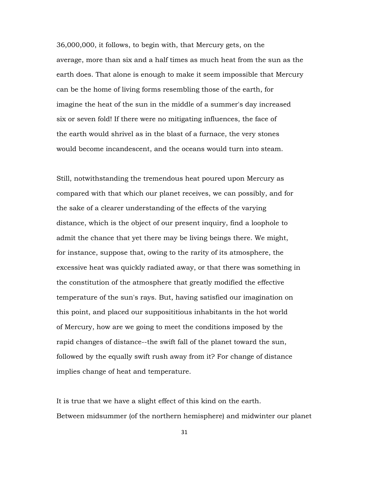36,000,000, it follows, to begin with, that Mercury gets, on the average, more than six and a half times as much heat from the sun as the earth does. That alone is enough to make it seem impossible that Mercury can be the home of living forms resembling those of the earth, for imagine the heat of the sun in the middle of a summer's day increased six or seven fold! If there were no mitigating influences, the face of the earth would shrivel as in the blast of a furnace, the very stones would become incandescent, and the oceans would turn into steam.

Still, notwithstanding the tremendous heat poured upon Mercury as compared with that which our planet receives, we can possibly, and for the sake of a clearer understanding of the effects of the varying distance, which is the object of our present inquiry, find a loophole to admit the chance that yet there may be living beings there. We might, for instance, suppose that, owing to the rarity of its atmosphere, the excessive heat was quickly radiated away, or that there was something in the constitution of the atmosphere that greatly modified the effective temperature of the sun's rays. But, having satisfied our imagination on this point, and placed our supposititious inhabitants in the hot world of Mercury, how are we going to meet the conditions imposed by the rapid changes of distance--the swift fall of the planet toward the sun, followed by the equally swift rush away from it? For change of distance implies change of heat and temperature.

It is true that we have a slight effect of this kind on the earth. Between midsummer (of the northern hemisphere) and midwinter our planet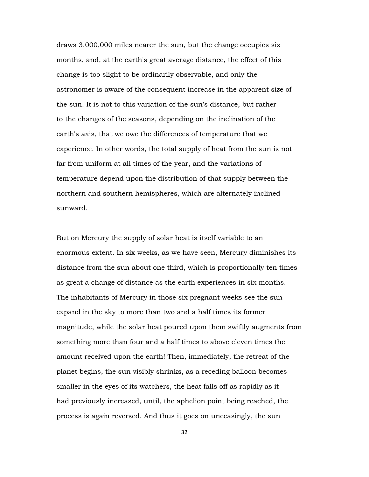draws 3,000,000 miles nearer the sun, but the change occupies six months, and, at the earth's great average distance, the effect of this change is too slight to be ordinarily observable, and only the astronomer is aware of the consequent increase in the apparent size of the sun. It is not to this variation of the sun's distance, but rather to the changes of the seasons, depending on the inclination of the earth's axis, that we owe the differences of temperature that we experience. In other words, the total supply of heat from the sun is not far from uniform at all times of the year, and the variations of temperature depend upon the distribution of that supply between the northern and southern hemispheres, which are alternately inclined sunward.

But on Mercury the supply of solar heat is itself variable to an enormous extent. In six weeks, as we have seen, Mercury diminishes its distance from the sun about one third, which is proportionally ten times as great a change of distance as the earth experiences in six months. The inhabitants of Mercury in those six pregnant weeks see the sun expand in the sky to more than two and a half times its former magnitude, while the solar heat poured upon them swiftly augments from something more than four and a half times to above eleven times the amount received upon the earth! Then, immediately, the retreat of the planet begins, the sun visibly shrinks, as a receding balloon becomes smaller in the eyes of its watchers, the heat falls off as rapidly as it had previously increased, until, the aphelion point being reached, the process is again reversed. And thus it goes on unceasingly, the sun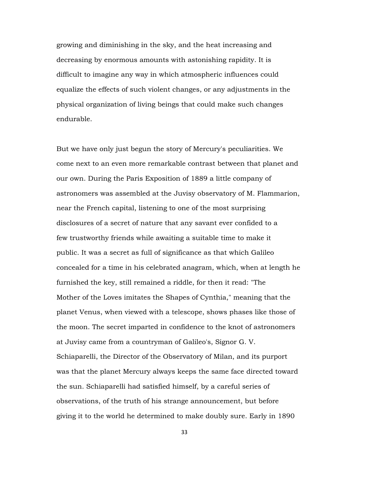growing and diminishing in the sky, and the heat increasing and decreasing by enormous amounts with astonishing rapidity. It is difficult to imagine any way in which atmospheric influences could equalize the effects of such violent changes, or any adjustments in the physical organization of living beings that could make such changes endurable.

But we have only just begun the story of Mercury's peculiarities. We come next to an even more remarkable contrast between that planet and our own. During the Paris Exposition of 1889 a little company of astronomers was assembled at the Juvisy observatory of M. Flammarion, near the French capital, listening to one of the most surprising disclosures of a secret of nature that any savant ever confided to a few trustworthy friends while awaiting a suitable time to make it public. It was a secret as full of significance as that which Galileo concealed for a time in his celebrated anagram, which, when at length he furnished the key, still remained a riddle, for then it read: "The Mother of the Loves imitates the Shapes of Cynthia," meaning that the planet Venus, when viewed with a telescope, shows phases like those of the moon. The secret imparted in confidence to the knot of astronomers at Juvisy came from a countryman of Galileo's, Signor G. V. Schiaparelli, the Director of the Observatory of Milan, and its purport was that the planet Mercury always keeps the same face directed toward the sun. Schiaparelli had satisfied himself, by a careful series of observations, of the truth of his strange announcement, but before giving it to the world he determined to make doubly sure. Early in 1890

33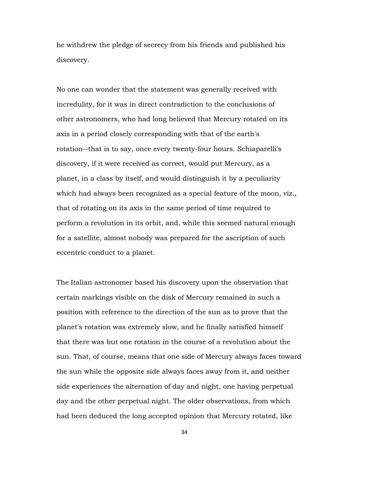he withdrew the pledge of secrecy from his friends and published his discovery.

No one can wonder that the statement was generally received with incredulity, for it was in direct contradiction to the conclusions of other astronomers, who had long believed that Mercury rotated on its axis in a period closely corresponding with that of the earth's rotation--that is to say, once every twenty-four hours. Schiaparelli's discovery, if it were received as correct, would put Mercury, as a planet, in a class by itself, and would distinguish it by a peculiarity which had always been recognized as a special feature of the moon, viz., that of rotating on its axis in the same period of time required to perform a revolution in its orbit, and, while this seemed natural enough for a satellite, almost nobody was prepared for the ascription of such eccentric conduct to a planet.

The Italian astronomer based his discovery upon the observation that certain markings visible on the disk of Mercury remained in such a position with reference to the direction of the sun as to prove that the planet's rotation was extremely slow, and he finally satisfied himself that there was but one rotation in the course of a revolution about the sun. That, of course, means that one side of Mercury always faces toward the sun while the opposite side always faces away from it, and neither side experiences the alternation of day and night, one having perpetual day and the other perpetual night. The older observations, from which had been deduced the long accepted opinion that Mercury rotated, like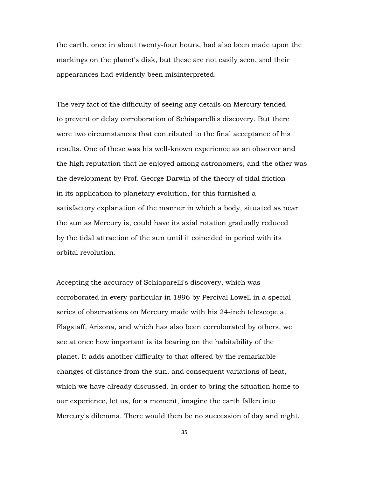the earth, once in about twenty-four hours, had also been made upon the markings on the planet's disk, but these are not easily seen, and their appearances had evidently been misinterpreted.

The very fact of the difficulty of seeing any details on Mercury tended to prevent or delay corroboration of Schiaparelli's discovery. But there were two circumstances that contributed to the final acceptance of his results. One of these was his well-known experience as an observer and the high reputation that he enjoyed among astronomers, and the other was the development by Prof. George Darwin of the theory of tidal friction in its application to planetary evolution, for this furnished a satisfactory explanation of the manner in which a body, situated as near the sun as Mercury is, could have its axial rotation gradually reduced by the tidal attraction of the sun until it coincided in period with its orbital revolution.

Accepting the accuracy of Schiaparelli's discovery, which was corroborated in every particular in 1896 by Percival Lowell in a special series of observations on Mercury made with his 24-inch telescope at Flagstaff, Arizona, and which has also been corroborated by others, we see at once how important is its bearing on the habitability of the planet. It adds another difficulty to that offered by the remarkable changes of distance from the sun, and consequent variations of heat, which we have already discussed. In order to bring the situation home to our experience, let us, for a moment, imagine the earth fallen into Mercury's dilemma. There would then be no succession of day and night,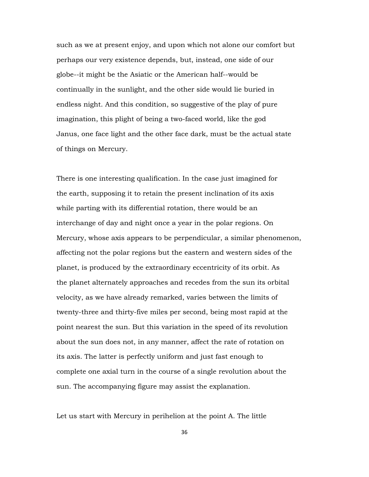such as we at present enjoy, and upon which not alone our comfort but perhaps our very existence depends, but, instead, one side of our globe--it might be the Asiatic or the American half--would be continually in the sunlight, and the other side would lie buried in endless night. And this condition, so suggestive of the play of pure imagination, this plight of being a two-faced world, like the god Janus, one face light and the other face dark, must be the actual state of things on Mercury.

There is one interesting qualification. In the case just imagined for the earth, supposing it to retain the present inclination of its axis while parting with its differential rotation, there would be an interchange of day and night once a year in the polar regions. On Mercury, whose axis appears to be perpendicular, a similar phenomenon, affecting not the polar regions but the eastern and western sides of the planet, is produced by the extraordinary eccentricity of its orbit. As the planet alternately approaches and recedes from the sun its orbital velocity, as we have already remarked, varies between the limits of twenty-three and thirty-five miles per second, being most rapid at the point nearest the sun. But this variation in the speed of its revolution about the sun does not, in any manner, affect the rate of rotation on its axis. The latter is perfectly uniform and just fast enough to complete one axial turn in the course of a single revolution about the sun. The accompanying figure may assist the explanation.

Let us start with Mercury in perihelion at the point A. The little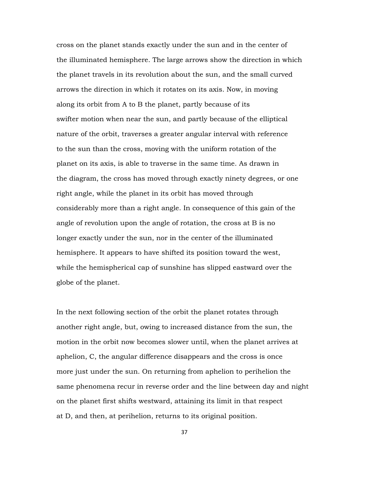cross on the planet stands exactly under the sun and in the center of the illuminated hemisphere. The large arrows show the direction in which the planet travels in its revolution about the sun, and the small curved arrows the direction in which it rotates on its axis. Now, in moving along its orbit from A to B the planet, partly because of its swifter motion when near the sun, and partly because of the elliptical nature of the orbit, traverses a greater angular interval with reference to the sun than the cross, moving with the uniform rotation of the planet on its axis, is able to traverse in the same time. As drawn in the diagram, the cross has moved through exactly ninety degrees, or one right angle, while the planet in its orbit has moved through considerably more than a right angle. In consequence of this gain of the angle of revolution upon the angle of rotation, the cross at B is no longer exactly under the sun, nor in the center of the illuminated hemisphere. It appears to have shifted its position toward the west, while the hemispherical cap of sunshine has slipped eastward over the globe of the planet.

In the next following section of the orbit the planet rotates through another right angle, but, owing to increased distance from the sun, the motion in the orbit now becomes slower until, when the planet arrives at aphelion, C, the angular difference disappears and the cross is once more just under the sun. On returning from aphelion to perihelion the same phenomena recur in reverse order and the line between day and night on the planet first shifts westward, attaining its limit in that respect at D, and then, at perihelion, returns to its original position.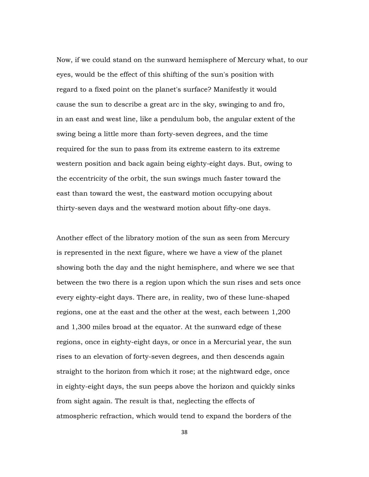Now, if we could stand on the sunward hemisphere of Mercury what, to our eyes, would be the effect of this shifting of the sun's position with regard to a fixed point on the planet's surface? Manifestly it would cause the sun to describe a great arc in the sky, swinging to and fro, in an east and west line, like a pendulum bob, the angular extent of the swing being a little more than forty-seven degrees, and the time required for the sun to pass from its extreme eastern to its extreme western position and back again being eighty-eight days. But, owing to the eccentricity of the orbit, the sun swings much faster toward the east than toward the west, the eastward motion occupying about thirty-seven days and the westward motion about fifty-one days.

Another effect of the libratory motion of the sun as seen from Mercury is represented in the next figure, where we have a view of the planet showing both the day and the night hemisphere, and where we see that between the two there is a region upon which the sun rises and sets once every eighty-eight days. There are, in reality, two of these lune-shaped regions, one at the east and the other at the west, each between 1,200 and 1,300 miles broad at the equator. At the sunward edge of these regions, once in eighty-eight days, or once in a Mercurial year, the sun rises to an elevation of forty-seven degrees, and then descends again straight to the horizon from which it rose; at the nightward edge, once in eighty-eight days, the sun peeps above the horizon and quickly sinks from sight again. The result is that, neglecting the effects of atmospheric refraction, which would tend to expand the borders of the

38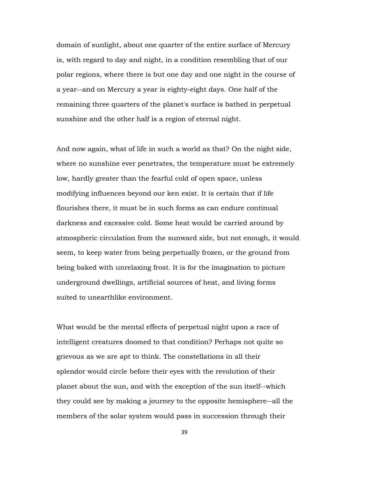domain of sunlight, about one quarter of the entire surface of Mercury is, with regard to day and night, in a condition resembling that of our polar regions, where there is but one day and one night in the course of a year--and on Mercury a year is eighty-eight days. One half of the remaining three quarters of the planet's surface is bathed in perpetual sunshine and the other half is a region of eternal night.

And now again, what of life in such a world as that? On the night side, where no sunshine ever penetrates, the temperature must be extremely low, hardly greater than the fearful cold of open space, unless modifying influences beyond our ken exist. It is certain that if life flourishes there, it must be in such forms as can endure continual darkness and excessive cold. Some heat would be carried around by atmospheric circulation from the sunward side, but not enough, it would seem, to keep water from being perpetually frozen, or the ground from being baked with unrelaxing frost. It is for the imagination to picture underground dwellings, artificial sources of heat, and living forms suited to unearthlike environment.

What would be the mental effects of perpetual night upon a race of intelligent creatures doomed to that condition? Perhaps not quite so grievous as we are apt to think. The constellations in all their splendor would circle before their eyes with the revolution of their planet about the sun, and with the exception of the sun itself--which they could see by making a journey to the opposite hemisphere--all the members of the solar system would pass in succession through their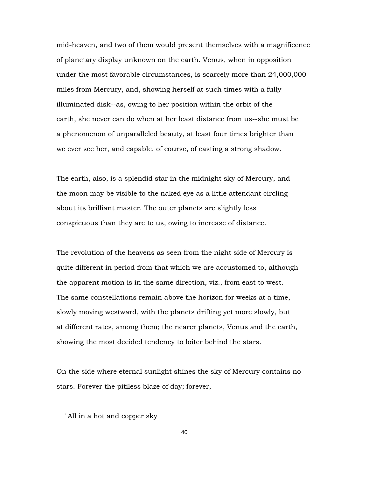mid-heaven, and two of them would present themselves with a magnificence of planetary display unknown on the earth. Venus, when in opposition under the most favorable circumstances, is scarcely more than 24,000,000 miles from Mercury, and, showing herself at such times with a fully illuminated disk--as, owing to her position within the orbit of the earth, she never can do when at her least distance from us--she must be a phenomenon of unparalleled beauty, at least four times brighter than we ever see her, and capable, of course, of casting a strong shadow.

The earth, also, is a splendid star in the midnight sky of Mercury, and the moon may be visible to the naked eye as a little attendant circling about its brilliant master. The outer planets are slightly less conspicuous than they are to us, owing to increase of distance.

The revolution of the heavens as seen from the night side of Mercury is quite different in period from that which we are accustomed to, although the apparent motion is in the same direction, viz., from east to west. The same constellations remain above the horizon for weeks at a time, slowly moving westward, with the planets drifting yet more slowly, but at different rates, among them; the nearer planets, Venus and the earth, showing the most decided tendency to loiter behind the stars.

On the side where eternal sunlight shines the sky of Mercury contains no stars. Forever the pitiless blaze of day; forever,

"All in a hot and copper sky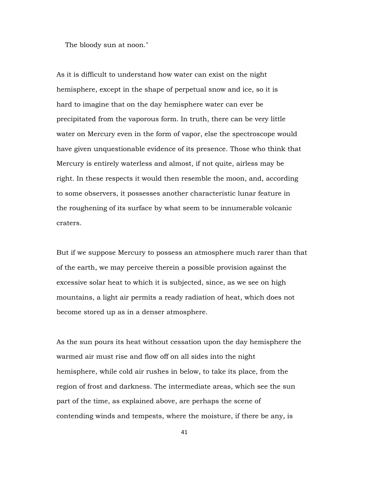The bloody sun at noon."

As it is difficult to understand how water can exist on the night hemisphere, except in the shape of perpetual snow and ice, so it is hard to imagine that on the day hemisphere water can ever be precipitated from the vaporous form. In truth, there can be very little water on Mercury even in the form of vapor, else the spectroscope would have given unquestionable evidence of its presence. Those who think that Mercury is entirely waterless and almost, if not quite, airless may be right. In these respects it would then resemble the moon, and, according to some observers, it possesses another characteristic lunar feature in the roughening of its surface by what seem to be innumerable volcanic craters.

But if we suppose Mercury to possess an atmosphere much rarer than that of the earth, we may perceive therein a possible provision against the excessive solar heat to which it is subjected, since, as we see on high mountains, a light air permits a ready radiation of heat, which does not become stored up as in a denser atmosphere.

As the sun pours its heat without cessation upon the day hemisphere the warmed air must rise and flow off on all sides into the night hemisphere, while cold air rushes in below, to take its place, from the region of frost and darkness. The intermediate areas, which see the sun part of the time, as explained above, are perhaps the scene of contending winds and tempests, where the moisture, if there be any, is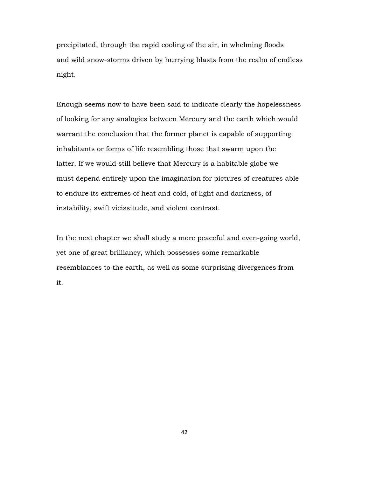precipitated, through the rapid cooling of the air, in whelming floods and wild snow-storms driven by hurrying blasts from the realm of endless night.

Enough seems now to have been said to indicate clearly the hopelessness of looking for any analogies between Mercury and the earth which would warrant the conclusion that the former planet is capable of supporting inhabitants or forms of life resembling those that swarm upon the latter. If we would still believe that Mercury is a habitable globe we must depend entirely upon the imagination for pictures of creatures able to endure its extremes of heat and cold, of light and darkness, of instability, swift vicissitude, and violent contrast.

In the next chapter we shall study a more peaceful and even-going world, yet one of great brilliancy, which possesses some remarkable resemblances to the earth, as well as some surprising divergences from it.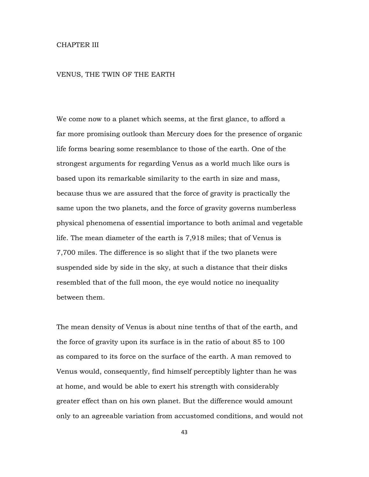## CHAPTER III

## VENUS, THE TWIN OF THE EARTH

We come now to a planet which seems, at the first glance, to afford a far more promising outlook than Mercury does for the presence of organic life forms bearing some resemblance to those of the earth. One of the strongest arguments for regarding Venus as a world much like ours is based upon its remarkable similarity to the earth in size and mass, because thus we are assured that the force of gravity is practically the same upon the two planets, and the force of gravity governs numberless physical phenomena of essential importance to both animal and vegetable life. The mean diameter of the earth is 7,918 miles; that of Venus is 7,700 miles. The difference is so slight that if the two planets were suspended side by side in the sky, at such a distance that their disks resembled that of the full moon, the eye would notice no inequality between them.

The mean density of Venus is about nine tenths of that of the earth, and the force of gravity upon its surface is in the ratio of about 85 to 100 as compared to its force on the surface of the earth. A man removed to Venus would, consequently, find himself perceptibly lighter than he was at home, and would be able to exert his strength with considerably greater effect than on his own planet. But the difference would amount only to an agreeable variation from accustomed conditions, and would not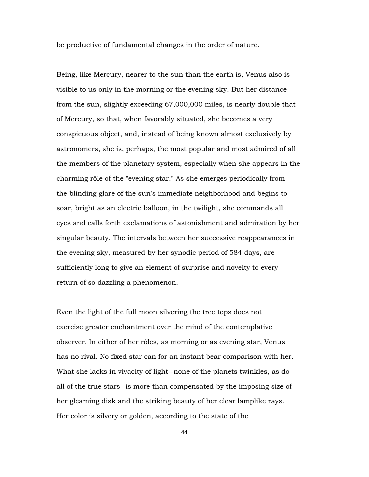be productive of fundamental changes in the order of nature.

Being, like Mercury, nearer to the sun than the earth is, Venus also is visible to us only in the morning or the evening sky. But her distance from the sun, slightly exceeding 67,000,000 miles, is nearly double that of Mercury, so that, when favorably situated, she becomes a very conspicuous object, and, instead of being known almost exclusively by astronomers, she is, perhaps, the most popular and most admired of all the members of the planetary system, especially when she appears in the charming rôle of the "evening star." As she emerges periodically from the blinding glare of the sun's immediate neighborhood and begins to soar, bright as an electric balloon, in the twilight, she commands all eyes and calls forth exclamations of astonishment and admiration by her singular beauty. The intervals between her successive reappearances in the evening sky, measured by her synodic period of 584 days, are sufficiently long to give an element of surprise and novelty to every return of so dazzling a phenomenon.

Even the light of the full moon silvering the tree tops does not exercise greater enchantment over the mind of the contemplative observer. In either of her rôles, as morning or as evening star, Venus has no rival. No fixed star can for an instant bear comparison with her. What she lacks in vivacity of light--none of the planets twinkles, as do all of the true stars--is more than compensated by the imposing size of her gleaming disk and the striking beauty of her clear lamplike rays. Her color is silvery or golden, according to the state of the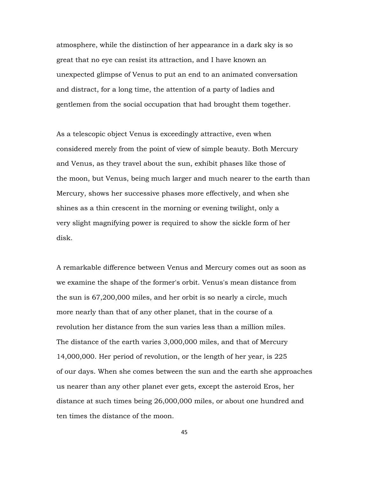atmosphere, while the distinction of her appearance in a dark sky is so great that no eye can resist its attraction, and I have known an unexpected glimpse of Venus to put an end to an animated conversation and distract, for a long time, the attention of a party of ladies and gentlemen from the social occupation that had brought them together.

As a telescopic object Venus is exceedingly attractive, even when considered merely from the point of view of simple beauty. Both Mercury and Venus, as they travel about the sun, exhibit phases like those of the moon, but Venus, being much larger and much nearer to the earth than Mercury, shows her successive phases more effectively, and when she shines as a thin crescent in the morning or evening twilight, only a very slight magnifying power is required to show the sickle form of her disk.

A remarkable difference between Venus and Mercury comes out as soon as we examine the shape of the former's orbit. Venus's mean distance from the sun is 67,200,000 miles, and her orbit is so nearly a circle, much more nearly than that of any other planet, that in the course of a revolution her distance from the sun varies less than a million miles. The distance of the earth varies 3,000,000 miles, and that of Mercury 14,000,000. Her period of revolution, or the length of her year, is 225 of our days. When she comes between the sun and the earth she approaches us nearer than any other planet ever gets, except the asteroid Eros, her distance at such times being 26,000,000 miles, or about one hundred and ten times the distance of the moon.

45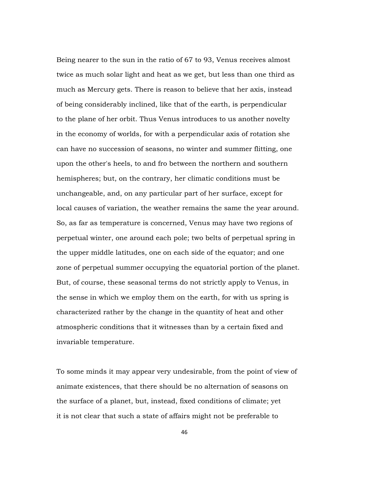Being nearer to the sun in the ratio of 67 to 93, Venus receives almost twice as much solar light and heat as we get, but less than one third as much as Mercury gets. There is reason to believe that her axis, instead of being considerably inclined, like that of the earth, is perpendicular to the plane of her orbit. Thus Venus introduces to us another novelty in the economy of worlds, for with a perpendicular axis of rotation she can have no succession of seasons, no winter and summer flitting, one upon the other's heels, to and fro between the northern and southern hemispheres; but, on the contrary, her climatic conditions must be unchangeable, and, on any particular part of her surface, except for local causes of variation, the weather remains the same the year around. So, as far as temperature is concerned, Venus may have two regions of perpetual winter, one around each pole; two belts of perpetual spring in the upper middle latitudes, one on each side of the equator; and one zone of perpetual summer occupying the equatorial portion of the planet. But, of course, these seasonal terms do not strictly apply to Venus, in the sense in which we employ them on the earth, for with us spring is characterized rather by the change in the quantity of heat and other atmospheric conditions that it witnesses than by a certain fixed and invariable temperature.

To some minds it may appear very undesirable, from the point of view of animate existences, that there should be no alternation of seasons on the surface of a planet, but, instead, fixed conditions of climate; yet it is not clear that such a state of affairs might not be preferable to

46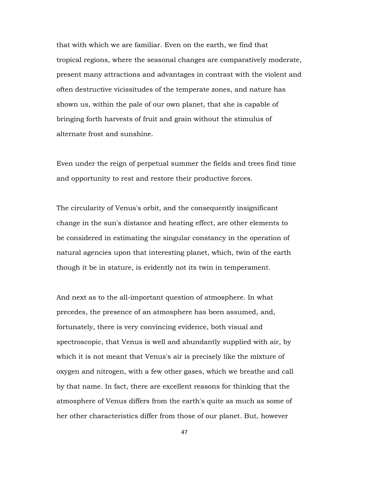that with which we are familiar. Even on the earth, we find that tropical regions, where the seasonal changes are comparatively moderate, present many attractions and advantages in contrast with the violent and often destructive vicissitudes of the temperate zones, and nature has shown us, within the pale of our own planet, that she is capable of bringing forth harvests of fruit and grain without the stimulus of alternate frost and sunshine.

Even under the reign of perpetual summer the fields and trees find time and opportunity to rest and restore their productive forces.

The circularity of Venus's orbit, and the consequently insignificant change in the sun's distance and heating effect, are other elements to be considered in estimating the singular constancy in the operation of natural agencies upon that interesting planet, which, twin of the earth though it be in stature, is evidently not its twin in temperament.

And next as to the all-important question of atmosphere. In what precedes, the presence of an atmosphere has been assumed, and, fortunately, there is very convincing evidence, both visual and spectroscopic, that Venus is well and abundantly supplied with air, by which it is not meant that Venus's air is precisely like the mixture of oxygen and nitrogen, with a few other gases, which we breathe and call by that name. In fact, there are excellent reasons for thinking that the atmosphere of Venus differs from the earth's quite as much as some of her other characteristics differ from those of our planet. But, however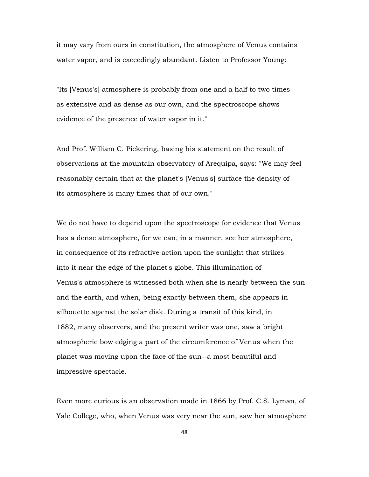it may vary from ours in constitution, the atmosphere of Venus contains water vapor, and is exceedingly abundant. Listen to Professor Young:

"Its [Venus's] atmosphere is probably from one and a half to two times as extensive and as dense as our own, and the spectroscope shows evidence of the presence of water vapor in it."

And Prof. William C. Pickering, basing his statement on the result of observations at the mountain observatory of Arequipa, says: "We may feel reasonably certain that at the planet's [Venus's] surface the density of its atmosphere is many times that of our own."

We do not have to depend upon the spectroscope for evidence that Venus has a dense atmosphere, for we can, in a manner, see her atmosphere, in consequence of its refractive action upon the sunlight that strikes into it near the edge of the planet's globe. This illumination of Venus's atmosphere is witnessed both when she is nearly between the sun and the earth, and when, being exactly between them, she appears in silhouette against the solar disk. During a transit of this kind, in 1882, many observers, and the present writer was one, saw a bright atmospheric bow edging a part of the circumference of Venus when the planet was moving upon the face of the sun--a most beautiful and impressive spectacle.

Even more curious is an observation made in 1866 by Prof. C.S. Lyman, of Yale College, who, when Venus was very near the sun, saw her atmosphere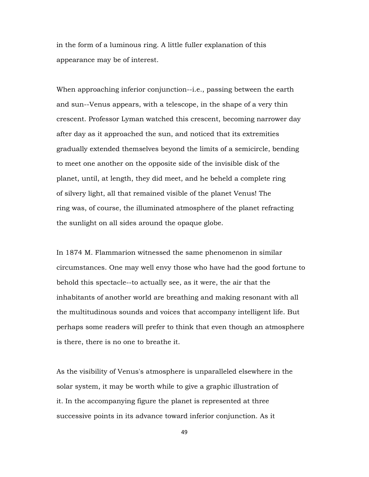in the form of a luminous ring. A little fuller explanation of this appearance may be of interest.

When approaching inferior conjunction--i.e., passing between the earth and sun--Venus appears, with a telescope, in the shape of a very thin crescent. Professor Lyman watched this crescent, becoming narrower day after day as it approached the sun, and noticed that its extremities gradually extended themselves beyond the limits of a semicircle, bending to meet one another on the opposite side of the invisible disk of the planet, until, at length, they did meet, and he beheld a complete ring of silvery light, all that remained visible of the planet Venus! The ring was, of course, the illuminated atmosphere of the planet refracting the sunlight on all sides around the opaque globe.

In 1874 M. Flammarion witnessed the same phenomenon in similar circumstances. One may well envy those who have had the good fortune to behold this spectacle--to actually see, as it were, the air that the inhabitants of another world are breathing and making resonant with all the multitudinous sounds and voices that accompany intelligent life. But perhaps some readers will prefer to think that even though an atmosphere is there, there is no one to breathe it.

As the visibility of Venus's atmosphere is unparalleled elsewhere in the solar system, it may be worth while to give a graphic illustration of it. In the accompanying figure the planet is represented at three successive points in its advance toward inferior conjunction. As it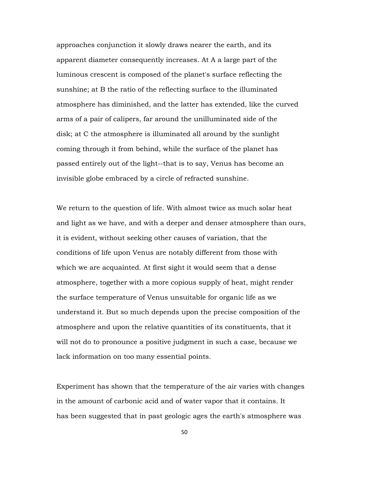approaches conjunction it slowly draws nearer the earth, and its apparent diameter consequently increases. At A a large part of the luminous crescent is composed of the planet's surface reflecting the sunshine; at B the ratio of the reflecting surface to the illuminated atmosphere has diminished, and the latter has extended, like the curved arms of a pair of calipers, far around the unilluminated side of the disk; at C the atmosphere is illuminated all around by the sunlight coming through it from behind, while the surface of the planet has passed entirely out of the light--that is to say, Venus has become an invisible globe embraced by a circle of refracted sunshine.

We return to the question of life. With almost twice as much solar heat and light as we have, and with a deeper and denser atmosphere than ours, it is evident, without seeking other causes of variation, that the conditions of life upon Venus are notably different from those with which we are acquainted. At first sight it would seem that a dense atmosphere, together with a more copious supply of heat, might render the surface temperature of Venus unsuitable for organic life as we understand it. But so much depends upon the precise composition of the atmosphere and upon the relative quantities of its constituents, that it will not do to pronounce a positive judgment in such a case, because we lack information on too many essential points.

Experiment has shown that the temperature of the air varies with changes in the amount of carbonic acid and of water vapor that it contains. It has been suggested that in past geologic ages the earth's atmosphere was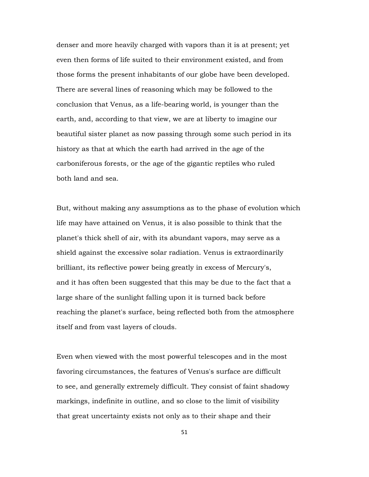denser and more heavily charged with vapors than it is at present; yet even then forms of life suited to their environment existed, and from those forms the present inhabitants of our globe have been developed. There are several lines of reasoning which may be followed to the conclusion that Venus, as a life-bearing world, is younger than the earth, and, according to that view, we are at liberty to imagine our beautiful sister planet as now passing through some such period in its history as that at which the earth had arrived in the age of the carboniferous forests, or the age of the gigantic reptiles who ruled both land and sea.

But, without making any assumptions as to the phase of evolution which life may have attained on Venus, it is also possible to think that the planet's thick shell of air, with its abundant vapors, may serve as a shield against the excessive solar radiation. Venus is extraordinarily brilliant, its reflective power being greatly in excess of Mercury's, and it has often been suggested that this may be due to the fact that a large share of the sunlight falling upon it is turned back before reaching the planet's surface, being reflected both from the atmosphere itself and from vast layers of clouds.

Even when viewed with the most powerful telescopes and in the most favoring circumstances, the features of Venus's surface are difficult to see, and generally extremely difficult. They consist of faint shadowy markings, indefinite in outline, and so close to the limit of visibility that great uncertainty exists not only as to their shape and their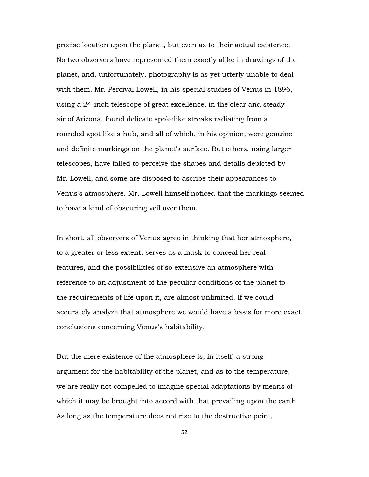precise location upon the planet, but even as to their actual existence. No two observers have represented them exactly alike in drawings of the planet, and, unfortunately, photography is as yet utterly unable to deal with them. Mr. Percival Lowell, in his special studies of Venus in 1896, using a 24-inch telescope of great excellence, in the clear and steady air of Arizona, found delicate spokelike streaks radiating from a rounded spot like a hub, and all of which, in his opinion, were genuine and definite markings on the planet's surface. But others, using larger telescopes, have failed to perceive the shapes and details depicted by Mr. Lowell, and some are disposed to ascribe their appearances to Venus's atmosphere. Mr. Lowell himself noticed that the markings seemed to have a kind of obscuring veil over them.

In short, all observers of Venus agree in thinking that her atmosphere, to a greater or less extent, serves as a mask to conceal her real features, and the possibilities of so extensive an atmosphere with reference to an adjustment of the peculiar conditions of the planet to the requirements of life upon it, are almost unlimited. If we could accurately analyze that atmosphere we would have a basis for more exact conclusions concerning Venus's habitability.

But the mere existence of the atmosphere is, in itself, a strong argument for the habitability of the planet, and as to the temperature, we are really not compelled to imagine special adaptations by means of which it may be brought into accord with that prevailing upon the earth. As long as the temperature does not rise to the destructive point,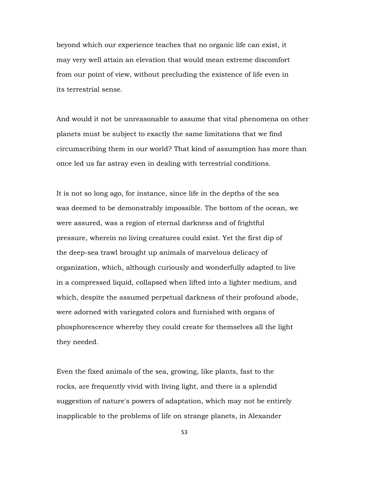beyond which our experience teaches that no organic life can exist, it may very well attain an elevation that would mean extreme discomfort from our point of view, without precluding the existence of life even in its terrestrial sense.

And would it not be unreasonable to assume that vital phenomena on other planets must be subject to exactly the same limitations that we find circumscribing them in our world? That kind of assumption has more than once led us far astray even in dealing with terrestrial conditions.

It is not so long ago, for instance, since life in the depths of the sea was deemed to be demonstrably impossible. The bottom of the ocean, we were assured, was a region of eternal darkness and of frightful pressure, wherein no living creatures could exist. Yet the first dip of the deep-sea trawl brought up animals of marvelous delicacy of organization, which, although curiously and wonderfully adapted to live in a compressed liquid, collapsed when lifted into a lighter medium, and which, despite the assumed perpetual darkness of their profound abode, were adorned with variegated colors and furnished with organs of phosphorescence whereby they could create for themselves all the light they needed.

Even the fixed animals of the sea, growing, like plants, fast to the rocks, are frequently vivid with living light, and there is a splendid suggestion of nature's powers of adaptation, which may not be entirely inapplicable to the problems of life on strange planets, in Alexander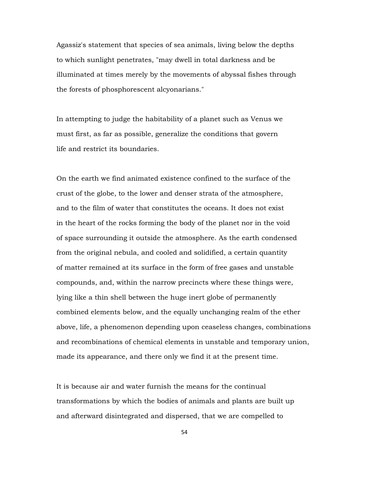Agassiz's statement that species of sea animals, living below the depths to which sunlight penetrates, "may dwell in total darkness and be illuminated at times merely by the movements of abyssal fishes through the forests of phosphorescent alcyonarians."

In attempting to judge the habitability of a planet such as Venus we must first, as far as possible, generalize the conditions that govern life and restrict its boundaries.

On the earth we find animated existence confined to the surface of the crust of the globe, to the lower and denser strata of the atmosphere, and to the film of water that constitutes the oceans. It does not exist in the heart of the rocks forming the body of the planet nor in the void of space surrounding it outside the atmosphere. As the earth condensed from the original nebula, and cooled and solidified, a certain quantity of matter remained at its surface in the form of free gases and unstable compounds, and, within the narrow precincts where these things were, lying like a thin shell between the huge inert globe of permanently combined elements below, and the equally unchanging realm of the ether above, life, a phenomenon depending upon ceaseless changes, combinations and recombinations of chemical elements in unstable and temporary union, made its appearance, and there only we find it at the present time.

It is because air and water furnish the means for the continual transformations by which the bodies of animals and plants are built up and afterward disintegrated and dispersed, that we are compelled to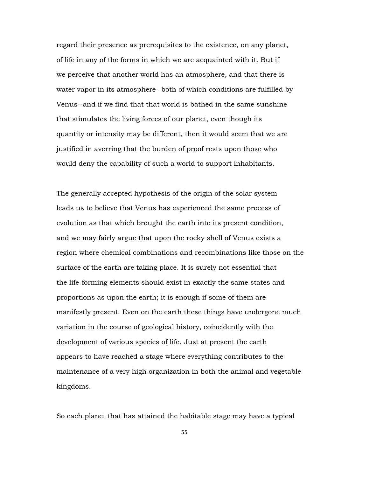regard their presence as prerequisites to the existence, on any planet, of life in any of the forms in which we are acquainted with it. But if we perceive that another world has an atmosphere, and that there is water vapor in its atmosphere--both of which conditions are fulfilled by Venus--and if we find that that world is bathed in the same sunshine that stimulates the living forces of our planet, even though its quantity or intensity may be different, then it would seem that we are justified in averring that the burden of proof rests upon those who would deny the capability of such a world to support inhabitants.

The generally accepted hypothesis of the origin of the solar system leads us to believe that Venus has experienced the same process of evolution as that which brought the earth into its present condition, and we may fairly argue that upon the rocky shell of Venus exists a region where chemical combinations and recombinations like those on the surface of the earth are taking place. It is surely not essential that the life-forming elements should exist in exactly the same states and proportions as upon the earth; it is enough if some of them are manifestly present. Even on the earth these things have undergone much variation in the course of geological history, coincidently with the development of various species of life. Just at present the earth appears to have reached a stage where everything contributes to the maintenance of a very high organization in both the animal and vegetable kingdoms.

So each planet that has attained the habitable stage may have a typical

55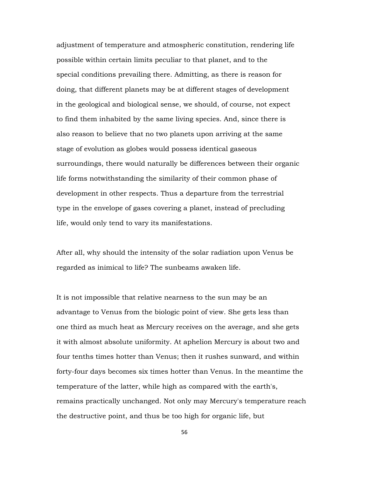adjustment of temperature and atmospheric constitution, rendering life possible within certain limits peculiar to that planet, and to the special conditions prevailing there. Admitting, as there is reason for doing, that different planets may be at different stages of development in the geological and biological sense, we should, of course, not expect to find them inhabited by the same living species. And, since there is also reason to believe that no two planets upon arriving at the same stage of evolution as globes would possess identical gaseous surroundings, there would naturally be differences between their organic life forms notwithstanding the similarity of their common phase of development in other respects. Thus a departure from the terrestrial type in the envelope of gases covering a planet, instead of precluding life, would only tend to vary its manifestations.

After all, why should the intensity of the solar radiation upon Venus be regarded as inimical to life? The sunbeams awaken life.

It is not impossible that relative nearness to the sun may be an advantage to Venus from the biologic point of view. She gets less than one third as much heat as Mercury receives on the average, and she gets it with almost absolute uniformity. At aphelion Mercury is about two and four tenths times hotter than Venus; then it rushes sunward, and within forty-four days becomes six times hotter than Venus. In the meantime the temperature of the latter, while high as compared with the earth's, remains practically unchanged. Not only may Mercury's temperature reach the destructive point, and thus be too high for organic life, but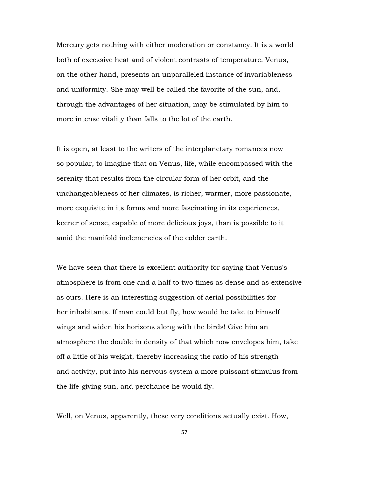Mercury gets nothing with either moderation or constancy. It is a world both of excessive heat and of violent contrasts of temperature. Venus, on the other hand, presents an unparalleled instance of invariableness and uniformity. She may well be called the favorite of the sun, and, through the advantages of her situation, may be stimulated by him to more intense vitality than falls to the lot of the earth.

It is open, at least to the writers of the interplanetary romances now so popular, to imagine that on Venus, life, while encompassed with the serenity that results from the circular form of her orbit, and the unchangeableness of her climates, is richer, warmer, more passionate, more exquisite in its forms and more fascinating in its experiences, keener of sense, capable of more delicious joys, than is possible to it amid the manifold inclemencies of the colder earth.

We have seen that there is excellent authority for saying that Venus's atmosphere is from one and a half to two times as dense and as extensive as ours. Here is an interesting suggestion of aerial possibilities for her inhabitants. If man could but fly, how would he take to himself wings and widen his horizons along with the birds! Give him an atmosphere the double in density of that which now envelopes him, take off a little of his weight, thereby increasing the ratio of his strength and activity, put into his nervous system a more puissant stimulus from the life-giving sun, and perchance he would fly.

Well, on Venus, apparently, these very conditions actually exist. How,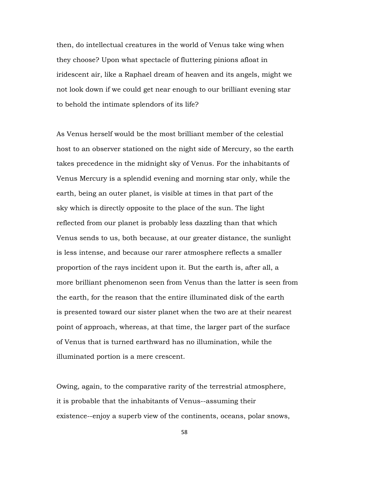then, do intellectual creatures in the world of Venus take wing when they choose? Upon what spectacle of fluttering pinions afloat in iridescent air, like a Raphael dream of heaven and its angels, might we not look down if we could get near enough to our brilliant evening star to behold the intimate splendors of its life?

As Venus herself would be the most brilliant member of the celestial host to an observer stationed on the night side of Mercury, so the earth takes precedence in the midnight sky of Venus. For the inhabitants of Venus Mercury is a splendid evening and morning star only, while the earth, being an outer planet, is visible at times in that part of the sky which is directly opposite to the place of the sun. The light reflected from our planet is probably less dazzling than that which Venus sends to us, both because, at our greater distance, the sunlight is less intense, and because our rarer atmosphere reflects a smaller proportion of the rays incident upon it. But the earth is, after all, a more brilliant phenomenon seen from Venus than the latter is seen from the earth, for the reason that the entire illuminated disk of the earth is presented toward our sister planet when the two are at their nearest point of approach, whereas, at that time, the larger part of the surface of Venus that is turned earthward has no illumination, while the illuminated portion is a mere crescent.

Owing, again, to the comparative rarity of the terrestrial atmosphere, it is probable that the inhabitants of Venus--assuming their existence--enjoy a superb view of the continents, oceans, polar snows,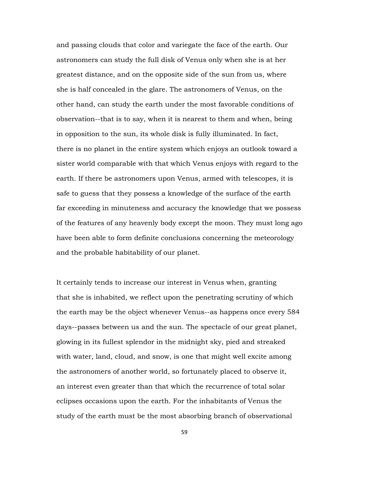and passing clouds that color and variegate the face of the earth. Our astronomers can study the full disk of Venus only when she is at her greatest distance, and on the opposite side of the sun from us, where she is half concealed in the glare. The astronomers of Venus, on the other hand, can study the earth under the most favorable conditions of observation--that is to say, when it is nearest to them and when, being in opposition to the sun, its whole disk is fully illuminated. In fact, there is no planet in the entire system which enjoys an outlook toward a sister world comparable with that which Venus enjoys with regard to the earth. If there be astronomers upon Venus, armed with telescopes, it is safe to guess that they possess a knowledge of the surface of the earth far exceeding in minuteness and accuracy the knowledge that we possess of the features of any heavenly body except the moon. They must long ago have been able to form definite conclusions concerning the meteorology and the probable habitability of our planet.

It certainly tends to increase our interest in Venus when, granting that she is inhabited, we reflect upon the penetrating scrutiny of which the earth may be the object whenever Venus--as happens once every 584 days--passes between us and the sun. The spectacle of our great planet, glowing in its fullest splendor in the midnight sky, pied and streaked with water, land, cloud, and snow, is one that might well excite among the astronomers of another world, so fortunately placed to observe it, an interest even greater than that which the recurrence of total solar eclipses occasions upon the earth. For the inhabitants of Venus the study of the earth must be the most absorbing branch of observational

59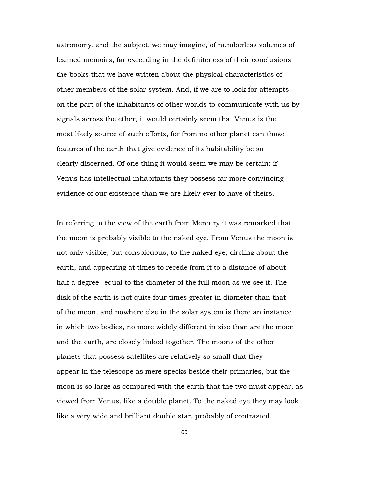astronomy, and the subject, we may imagine, of numberless volumes of learned memoirs, far exceeding in the definiteness of their conclusions the books that we have written about the physical characteristics of other members of the solar system. And, if we are to look for attempts on the part of the inhabitants of other worlds to communicate with us by signals across the ether, it would certainly seem that Venus is the most likely source of such efforts, for from no other planet can those features of the earth that give evidence of its habitability be so clearly discerned. Of one thing it would seem we may be certain: if Venus has intellectual inhabitants they possess far more convincing evidence of our existence than we are likely ever to have of theirs.

In referring to the view of the earth from Mercury it was remarked that the moon is probably visible to the naked eye. From Venus the moon is not only visible, but conspicuous, to the naked eye, circling about the earth, and appearing at times to recede from it to a distance of about half a degree--equal to the diameter of the full moon as we see it. The disk of the earth is not quite four times greater in diameter than that of the moon, and nowhere else in the solar system is there an instance in which two bodies, no more widely different in size than are the moon and the earth, are closely linked together. The moons of the other planets that possess satellites are relatively so small that they appear in the telescope as mere specks beside their primaries, but the moon is so large as compared with the earth that the two must appear, as viewed from Venus, like a double planet. To the naked eye they may look like a very wide and brilliant double star, probably of contrasted

60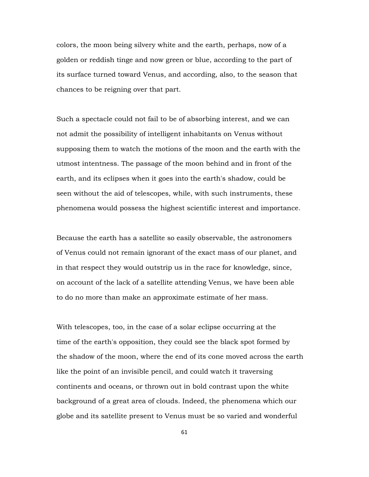colors, the moon being silvery white and the earth, perhaps, now of a golden or reddish tinge and now green or blue, according to the part of its surface turned toward Venus, and according, also, to the season that chances to be reigning over that part.

Such a spectacle could not fail to be of absorbing interest, and we can not admit the possibility of intelligent inhabitants on Venus without supposing them to watch the motions of the moon and the earth with the utmost intentness. The passage of the moon behind and in front of the earth, and its eclipses when it goes into the earth's shadow, could be seen without the aid of telescopes, while, with such instruments, these phenomena would possess the highest scientific interest and importance.

Because the earth has a satellite so easily observable, the astronomers of Venus could not remain ignorant of the exact mass of our planet, and in that respect they would outstrip us in the race for knowledge, since, on account of the lack of a satellite attending Venus, we have been able to do no more than make an approximate estimate of her mass.

With telescopes, too, in the case of a solar eclipse occurring at the time of the earth's opposition, they could see the black spot formed by the shadow of the moon, where the end of its cone moved across the earth like the point of an invisible pencil, and could watch it traversing continents and oceans, or thrown out in bold contrast upon the white background of a great area of clouds. Indeed, the phenomena which our globe and its satellite present to Venus must be so varied and wonderful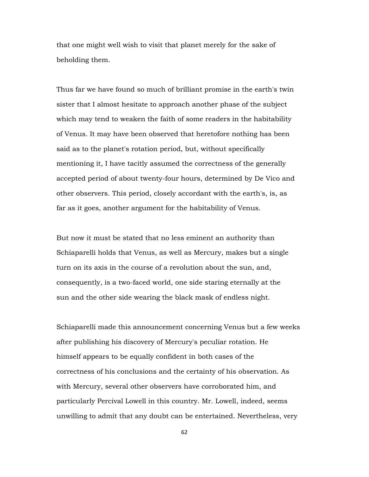that one might well wish to visit that planet merely for the sake of beholding them.

Thus far we have found so much of brilliant promise in the earth's twin sister that I almost hesitate to approach another phase of the subject which may tend to weaken the faith of some readers in the habitability of Venus. It may have been observed that heretofore nothing has been said as to the planet's rotation period, but, without specifically mentioning it, I have tacitly assumed the correctness of the generally accepted period of about twenty-four hours, determined by De Vico and other observers. This period, closely accordant with the earth's, is, as far as it goes, another argument for the habitability of Venus.

But now it must be stated that no less eminent an authority than Schiaparelli holds that Venus, as well as Mercury, makes but a single turn on its axis in the course of a revolution about the sun, and, consequently, is a two-faced world, one side staring eternally at the sun and the other side wearing the black mask of endless night.

Schiaparelli made this announcement concerning Venus but a few weeks after publishing his discovery of Mercury's peculiar rotation. He himself appears to be equally confident in both cases of the correctness of his conclusions and the certainty of his observation. As with Mercury, several other observers have corroborated him, and particularly Percival Lowell in this country. Mr. Lowell, indeed, seems unwilling to admit that any doubt can be entertained. Nevertheless, very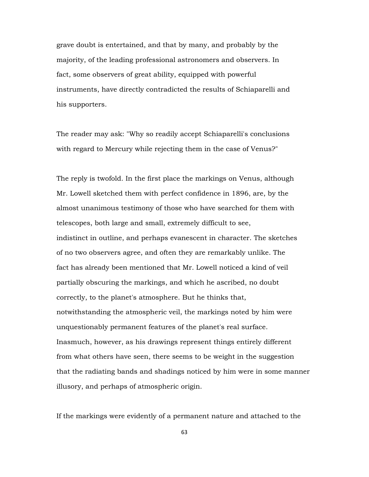grave doubt is entertained, and that by many, and probably by the majority, of the leading professional astronomers and observers. In fact, some observers of great ability, equipped with powerful instruments, have directly contradicted the results of Schiaparelli and his supporters.

The reader may ask: "Why so readily accept Schiaparelli's conclusions with regard to Mercury while rejecting them in the case of Venus?"

The reply is twofold. In the first place the markings on Venus, although Mr. Lowell sketched them with perfect confidence in 1896, are, by the almost unanimous testimony of those who have searched for them with telescopes, both large and small, extremely difficult to see, indistinct in outline, and perhaps evanescent in character. The sketches of no two observers agree, and often they are remarkably unlike. The fact has already been mentioned that Mr. Lowell noticed a kind of veil partially obscuring the markings, and which he ascribed, no doubt correctly, to the planet's atmosphere. But he thinks that, notwithstanding the atmospheric veil, the markings noted by him were unquestionably permanent features of the planet's real surface. Inasmuch, however, as his drawings represent things entirely different from what others have seen, there seems to be weight in the suggestion that the radiating bands and shadings noticed by him were in some manner illusory, and perhaps of atmospheric origin.

If the markings were evidently of a permanent nature and attached to the

63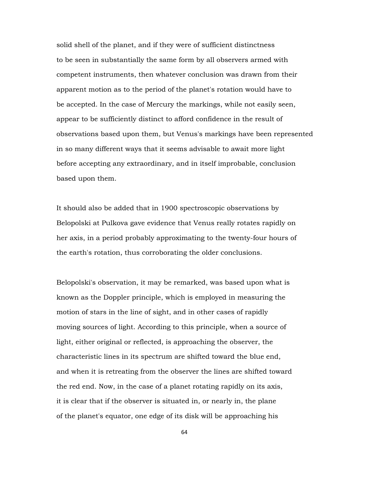solid shell of the planet, and if they were of sufficient distinctness to be seen in substantially the same form by all observers armed with competent instruments, then whatever conclusion was drawn from their apparent motion as to the period of the planet's rotation would have to be accepted. In the case of Mercury the markings, while not easily seen, appear to be sufficiently distinct to afford confidence in the result of observations based upon them, but Venus's markings have been represented in so many different ways that it seems advisable to await more light before accepting any extraordinary, and in itself improbable, conclusion based upon them.

It should also be added that in 1900 spectroscopic observations by Belopolski at Pulkova gave evidence that Venus really rotates rapidly on her axis, in a period probably approximating to the twenty-four hours of the earth's rotation, thus corroborating the older conclusions.

Belopolski's observation, it may be remarked, was based upon what is known as the Doppler principle, which is employed in measuring the motion of stars in the line of sight, and in other cases of rapidly moving sources of light. According to this principle, when a source of light, either original or reflected, is approaching the observer, the characteristic lines in its spectrum are shifted toward the blue end, and when it is retreating from the observer the lines are shifted toward the red end. Now, in the case of a planet rotating rapidly on its axis, it is clear that if the observer is situated in, or nearly in, the plane of the planet's equator, one edge of its disk will be approaching his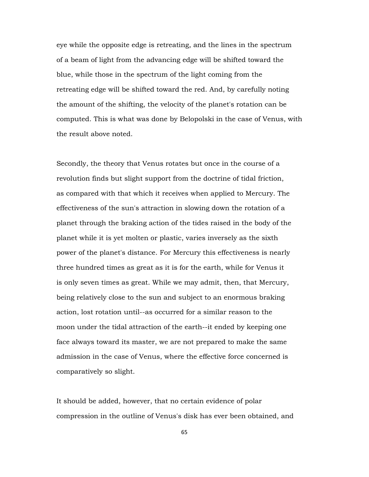eye while the opposite edge is retreating, and the lines in the spectrum of a beam of light from the advancing edge will be shifted toward the blue, while those in the spectrum of the light coming from the retreating edge will be shifted toward the red. And, by carefully noting the amount of the shifting, the velocity of the planet's rotation can be computed. This is what was done by Belopolski in the case of Venus, with the result above noted.

Secondly, the theory that Venus rotates but once in the course of a revolution finds but slight support from the doctrine of tidal friction, as compared with that which it receives when applied to Mercury. The effectiveness of the sun's attraction in slowing down the rotation of a planet through the braking action of the tides raised in the body of the planet while it is yet molten or plastic, varies inversely as the sixth power of the planet's distance. For Mercury this effectiveness is nearly three hundred times as great as it is for the earth, while for Venus it is only seven times as great. While we may admit, then, that Mercury, being relatively close to the sun and subject to an enormous braking action, lost rotation until--as occurred for a similar reason to the moon under the tidal attraction of the earth--it ended by keeping one face always toward its master, we are not prepared to make the same admission in the case of Venus, where the effective force concerned is comparatively so slight.

It should be added, however, that no certain evidence of polar compression in the outline of Venus's disk has ever been obtained, and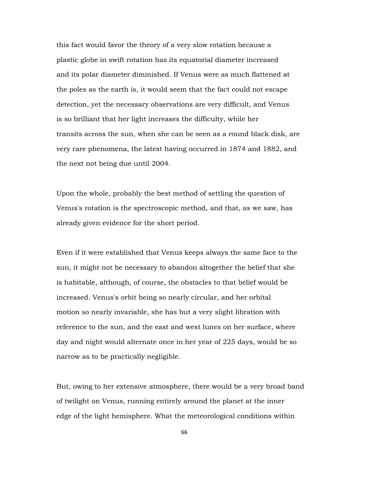this fact would favor the theory of a very slow rotation because a plastic globe in swift rotation has its equatorial diameter increased and its polar diameter diminished. If Venus were as much flattened at the poles as the earth is, it would seem that the fact could not escape detection, yet the necessary observations are very difficult, and Venus is so brilliant that her light increases the difficulty, while her transits across the sun, when she can be seen as a round black disk, are very rare phenomena, the latest having occurred in 1874 and 1882, and the next not being due until 2004.

Upon the whole, probably the best method of settling the question of Venus's rotation is the spectroscopic method, and that, as we saw, has already given evidence for the short period.

Even if it were established that Venus keeps always the same face to the sun, it might not be necessary to abandon altogether the belief that she is habitable, although, of course, the obstacles to that belief would be increased. Venus's orbit being so nearly circular, and her orbital motion so nearly invariable, she has but a very slight libration with reference to the sun, and the east and west lunes on her surface, where day and night would alternate once in her year of 225 days, would be so narrow as to be practically negligible.

But, owing to her extensive atmosphere, there would be a very broad band of twilight on Venus, running entirely around the planet at the inner edge of the light hemisphere. What the meteorological conditions within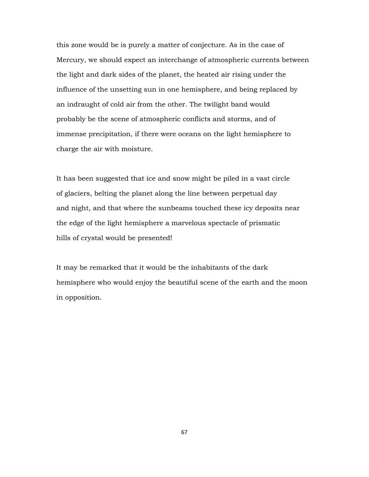this zone would be is purely a matter of conjecture. As in the case of Mercury, we should expect an interchange of atmospheric currents between the light and dark sides of the planet, the heated air rising under the influence of the unsetting sun in one hemisphere, and being replaced by an indraught of cold air from the other. The twilight band would probably be the scene of atmospheric conflicts and storms, and of immense precipitation, if there were oceans on the light hemisphere to charge the air with moisture.

It has been suggested that ice and snow might be piled in a vast circle of glaciers, belting the planet along the line between perpetual day and night, and that where the sunbeams touched these icy deposits near the edge of the light hemisphere a marvelous spectacle of prismatic hills of crystal would be presented!

It may be remarked that it would be the inhabitants of the dark hemisphere who would enjoy the beautiful scene of the earth and the moon in opposition.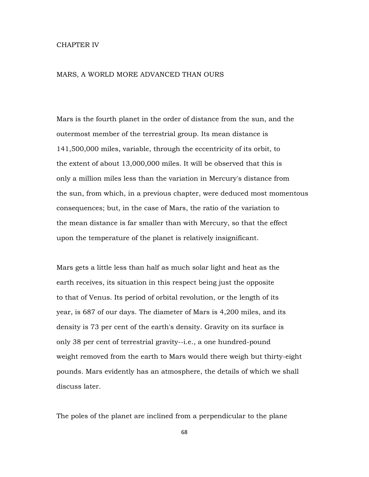## CHAPTER IV

## MARS, A WORLD MORE ADVANCED THAN OURS

Mars is the fourth planet in the order of distance from the sun, and the outermost member of the terrestrial group. Its mean distance is 141,500,000 miles, variable, through the eccentricity of its orbit, to the extent of about 13,000,000 miles. It will be observed that this is only a million miles less than the variation in Mercury's distance from the sun, from which, in a previous chapter, were deduced most momentous consequences; but, in the case of Mars, the ratio of the variation to the mean distance is far smaller than with Mercury, so that the effect upon the temperature of the planet is relatively insignificant.

Mars gets a little less than half as much solar light and heat as the earth receives, its situation in this respect being just the opposite to that of Venus. Its period of orbital revolution, or the length of its year, is 687 of our days. The diameter of Mars is 4,200 miles, and its density is 73 per cent of the earth's density. Gravity on its surface is only 38 per cent of terrestrial gravity--i.e., a one hundred-pound weight removed from the earth to Mars would there weigh but thirty-eight pounds. Mars evidently has an atmosphere, the details of which we shall discuss later.

The poles of the planet are inclined from a perpendicular to the plane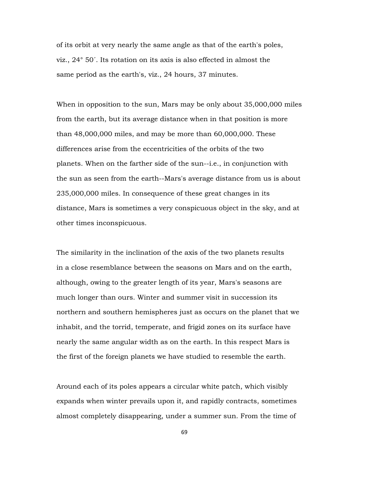of its orbit at very nearly the same angle as that of the earth's poles, viz., 24° 50´. Its rotation on its axis is also effected in almost the same period as the earth's, viz., 24 hours, 37 minutes.

When in opposition to the sun, Mars may be only about 35,000,000 miles from the earth, but its average distance when in that position is more than 48,000,000 miles, and may be more than 60,000,000. These differences arise from the eccentricities of the orbits of the two planets. When on the farther side of the sun--i.e., in conjunction with the sun as seen from the earth--Mars's average distance from us is about 235,000,000 miles. In consequence of these great changes in its distance, Mars is sometimes a very conspicuous object in the sky, and at other times inconspicuous.

The similarity in the inclination of the axis of the two planets results in a close resemblance between the seasons on Mars and on the earth, although, owing to the greater length of its year, Mars's seasons are much longer than ours. Winter and summer visit in succession its northern and southern hemispheres just as occurs on the planet that we inhabit, and the torrid, temperate, and frigid zones on its surface have nearly the same angular width as on the earth. In this respect Mars is the first of the foreign planets we have studied to resemble the earth.

Around each of its poles appears a circular white patch, which visibly expands when winter prevails upon it, and rapidly contracts, sometimes almost completely disappearing, under a summer sun. From the time of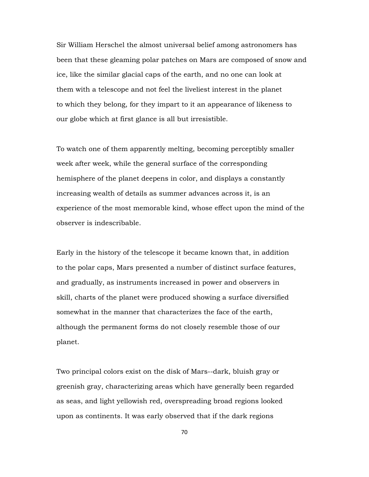Sir William Herschel the almost universal belief among astronomers has been that these gleaming polar patches on Mars are composed of snow and ice, like the similar glacial caps of the earth, and no one can look at them with a telescope and not feel the liveliest interest in the planet to which they belong, for they impart to it an appearance of likeness to our globe which at first glance is all but irresistible.

To watch one of them apparently melting, becoming perceptibly smaller week after week, while the general surface of the corresponding hemisphere of the planet deepens in color, and displays a constantly increasing wealth of details as summer advances across it, is an experience of the most memorable kind, whose effect upon the mind of the observer is indescribable.

Early in the history of the telescope it became known that, in addition to the polar caps, Mars presented a number of distinct surface features, and gradually, as instruments increased in power and observers in skill, charts of the planet were produced showing a surface diversified somewhat in the manner that characterizes the face of the earth, although the permanent forms do not closely resemble those of our planet.

Two principal colors exist on the disk of Mars--dark, bluish gray or greenish gray, characterizing areas which have generally been regarded as seas, and light yellowish red, overspreading broad regions looked upon as continents. It was early observed that if the dark regions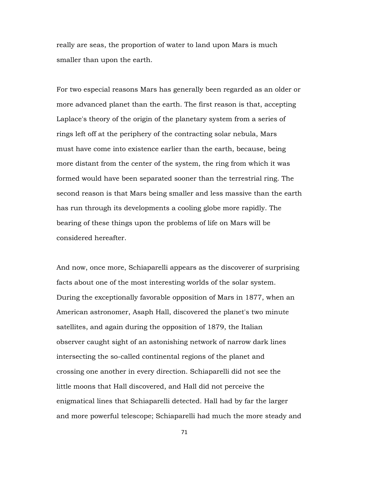really are seas, the proportion of water to land upon Mars is much smaller than upon the earth.

For two especial reasons Mars has generally been regarded as an older or more advanced planet than the earth. The first reason is that, accepting Laplace's theory of the origin of the planetary system from a series of rings left off at the periphery of the contracting solar nebula, Mars must have come into existence earlier than the earth, because, being more distant from the center of the system, the ring from which it was formed would have been separated sooner than the terrestrial ring. The second reason is that Mars being smaller and less massive than the earth has run through its developments a cooling globe more rapidly. The bearing of these things upon the problems of life on Mars will be considered hereafter.

And now, once more, Schiaparelli appears as the discoverer of surprising facts about one of the most interesting worlds of the solar system. During the exceptionally favorable opposition of Mars in 1877, when an American astronomer, Asaph Hall, discovered the planet's two minute satellites, and again during the opposition of 1879, the Italian observer caught sight of an astonishing network of narrow dark lines intersecting the so-called continental regions of the planet and crossing one another in every direction. Schiaparelli did not see the little moons that Hall discovered, and Hall did not perceive the enigmatical lines that Schiaparelli detected. Hall had by far the larger and more powerful telescope; Schiaparelli had much the more steady and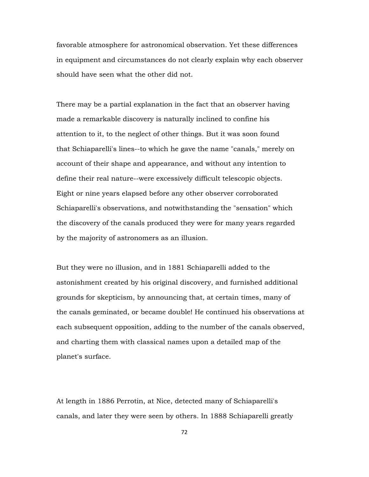favorable atmosphere for astronomical observation. Yet these differences in equipment and circumstances do not clearly explain why each observer should have seen what the other did not.

There may be a partial explanation in the fact that an observer having made a remarkable discovery is naturally inclined to confine his attention to it, to the neglect of other things. But it was soon found that Schiaparelli's lines--to which he gave the name "canals," merely on account of their shape and appearance, and without any intention to define their real nature--were excessively difficult telescopic objects. Eight or nine years elapsed before any other observer corroborated Schiaparelli's observations, and notwithstanding the "sensation" which the discovery of the canals produced they were for many years regarded by the majority of astronomers as an illusion.

But they were no illusion, and in 1881 Schiaparelli added to the astonishment created by his original discovery, and furnished additional grounds for skepticism, by announcing that, at certain times, many of the canals geminated, or became double! He continued his observations at each subsequent opposition, adding to the number of the canals observed, and charting them with classical names upon a detailed map of the planet's surface.

At length in 1886 Perrotin, at Nice, detected many of Schiaparelli's canals, and later they were seen by others. In 1888 Schiaparelli greatly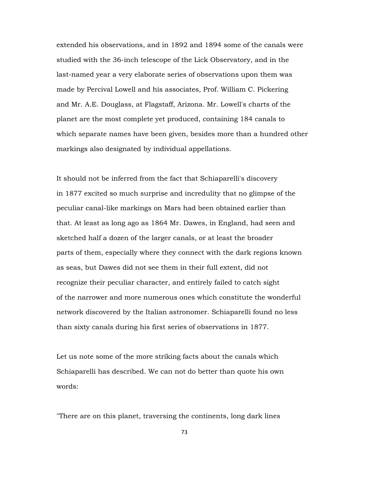extended his observations, and in 1892 and 1894 some of the canals were studied with the 36-inch telescope of the Lick Observatory, and in the last-named year a very elaborate series of observations upon them was made by Percival Lowell and his associates, Prof. William C. Pickering and Mr. A.E. Douglass, at Flagstaff, Arizona. Mr. Lowell's charts of the planet are the most complete yet produced, containing 184 canals to which separate names have been given, besides more than a hundred other markings also designated by individual appellations.

It should not be inferred from the fact that Schiaparelli's discovery in 1877 excited so much surprise and incredulity that no glimpse of the peculiar canal-like markings on Mars had been obtained earlier than that. At least as long ago as 1864 Mr. Dawes, in England, had seen and sketched half a dozen of the larger canals, or at least the broader parts of them, especially where they connect with the dark regions known as seas, but Dawes did not see them in their full extent, did not recognize their peculiar character, and entirely failed to catch sight of the narrower and more numerous ones which constitute the wonderful network discovered by the Italian astronomer. Schiaparelli found no less than sixty canals during his first series of observations in 1877.

Let us note some of the more striking facts about the canals which Schiaparelli has described. We can not do better than quote his own words:

"There are on this planet, traversing the continents, long dark lines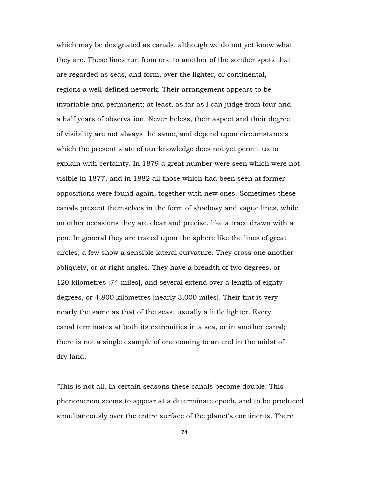which may be designated as canals, although we do not yet know what they are. These lines run from one to another of the somber spots that are regarded as seas, and form, over the lighter, or continental, regions a well-defined network. Their arrangement appears to be invariable and permanent; at least, as far as I can judge from four and a half years of observation. Nevertheless, their aspect and their degree of visibility are not always the same, and depend upon circumstances which the present state of our knowledge does not yet permit us to explain with certainty. In 1879 a great number were seen which were not visible in 1877, and in 1882 all those which had been seen at former oppositions were found again, together with new ones. Sometimes these canals present themselves in the form of shadowy and vague lines, while on other occasions they are clear and precise, like a trace drawn with a pen. In general they are traced upon the sphere like the lines of great circles; a few show a sensible lateral curvature. They cross one another obliquely, or at right angles. They have a breadth of two degrees, or 120 kilometres [74 miles], and several extend over a length of eighty degrees, or 4,800 kilometres [nearly 3,000 miles]. Their tint is very nearly the same as that of the seas, usually a little lighter. Every canal terminates at both its extremities in a sea, or in another canal; there is not a single example of one coming to an end in the midst of dry land.

"This is not all. In certain seasons these canals become double. This phenomenon seems to appear at a determinate epoch, and to be produced simultaneously over the entire surface of the planet's continents. There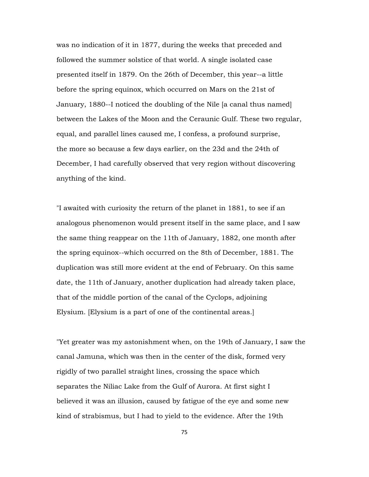was no indication of it in 1877, during the weeks that preceded and followed the summer solstice of that world. A single isolated case presented itself in 1879. On the 26th of December, this year--a little before the spring equinox, which occurred on Mars on the 21st of January, 1880--I noticed the doubling of the Nile [a canal thus named] between the Lakes of the Moon and the Ceraunic Gulf. These two regular, equal, and parallel lines caused me, I confess, a profound surprise, the more so because a few days earlier, on the 23d and the 24th of December, I had carefully observed that very region without discovering anything of the kind.

"I awaited with curiosity the return of the planet in 1881, to see if an analogous phenomenon would present itself in the same place, and I saw the same thing reappear on the 11th of January, 1882, one month after the spring equinox--which occurred on the 8th of December, 1881. The duplication was still more evident at the end of February. On this same date, the 11th of January, another duplication had already taken place, that of the middle portion of the canal of the Cyclops, adjoining Elysium. [Elysium is a part of one of the continental areas.]

"Yet greater was my astonishment when, on the 19th of January, I saw the canal Jamuna, which was then in the center of the disk, formed very rigidly of two parallel straight lines, crossing the space which separates the Niliac Lake from the Gulf of Aurora. At first sight I believed it was an illusion, caused by fatigue of the eye and some new kind of strabismus, but I had to yield to the evidence. After the 19th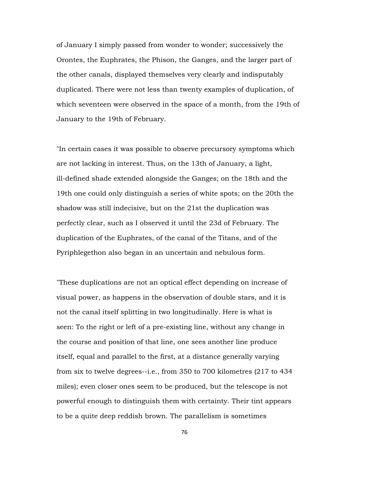of January I simply passed from wonder to wonder; successively the Orontes, the Euphrates, the Phison, the Ganges, and the larger part of the other canals, displayed themselves very clearly and indisputably duplicated. There were not less than twenty examples of duplication, of which seventeen were observed in the space of a month, from the 19th of January to the 19th of February.

"In certain cases it was possible to observe precursory symptoms which are not lacking in interest. Thus, on the 13th of January, a light, ill-defined shade extended alongside the Ganges; on the 18th and the 19th one could only distinguish a series of white spots; on the 20th the shadow was still indecisive, but on the 21st the duplication was perfectly clear, such as I observed it until the 23d of February. The duplication of the Euphrates, of the canal of the Titans, and of the Pyriphlegethon also began in an uncertain and nebulous form.

"These duplications are not an optical effect depending on increase of visual power, as happens in the observation of double stars, and it is not the canal itself splitting in two longitudinally. Here is what is seen: To the right or left of a pre-existing line, without any change in the course and position of that line, one sees another line produce itself, equal and parallel to the first, at a distance generally varying from six to twelve degrees--i.e., from 350 to 700 kilometres (217 to 434 miles); even closer ones seem to be produced, but the telescope is not powerful enough to distinguish them with certainty. Their tint appears to be a quite deep reddish brown. The parallelism is sometimes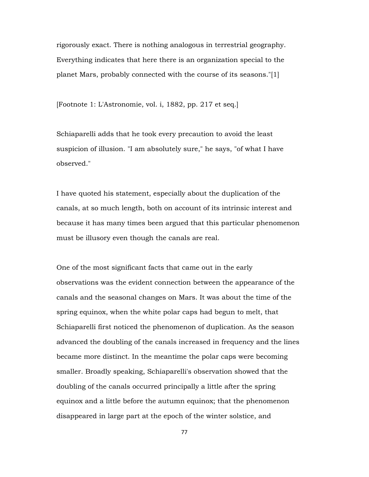rigorously exact. There is nothing analogous in terrestrial geography. Everything indicates that here there is an organization special to the planet Mars, probably connected with the course of its seasons."[1]

[Footnote 1: L'Astronomie, vol. i, 1882, pp. 217 et seq.]

Schiaparelli adds that he took every precaution to avoid the least suspicion of illusion. "I am absolutely sure," he says, "of what I have observed."

I have quoted his statement, especially about the duplication of the canals, at so much length, both on account of its intrinsic interest and because it has many times been argued that this particular phenomenon must be illusory even though the canals are real.

One of the most significant facts that came out in the early observations was the evident connection between the appearance of the canals and the seasonal changes on Mars. It was about the time of the spring equinox, when the white polar caps had begun to melt, that Schiaparelli first noticed the phenomenon of duplication. As the season advanced the doubling of the canals increased in frequency and the lines became more distinct. In the meantime the polar caps were becoming smaller. Broadly speaking, Schiaparelli's observation showed that the doubling of the canals occurred principally a little after the spring equinox and a little before the autumn equinox; that the phenomenon disappeared in large part at the epoch of the winter solstice, and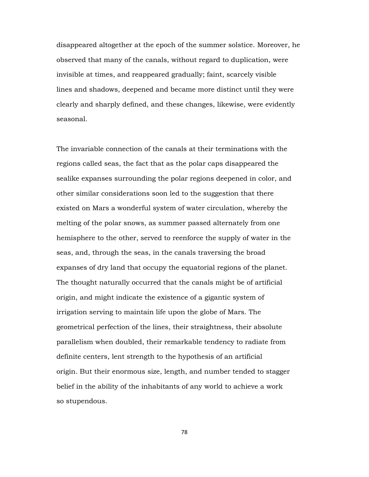disappeared altogether at the epoch of the summer solstice. Moreover, he observed that many of the canals, without regard to duplication, were invisible at times, and reappeared gradually; faint, scarcely visible lines and shadows, deepened and became more distinct until they were clearly and sharply defined, and these changes, likewise, were evidently seasonal.

The invariable connection of the canals at their terminations with the regions called seas, the fact that as the polar caps disappeared the sealike expanses surrounding the polar regions deepened in color, and other similar considerations soon led to the suggestion that there existed on Mars a wonderful system of water circulation, whereby the melting of the polar snows, as summer passed alternately from one hemisphere to the other, served to reenforce the supply of water in the seas, and, through the seas, in the canals traversing the broad expanses of dry land that occupy the equatorial regions of the planet. The thought naturally occurred that the canals might be of artificial origin, and might indicate the existence of a gigantic system of irrigation serving to maintain life upon the globe of Mars. The geometrical perfection of the lines, their straightness, their absolute parallelism when doubled, their remarkable tendency to radiate from definite centers, lent strength to the hypothesis of an artificial origin. But their enormous size, length, and number tended to stagger belief in the ability of the inhabitants of any world to achieve a work so stupendous.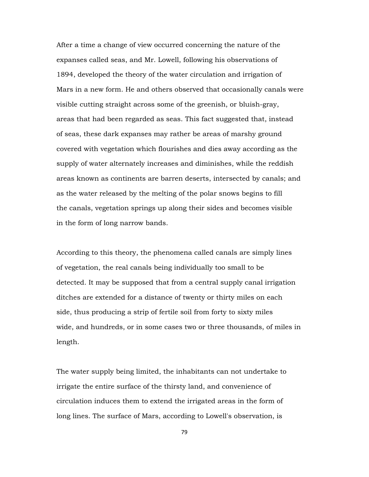After a time a change of view occurred concerning the nature of the expanses called seas, and Mr. Lowell, following his observations of 1894, developed the theory of the water circulation and irrigation of Mars in a new form. He and others observed that occasionally canals were visible cutting straight across some of the greenish, or bluish-gray, areas that had been regarded as seas. This fact suggested that, instead of seas, these dark expanses may rather be areas of marshy ground covered with vegetation which flourishes and dies away according as the supply of water alternately increases and diminishes, while the reddish areas known as continents are barren deserts, intersected by canals; and as the water released by the melting of the polar snows begins to fill the canals, vegetation springs up along their sides and becomes visible in the form of long narrow bands.

According to this theory, the phenomena called canals are simply lines of vegetation, the real canals being individually too small to be detected. It may be supposed that from a central supply canal irrigation ditches are extended for a distance of twenty or thirty miles on each side, thus producing a strip of fertile soil from forty to sixty miles wide, and hundreds, or in some cases two or three thousands, of miles in length.

The water supply being limited, the inhabitants can not undertake to irrigate the entire surface of the thirsty land, and convenience of circulation induces them to extend the irrigated areas in the form of long lines. The surface of Mars, according to Lowell's observation, is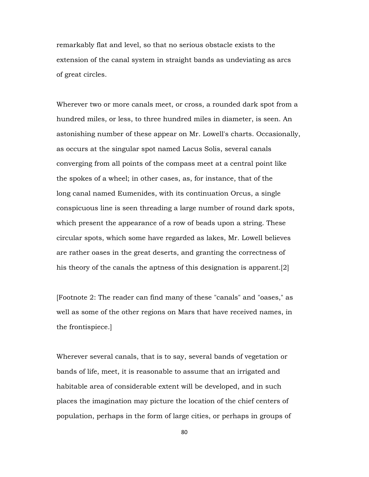remarkably flat and level, so that no serious obstacle exists to the extension of the canal system in straight bands as undeviating as arcs of great circles.

Wherever two or more canals meet, or cross, a rounded dark spot from a hundred miles, or less, to three hundred miles in diameter, is seen. An astonishing number of these appear on Mr. Lowell's charts. Occasionally, as occurs at the singular spot named Lacus Solis, several canals converging from all points of the compass meet at a central point like the spokes of a wheel; in other cases, as, for instance, that of the long canal named Eumenides, with its continuation Orcus, a single conspicuous line is seen threading a large number of round dark spots, which present the appearance of a row of beads upon a string. These circular spots, which some have regarded as lakes, Mr. Lowell believes are rather oases in the great deserts, and granting the correctness of his theory of the canals the aptness of this designation is apparent.[2]

[Footnote 2: The reader can find many of these "canals" and "oases," as well as some of the other regions on Mars that have received names, in the frontispiece.]

Wherever several canals, that is to say, several bands of vegetation or bands of life, meet, it is reasonable to assume that an irrigated and habitable area of considerable extent will be developed, and in such places the imagination may picture the location of the chief centers of population, perhaps in the form of large cities, or perhaps in groups of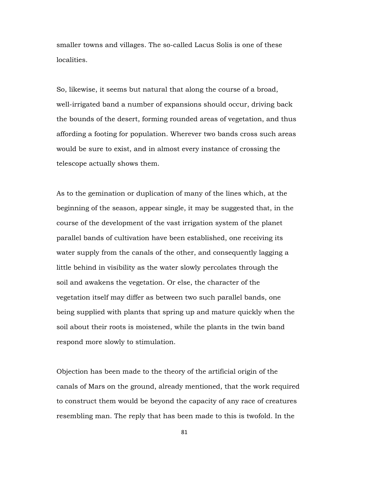smaller towns and villages. The so-called Lacus Solis is one of these localities.

So, likewise, it seems but natural that along the course of a broad, well-irrigated band a number of expansions should occur, driving back the bounds of the desert, forming rounded areas of vegetation, and thus affording a footing for population. Wherever two bands cross such areas would be sure to exist, and in almost every instance of crossing the telescope actually shows them.

As to the gemination or duplication of many of the lines which, at the beginning of the season, appear single, it may be suggested that, in the course of the development of the vast irrigation system of the planet parallel bands of cultivation have been established, one receiving its water supply from the canals of the other, and consequently lagging a little behind in visibility as the water slowly percolates through the soil and awakens the vegetation. Or else, the character of the vegetation itself may differ as between two such parallel bands, one being supplied with plants that spring up and mature quickly when the soil about their roots is moistened, while the plants in the twin band respond more slowly to stimulation.

Objection has been made to the theory of the artificial origin of the canals of Mars on the ground, already mentioned, that the work required to construct them would be beyond the capacity of any race of creatures resembling man. The reply that has been made to this is twofold. In the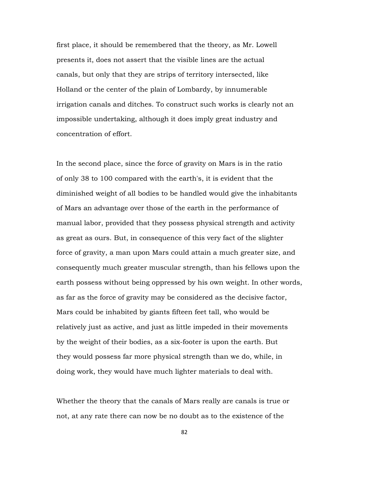first place, it should be remembered that the theory, as Mr. Lowell presents it, does not assert that the visible lines are the actual canals, but only that they are strips of territory intersected, like Holland or the center of the plain of Lombardy, by innumerable irrigation canals and ditches. To construct such works is clearly not an impossible undertaking, although it does imply great industry and concentration of effort.

In the second place, since the force of gravity on Mars is in the ratio of only 38 to 100 compared with the earth's, it is evident that the diminished weight of all bodies to be handled would give the inhabitants of Mars an advantage over those of the earth in the performance of manual labor, provided that they possess physical strength and activity as great as ours. But, in consequence of this very fact of the slighter force of gravity, a man upon Mars could attain a much greater size, and consequently much greater muscular strength, than his fellows upon the earth possess without being oppressed by his own weight. In other words, as far as the force of gravity may be considered as the decisive factor, Mars could be inhabited by giants fifteen feet tall, who would be relatively just as active, and just as little impeded in their movements by the weight of their bodies, as a six-footer is upon the earth. But they would possess far more physical strength than we do, while, in doing work, they would have much lighter materials to deal with.

Whether the theory that the canals of Mars really are canals is true or not, at any rate there can now be no doubt as to the existence of the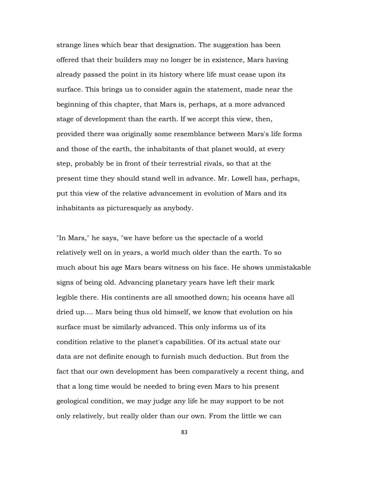strange lines which bear that designation. The suggestion has been offered that their builders may no longer be in existence, Mars having already passed the point in its history where life must cease upon its surface. This brings us to consider again the statement, made near the beginning of this chapter, that Mars is, perhaps, at a more advanced stage of development than the earth. If we accept this view, then, provided there was originally some resemblance between Mars's life forms and those of the earth, the inhabitants of that planet would, at every step, probably be in front of their terrestrial rivals, so that at the present time they should stand well in advance. Mr. Lowell has, perhaps, put this view of the relative advancement in evolution of Mars and its inhabitants as picturesquely as anybody.

"In Mars," he says, "we have before us the spectacle of a world relatively well on in years, a world much older than the earth. To so much about his age Mars bears witness on his face. He shows unmistakable signs of being old. Advancing planetary years have left their mark legible there. His continents are all smoothed down; his oceans have all dried up.... Mars being thus old himself, we know that evolution on his surface must be similarly advanced. This only informs us of its condition relative to the planet's capabilities. Of its actual state our data are not definite enough to furnish much deduction. But from the fact that our own development has been comparatively a recent thing, and that a long time would be needed to bring even Mars to his present geological condition, we may judge any life he may support to be not only relatively, but really older than our own. From the little we can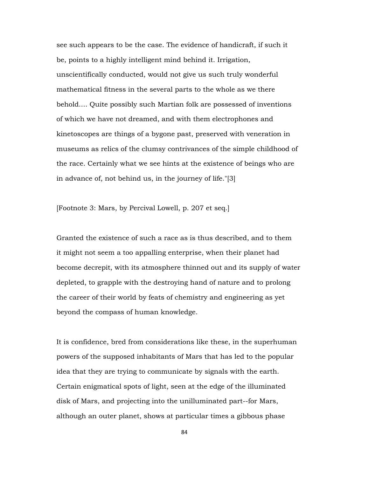see such appears to be the case. The evidence of handicraft, if such it be, points to a highly intelligent mind behind it. Irrigation, unscientifically conducted, would not give us such truly wonderful mathematical fitness in the several parts to the whole as we there behold.... Quite possibly such Martian folk are possessed of inventions of which we have not dreamed, and with them electrophones and kinetoscopes are things of a bygone past, preserved with veneration in museums as relics of the clumsy contrivances of the simple childhood of the race. Certainly what we see hints at the existence of beings who are in advance of, not behind us, in the journey of life."[3]

[Footnote 3: Mars, by Percival Lowell, p. 207 et seq.]

Granted the existence of such a race as is thus described, and to them it might not seem a too appalling enterprise, when their planet had become decrepit, with its atmosphere thinned out and its supply of water depleted, to grapple with the destroying hand of nature and to prolong the career of their world by feats of chemistry and engineering as yet beyond the compass of human knowledge.

It is confidence, bred from considerations like these, in the superhuman powers of the supposed inhabitants of Mars that has led to the popular idea that they are trying to communicate by signals with the earth. Certain enigmatical spots of light, seen at the edge of the illuminated disk of Mars, and projecting into the unilluminated part--for Mars, although an outer planet, shows at particular times a gibbous phase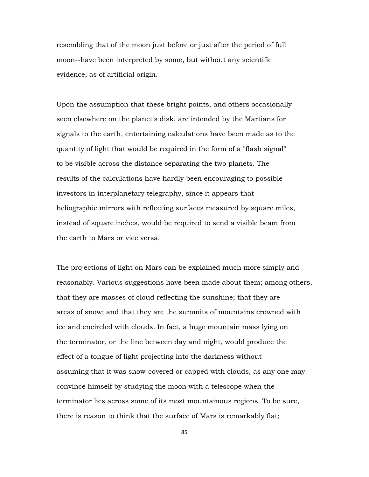resembling that of the moon just before or just after the period of full moon--have been interpreted by some, but without any scientific evidence, as of artificial origin.

Upon the assumption that these bright points, and others occasionally seen elsewhere on the planet's disk, are intended by the Martians for signals to the earth, entertaining calculations have been made as to the quantity of light that would be required in the form of a "flash signal" to be visible across the distance separating the two planets. The results of the calculations have hardly been encouraging to possible investors in interplanetary telegraphy, since it appears that heliographic mirrors with reflecting surfaces measured by square miles, instead of square inches, would be required to send a visible beam from the earth to Mars or vice versa.

The projections of light on Mars can be explained much more simply and reasonably. Various suggestions have been made about them; among others, that they are masses of cloud reflecting the sunshine; that they are areas of snow; and that they are the summits of mountains crowned with ice and encircled with clouds. In fact, a huge mountain mass lying on the terminator, or the line between day and night, would produce the effect of a tongue of light projecting into the darkness without assuming that it was snow-covered or capped with clouds, as any one may convince himself by studying the moon with a telescope when the terminator lies across some of its most mountainous regions. To be sure, there is reason to think that the surface of Mars is remarkably flat;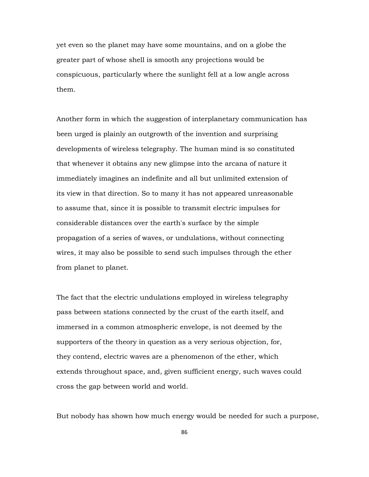yet even so the planet may have some mountains, and on a globe the greater part of whose shell is smooth any projections would be conspicuous, particularly where the sunlight fell at a low angle across them.

Another form in which the suggestion of interplanetary communication has been urged is plainly an outgrowth of the invention and surprising developments of wireless telegraphy. The human mind is so constituted that whenever it obtains any new glimpse into the arcana of nature it immediately imagines an indefinite and all but unlimited extension of its view in that direction. So to many it has not appeared unreasonable to assume that, since it is possible to transmit electric impulses for considerable distances over the earth's surface by the simple propagation of a series of waves, or undulations, without connecting wires, it may also be possible to send such impulses through the ether from planet to planet.

The fact that the electric undulations employed in wireless telegraphy pass between stations connected by the crust of the earth itself, and immersed in a common atmospheric envelope, is not deemed by the supporters of the theory in question as a very serious objection, for, they contend, electric waves are a phenomenon of the ether, which extends throughout space, and, given sufficient energy, such waves could cross the gap between world and world.

But nobody has shown how much energy would be needed for such a purpose,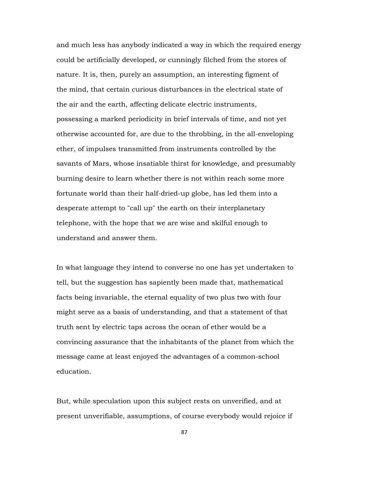and much less has anybody indicated a way in which the required energy could be artificially developed, or cunningly filched from the stores of nature. It is, then, purely an assumption, an interesting figment of the mind, that certain curious disturbances in the electrical state of the air and the earth, affecting delicate electric instruments, possessing a marked periodicity in brief intervals of time, and not yet otherwise accounted for, are due to the throbbing, in the all-enveloping ether, of impulses transmitted from instruments controlled by the savants of Mars, whose insatiable thirst for knowledge, and presumably burning desire to learn whether there is not within reach some more fortunate world than their half-dried-up globe, has led them into a desperate attempt to "call up" the earth on their interplanetary telephone, with the hope that we are wise and skilful enough to understand and answer them.

In what language they intend to converse no one has yet undertaken to tell, but the suggestion has sapiently been made that, mathematical facts being invariable, the eternal equality of two plus two with four might serve as a basis of understanding, and that a statement of that truth sent by electric taps across the ocean of ether would be a convincing assurance that the inhabitants of the planet from which the message came at least enjoyed the advantages of a common-school education.

But, while speculation upon this subject rests on unverified, and at present unverifiable, assumptions, of course everybody would rejoice if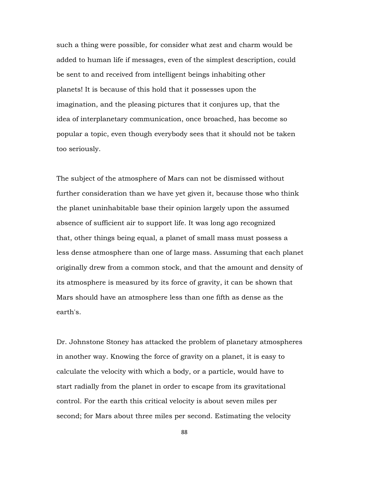such a thing were possible, for consider what zest and charm would be added to human life if messages, even of the simplest description, could be sent to and received from intelligent beings inhabiting other planets! It is because of this hold that it possesses upon the imagination, and the pleasing pictures that it conjures up, that the idea of interplanetary communication, once broached, has become so popular a topic, even though everybody sees that it should not be taken too seriously.

The subject of the atmosphere of Mars can not be dismissed without further consideration than we have yet given it, because those who think the planet uninhabitable base their opinion largely upon the assumed absence of sufficient air to support life. It was long ago recognized that, other things being equal, a planet of small mass must possess a less dense atmosphere than one of large mass. Assuming that each planet originally drew from a common stock, and that the amount and density of its atmosphere is measured by its force of gravity, it can be shown that Mars should have an atmosphere less than one fifth as dense as the earth's.

Dr. Johnstone Stoney has attacked the problem of planetary atmospheres in another way. Knowing the force of gravity on a planet, it is easy to calculate the velocity with which a body, or a particle, would have to start radially from the planet in order to escape from its gravitational control. For the earth this critical velocity is about seven miles per second; for Mars about three miles per second. Estimating the velocity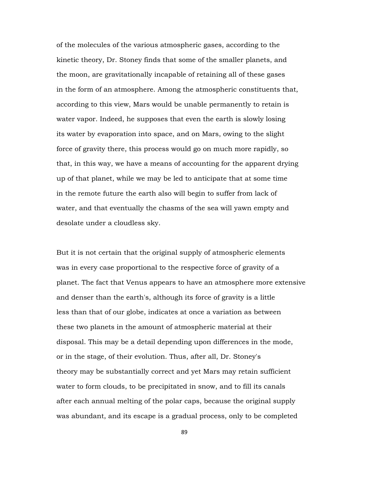of the molecules of the various atmospheric gases, according to the kinetic theory, Dr. Stoney finds that some of the smaller planets, and the moon, are gravitationally incapable of retaining all of these gases in the form of an atmosphere. Among the atmospheric constituents that, according to this view, Mars would be unable permanently to retain is water vapor. Indeed, he supposes that even the earth is slowly losing its water by evaporation into space, and on Mars, owing to the slight force of gravity there, this process would go on much more rapidly, so that, in this way, we have a means of accounting for the apparent drying up of that planet, while we may be led to anticipate that at some time in the remote future the earth also will begin to suffer from lack of water, and that eventually the chasms of the sea will yawn empty and desolate under a cloudless sky.

But it is not certain that the original supply of atmospheric elements was in every case proportional to the respective force of gravity of a planet. The fact that Venus appears to have an atmosphere more extensive and denser than the earth's, although its force of gravity is a little less than that of our globe, indicates at once a variation as between these two planets in the amount of atmospheric material at their disposal. This may be a detail depending upon differences in the mode, or in the stage, of their evolution. Thus, after all, Dr. Stoney's theory may be substantially correct and yet Mars may retain sufficient water to form clouds, to be precipitated in snow, and to fill its canals after each annual melting of the polar caps, because the original supply was abundant, and its escape is a gradual process, only to be completed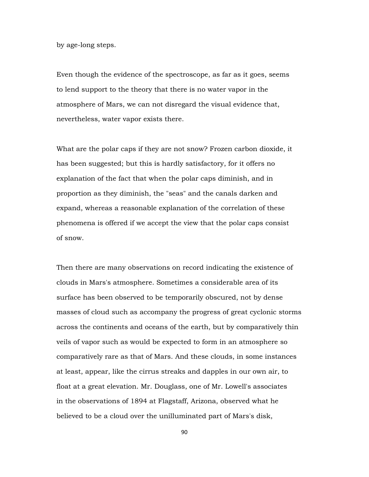by age-long steps.

Even though the evidence of the spectroscope, as far as it goes, seems to lend support to the theory that there is no water vapor in the atmosphere of Mars, we can not disregard the visual evidence that, nevertheless, water vapor exists there.

What are the polar caps if they are not snow? Frozen carbon dioxide, it has been suggested; but this is hardly satisfactory, for it offers no explanation of the fact that when the polar caps diminish, and in proportion as they diminish, the "seas" and the canals darken and expand, whereas a reasonable explanation of the correlation of these phenomena is offered if we accept the view that the polar caps consist of snow.

Then there are many observations on record indicating the existence of clouds in Mars's atmosphere. Sometimes a considerable area of its surface has been observed to be temporarily obscured, not by dense masses of cloud such as accompany the progress of great cyclonic storms across the continents and oceans of the earth, but by comparatively thin veils of vapor such as would be expected to form in an atmosphere so comparatively rare as that of Mars. And these clouds, in some instances at least, appear, like the cirrus streaks and dapples in our own air, to float at a great elevation. Mr. Douglass, one of Mr. Lowell's associates in the observations of 1894 at Flagstaff, Arizona, observed what he believed to be a cloud over the unilluminated part of Mars's disk,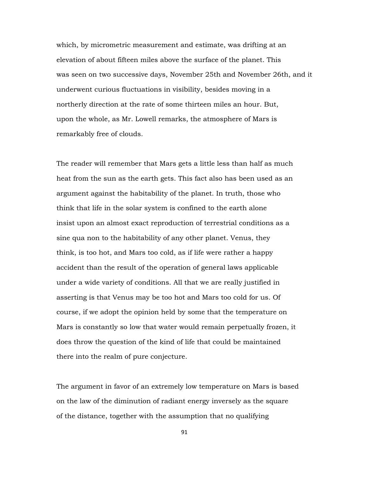which, by micrometric measurement and estimate, was drifting at an elevation of about fifteen miles above the surface of the planet. This was seen on two successive days, November 25th and November 26th, and it underwent curious fluctuations in visibility, besides moving in a northerly direction at the rate of some thirteen miles an hour. But, upon the whole, as Mr. Lowell remarks, the atmosphere of Mars is remarkably free of clouds.

The reader will remember that Mars gets a little less than half as much heat from the sun as the earth gets. This fact also has been used as an argument against the habitability of the planet. In truth, those who think that life in the solar system is confined to the earth alone insist upon an almost exact reproduction of terrestrial conditions as a sine qua non to the habitability of any other planet. Venus, they think, is too hot, and Mars too cold, as if life were rather a happy accident than the result of the operation of general laws applicable under a wide variety of conditions. All that we are really justified in asserting is that Venus may be too hot and Mars too cold for us. Of course, if we adopt the opinion held by some that the temperature on Mars is constantly so low that water would remain perpetually frozen, it does throw the question of the kind of life that could be maintained there into the realm of pure conjecture.

The argument in favor of an extremely low temperature on Mars is based on the law of the diminution of radiant energy inversely as the square of the distance, together with the assumption that no qualifying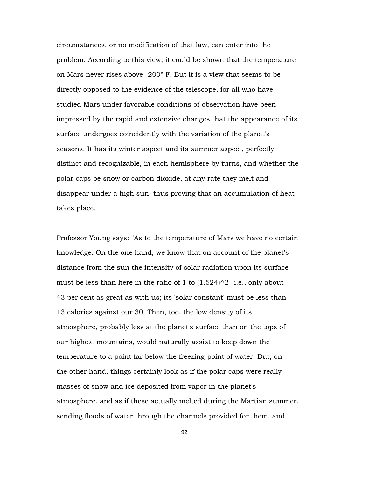circumstances, or no modification of that law, can enter into the problem. According to this view, it could be shown that the temperature on Mars never rises above -200° F. But it is a view that seems to be directly opposed to the evidence of the telescope, for all who have studied Mars under favorable conditions of observation have been impressed by the rapid and extensive changes that the appearance of its surface undergoes coincidently with the variation of the planet's seasons. It has its winter aspect and its summer aspect, perfectly distinct and recognizable, in each hemisphere by turns, and whether the polar caps be snow or carbon dioxide, at any rate they melt and disappear under a high sun, thus proving that an accumulation of heat takes place.

Professor Young says: "As to the temperature of Mars we have no certain knowledge. On the one hand, we know that on account of the planet's distance from the sun the intensity of solar radiation upon its surface must be less than here in the ratio of 1 to  $(1.524)^2$ -i.e., only about 43 per cent as great as with us; its 'solar constant' must be less than 13 calories against our 30. Then, too, the low density of its atmosphere, probably less at the planet's surface than on the tops of our highest mountains, would naturally assist to keep down the temperature to a point far below the freezing-point of water. But, on the other hand, things certainly look as if the polar caps were really masses of snow and ice deposited from vapor in the planet's atmosphere, and as if these actually melted during the Martian summer, sending floods of water through the channels provided for them, and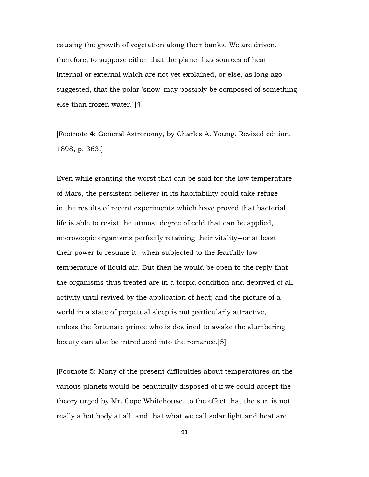causing the growth of vegetation along their banks. We are driven, therefore, to suppose either that the planet has sources of heat internal or external which are not yet explained, or else, as long ago suggested, that the polar 'snow' may possibly be composed of something else than frozen water."[4]

[Footnote 4: General Astronomy, by Charles A. Young. Revised edition, 1898, p. 363.]

Even while granting the worst that can be said for the low temperature of Mars, the persistent believer in its habitability could take refuge in the results of recent experiments which have proved that bacterial life is able to resist the utmost degree of cold that can be applied, microscopic organisms perfectly retaining their vitality--or at least their power to resume it--when subjected to the fearfully low temperature of liquid air. But then he would be open to the reply that the organisms thus treated are in a torpid condition and deprived of all activity until revived by the application of heat; and the picture of a world in a state of perpetual sleep is not particularly attractive, unless the fortunate prince who is destined to awake the slumbering beauty can also be introduced into the romance.[5]

[Footnote 5: Many of the present difficulties about temperatures on the various planets would be beautifully disposed of if we could accept the theory urged by Mr. Cope Whitehouse, to the effect that the sun is not really a hot body at all, and that what we call solar light and heat are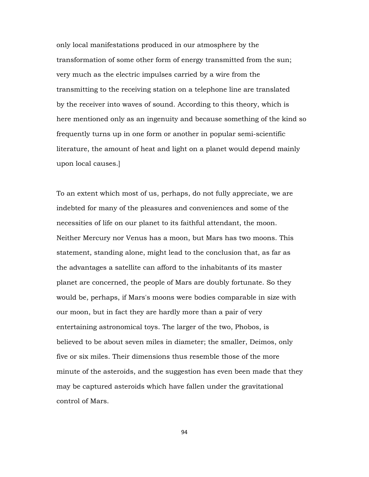only local manifestations produced in our atmosphere by the transformation of some other form of energy transmitted from the sun; very much as the electric impulses carried by a wire from the transmitting to the receiving station on a telephone line are translated by the receiver into waves of sound. According to this theory, which is here mentioned only as an ingenuity and because something of the kind so frequently turns up in one form or another in popular semi-scientific literature, the amount of heat and light on a planet would depend mainly upon local causes.]

To an extent which most of us, perhaps, do not fully appreciate, we are indebted for many of the pleasures and conveniences and some of the necessities of life on our planet to its faithful attendant, the moon. Neither Mercury nor Venus has a moon, but Mars has two moons. This statement, standing alone, might lead to the conclusion that, as far as the advantages a satellite can afford to the inhabitants of its master planet are concerned, the people of Mars are doubly fortunate. So they would be, perhaps, if Mars's moons were bodies comparable in size with our moon, but in fact they are hardly more than a pair of very entertaining astronomical toys. The larger of the two, Phobos, is believed to be about seven miles in diameter; the smaller, Deimos, only five or six miles. Their dimensions thus resemble those of the more minute of the asteroids, and the suggestion has even been made that they may be captured asteroids which have fallen under the gravitational control of Mars.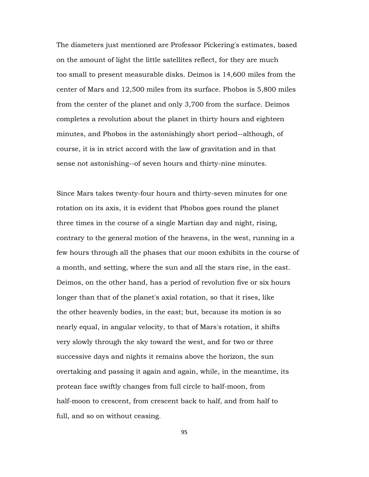The diameters just mentioned are Professor Pickering's estimates, based on the amount of light the little satellites reflect, for they are much too small to present measurable disks. Deimos is 14,600 miles from the center of Mars and 12,500 miles from its surface. Phobos is 5,800 miles from the center of the planet and only 3,700 from the surface. Deimos completes a revolution about the planet in thirty hours and eighteen minutes, and Phobos in the astonishingly short period--although, of course, it is in strict accord with the law of gravitation and in that sense not astonishing--of seven hours and thirty-nine minutes.

Since Mars takes twenty-four hours and thirty-seven minutes for one rotation on its axis, it is evident that Phobos goes round the planet three times in the course of a single Martian day and night, rising, contrary to the general motion of the heavens, in the west, running in a few hours through all the phases that our moon exhibits in the course of a month, and setting, where the sun and all the stars rise, in the east. Deimos, on the other hand, has a period of revolution five or six hours longer than that of the planet's axial rotation, so that it rises, like the other heavenly bodies, in the east; but, because its motion is so nearly equal, in angular velocity, to that of Mars's rotation, it shifts very slowly through the sky toward the west, and for two or three successive days and nights it remains above the horizon, the sun overtaking and passing it again and again, while, in the meantime, its protean face swiftly changes from full circle to half-moon, from half-moon to crescent, from crescent back to half, and from half to full, and so on without ceasing.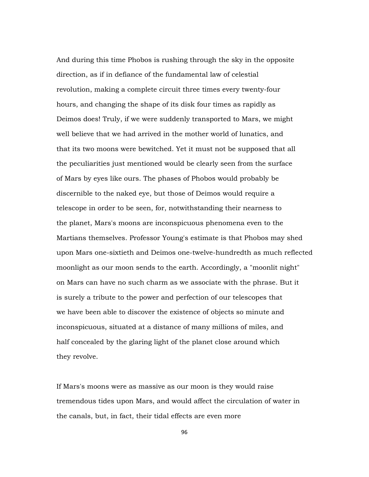And during this time Phobos is rushing through the sky in the opposite direction, as if in defiance of the fundamental law of celestial revolution, making a complete circuit three times every twenty-four hours, and changing the shape of its disk four times as rapidly as Deimos does! Truly, if we were suddenly transported to Mars, we might well believe that we had arrived in the mother world of lunatics, and that its two moons were bewitched. Yet it must not be supposed that all the peculiarities just mentioned would be clearly seen from the surface of Mars by eyes like ours. The phases of Phobos would probably be discernible to the naked eye, but those of Deimos would require a telescope in order to be seen, for, notwithstanding their nearness to the planet, Mars's moons are inconspicuous phenomena even to the Martians themselves. Professor Young's estimate is that Phobos may shed upon Mars one-sixtieth and Deimos one-twelve-hundredth as much reflected moonlight as our moon sends to the earth. Accordingly, a "moonlit night" on Mars can have no such charm as we associate with the phrase. But it is surely a tribute to the power and perfection of our telescopes that we have been able to discover the existence of objects so minute and inconspicuous, situated at a distance of many millions of miles, and half concealed by the glaring light of the planet close around which they revolve.

If Mars's moons were as massive as our moon is they would raise tremendous tides upon Mars, and would affect the circulation of water in the canals, but, in fact, their tidal effects are even more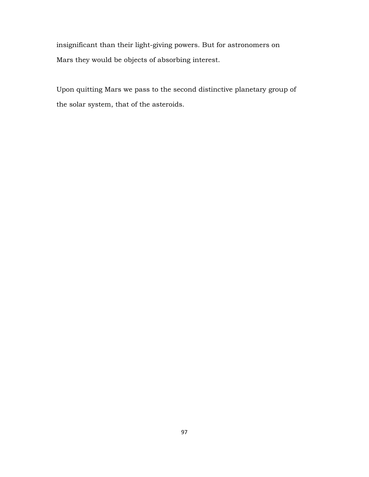insignificant than their light-giving powers. But for astronomers on Mars they would be objects of absorbing interest.

Upon quitting Mars we pass to the second distinctive planetary group of the solar system, that of the asteroids.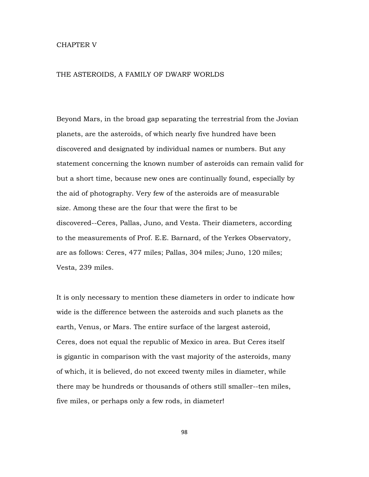## CHAPTER V

## THE ASTEROIDS, A FAMILY OF DWARF WORLDS

Beyond Mars, in the broad gap separating the terrestrial from the Jovian planets, are the asteroids, of which nearly five hundred have been discovered and designated by individual names or numbers. But any statement concerning the known number of asteroids can remain valid for but a short time, because new ones are continually found, especially by the aid of photography. Very few of the asteroids are of measurable size. Among these are the four that were the first to be discovered--Ceres, Pallas, Juno, and Vesta. Their diameters, according to the measurements of Prof. E.E. Barnard, of the Yerkes Observatory, are as follows: Ceres, 477 miles; Pallas, 304 miles; Juno, 120 miles; Vesta, 239 miles.

It is only necessary to mention these diameters in order to indicate how wide is the difference between the asteroids and such planets as the earth, Venus, or Mars. The entire surface of the largest asteroid, Ceres, does not equal the republic of Mexico in area. But Ceres itself is gigantic in comparison with the vast majority of the asteroids, many of which, it is believed, do not exceed twenty miles in diameter, while there may be hundreds or thousands of others still smaller--ten miles, five miles, or perhaps only a few rods, in diameter!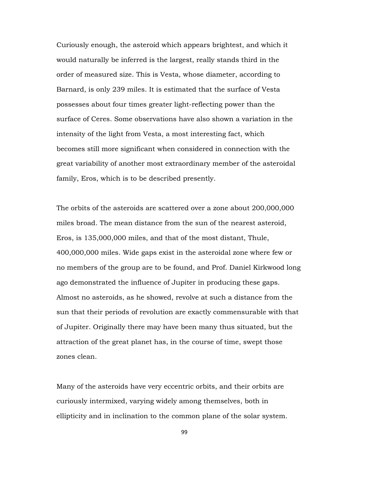Curiously enough, the asteroid which appears brightest, and which it would naturally be inferred is the largest, really stands third in the order of measured size. This is Vesta, whose diameter, according to Barnard, is only 239 miles. It is estimated that the surface of Vesta possesses about four times greater light-reflecting power than the surface of Ceres. Some observations have also shown a variation in the intensity of the light from Vesta, a most interesting fact, which becomes still more significant when considered in connection with the great variability of another most extraordinary member of the asteroidal family, Eros, which is to be described presently.

The orbits of the asteroids are scattered over a zone about 200,000,000 miles broad. The mean distance from the sun of the nearest asteroid, Eros, is 135,000,000 miles, and that of the most distant, Thule, 400,000,000 miles. Wide gaps exist in the asteroidal zone where few or no members of the group are to be found, and Prof. Daniel Kirkwood long ago demonstrated the influence of Jupiter in producing these gaps. Almost no asteroids, as he showed, revolve at such a distance from the sun that their periods of revolution are exactly commensurable with that of Jupiter. Originally there may have been many thus situated, but the attraction of the great planet has, in the course of time, swept those zones clean.

Many of the asteroids have very eccentric orbits, and their orbits are curiously intermixed, varying widely among themselves, both in ellipticity and in inclination to the common plane of the solar system.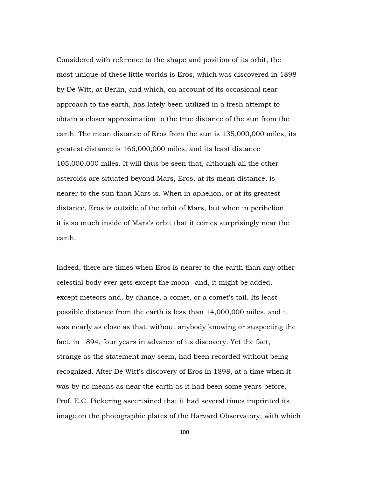Considered with reference to the shape and position of its orbit, the most unique of these little worlds is Eros, which was discovered in 1898 by De Witt, at Berlin, and which, on account of its occasional near approach to the earth, has lately been utilized in a fresh attempt to obtain a closer approximation to the true distance of the sun from the earth. The mean distance of Eros from the sun is 135,000,000 miles, its greatest distance is 166,000,000 miles, and its least distance 105,000,000 miles. It will thus be seen that, although all the other asteroids are situated beyond Mars, Eros, at its mean distance, is nearer to the sun than Mars is. When in aphelion, or at its greatest distance, Eros is outside of the orbit of Mars, but when in perihelion it is so much inside of Mars's orbit that it comes surprisingly near the earth.

Indeed, there are times when Eros is nearer to the earth than any other celestial body ever gets except the moon--and, it might be added, except meteors and, by chance, a comet, or a comet's tail. Its least possible distance from the earth is less than 14,000,000 miles, and it was nearly as close as that, without anybody knowing or suspecting the fact, in 1894, four years in advance of its discovery. Yet the fact, strange as the statement may seem, had been recorded without being recognized. After De Witt's discovery of Eros in 1898, at a time when it was by no means as near the earth as it had been some years before, Prof. E.C. Pickering ascertained that it had several times imprinted its image on the photographic plates of the Harvard Observatory, with which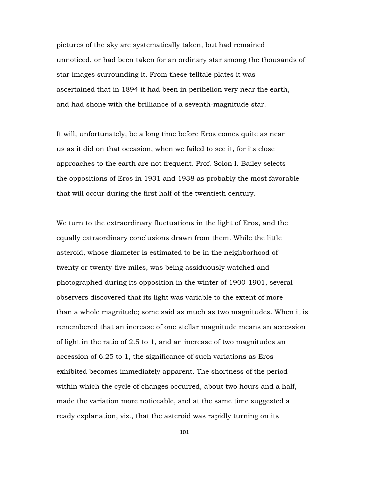pictures of the sky are systematically taken, but had remained unnoticed, or had been taken for an ordinary star among the thousands of star images surrounding it. From these telltale plates it was ascertained that in 1894 it had been in perihelion very near the earth, and had shone with the brilliance of a seventh-magnitude star.

It will, unfortunately, be a long time before Eros comes quite as near us as it did on that occasion, when we failed to see it, for its close approaches to the earth are not frequent. Prof. Solon I. Bailey selects the oppositions of Eros in 1931 and 1938 as probably the most favorable that will occur during the first half of the twentieth century.

We turn to the extraordinary fluctuations in the light of Eros, and the equally extraordinary conclusions drawn from them. While the little asteroid, whose diameter is estimated to be in the neighborhood of twenty or twenty-five miles, was being assiduously watched and photographed during its opposition in the winter of 1900-1901, several observers discovered that its light was variable to the extent of more than a whole magnitude; some said as much as two magnitudes. When it is remembered that an increase of one stellar magnitude means an accession of light in the ratio of 2.5 to 1, and an increase of two magnitudes an accession of 6.25 to 1, the significance of such variations as Eros exhibited becomes immediately apparent. The shortness of the period within which the cycle of changes occurred, about two hours and a half, made the variation more noticeable, and at the same time suggested a ready explanation, viz., that the asteroid was rapidly turning on its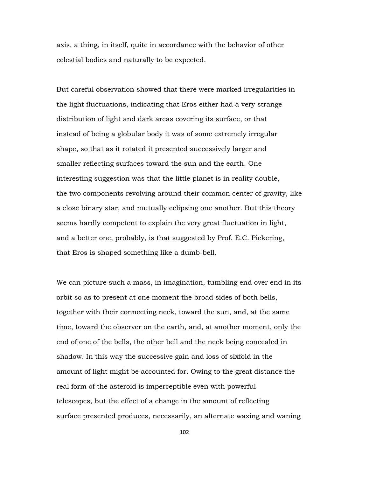axis, a thing, in itself, quite in accordance with the behavior of other celestial bodies and naturally to be expected.

But careful observation showed that there were marked irregularities in the light fluctuations, indicating that Eros either had a very strange distribution of light and dark areas covering its surface, or that instead of being a globular body it was of some extremely irregular shape, so that as it rotated it presented successively larger and smaller reflecting surfaces toward the sun and the earth. One interesting suggestion was that the little planet is in reality double, the two components revolving around their common center of gravity, like a close binary star, and mutually eclipsing one another. But this theory seems hardly competent to explain the very great fluctuation in light, and a better one, probably, is that suggested by Prof. E.C. Pickering, that Eros is shaped something like a dumb-bell.

We can picture such a mass, in imagination, tumbling end over end in its orbit so as to present at one moment the broad sides of both bells, together with their connecting neck, toward the sun, and, at the same time, toward the observer on the earth, and, at another moment, only the end of one of the bells, the other bell and the neck being concealed in shadow. In this way the successive gain and loss of sixfold in the amount of light might be accounted for. Owing to the great distance the real form of the asteroid is imperceptible even with powerful telescopes, but the effect of a change in the amount of reflecting surface presented produces, necessarily, an alternate waxing and waning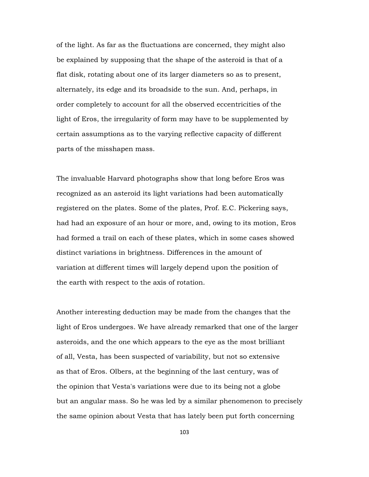of the light. As far as the fluctuations are concerned, they might also be explained by supposing that the shape of the asteroid is that of a flat disk, rotating about one of its larger diameters so as to present, alternately, its edge and its broadside to the sun. And, perhaps, in order completely to account for all the observed eccentricities of the light of Eros, the irregularity of form may have to be supplemented by certain assumptions as to the varying reflective capacity of different parts of the misshapen mass.

The invaluable Harvard photographs show that long before Eros was recognized as an asteroid its light variations had been automatically registered on the plates. Some of the plates, Prof. E.C. Pickering says, had had an exposure of an hour or more, and, owing to its motion, Eros had formed a trail on each of these plates, which in some cases showed distinct variations in brightness. Differences in the amount of variation at different times will largely depend upon the position of the earth with respect to the axis of rotation.

Another interesting deduction may be made from the changes that the light of Eros undergoes. We have already remarked that one of the larger asteroids, and the one which appears to the eye as the most brilliant of all, Vesta, has been suspected of variability, but not so extensive as that of Eros. Olbers, at the beginning of the last century, was of the opinion that Vesta's variations were due to its being not a globe but an angular mass. So he was led by a similar phenomenon to precisely the same opinion about Vesta that has lately been put forth concerning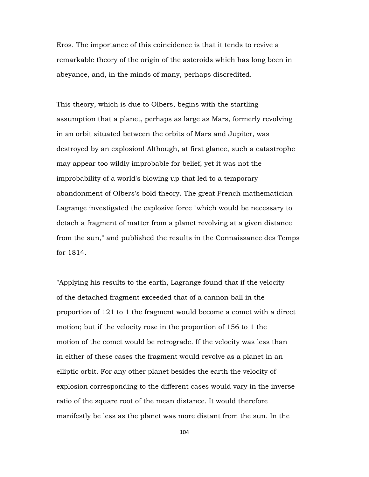Eros. The importance of this coincidence is that it tends to revive a remarkable theory of the origin of the asteroids which has long been in abeyance, and, in the minds of many, perhaps discredited.

This theory, which is due to Olbers, begins with the startling assumption that a planet, perhaps as large as Mars, formerly revolving in an orbit situated between the orbits of Mars and Jupiter, was destroyed by an explosion! Although, at first glance, such a catastrophe may appear too wildly improbable for belief, yet it was not the improbability of a world's blowing up that led to a temporary abandonment of Olbers's bold theory. The great French mathematician Lagrange investigated the explosive force "which would be necessary to detach a fragment of matter from a planet revolving at a given distance from the sun," and published the results in the Connaissance des Temps for 1814.

"Applying his results to the earth, Lagrange found that if the velocity of the detached fragment exceeded that of a cannon ball in the proportion of 121 to 1 the fragment would become a comet with a direct motion; but if the velocity rose in the proportion of 156 to 1 the motion of the comet would be retrograde. If the velocity was less than in either of these cases the fragment would revolve as a planet in an elliptic orbit. For any other planet besides the earth the velocity of explosion corresponding to the different cases would vary in the inverse ratio of the square root of the mean distance. It would therefore manifestly be less as the planet was more distant from the sun. In the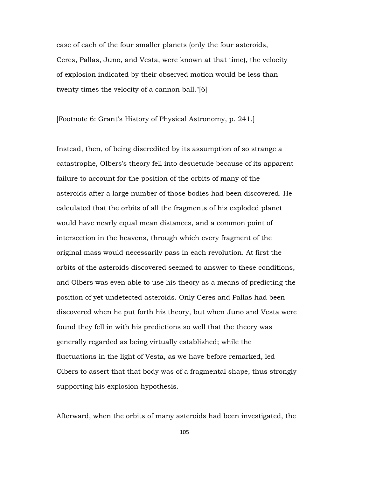case of each of the four smaller planets (only the four asteroids, Ceres, Pallas, Juno, and Vesta, were known at that time), the velocity of explosion indicated by their observed motion would be less than twenty times the velocity of a cannon ball."[6]

[Footnote 6: Grant's History of Physical Astronomy, p. 241.]

Instead, then, of being discredited by its assumption of so strange a catastrophe, Olbers's theory fell into desuetude because of its apparent failure to account for the position of the orbits of many of the asteroids after a large number of those bodies had been discovered. He calculated that the orbits of all the fragments of his exploded planet would have nearly equal mean distances, and a common point of intersection in the heavens, through which every fragment of the original mass would necessarily pass in each revolution. At first the orbits of the asteroids discovered seemed to answer to these conditions, and Olbers was even able to use his theory as a means of predicting the position of yet undetected asteroids. Only Ceres and Pallas had been discovered when he put forth his theory, but when Juno and Vesta were found they fell in with his predictions so well that the theory was generally regarded as being virtually established; while the fluctuations in the light of Vesta, as we have before remarked, led Olbers to assert that that body was of a fragmental shape, thus strongly supporting his explosion hypothesis.

Afterward, when the orbits of many asteroids had been investigated, the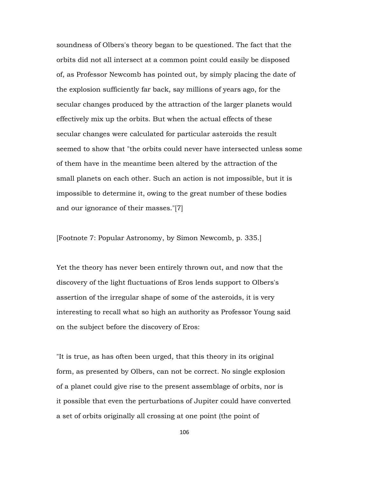soundness of Olbers's theory began to be questioned. The fact that the orbits did not all intersect at a common point could easily be disposed of, as Professor Newcomb has pointed out, by simply placing the date of the explosion sufficiently far back, say millions of years ago, for the secular changes produced by the attraction of the larger planets would effectively mix up the orbits. But when the actual effects of these secular changes were calculated for particular asteroids the result seemed to show that "the orbits could never have intersected unless some of them have in the meantime been altered by the attraction of the small planets on each other. Such an action is not impossible, but it is impossible to determine it, owing to the great number of these bodies and our ignorance of their masses."[7]

[Footnote 7: Popular Astronomy, by Simon Newcomb, p. 335.]

Yet the theory has never been entirely thrown out, and now that the discovery of the light fluctuations of Eros lends support to Olbers's assertion of the irregular shape of some of the asteroids, it is very interesting to recall what so high an authority as Professor Young said on the subject before the discovery of Eros:

"It is true, as has often been urged, that this theory in its original form, as presented by Olbers, can not be correct. No single explosion of a planet could give rise to the present assemblage of orbits, nor is it possible that even the perturbations of Jupiter could have converted a set of orbits originally all crossing at one point (the point of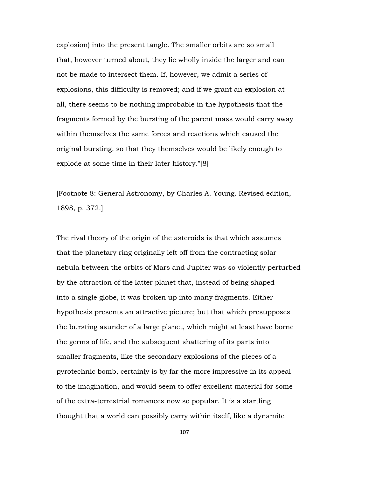explosion) into the present tangle. The smaller orbits are so small that, however turned about, they lie wholly inside the larger and can not be made to intersect them. If, however, we admit a series of explosions, this difficulty is removed; and if we grant an explosion at all, there seems to be nothing improbable in the hypothesis that the fragments formed by the bursting of the parent mass would carry away within themselves the same forces and reactions which caused the original bursting, so that they themselves would be likely enough to explode at some time in their later history."[8]

[Footnote 8: General Astronomy, by Charles A. Young. Revised edition, 1898, p. 372.]

The rival theory of the origin of the asteroids is that which assumes that the planetary ring originally left off from the contracting solar nebula between the orbits of Mars and Jupiter was so violently perturbed by the attraction of the latter planet that, instead of being shaped into a single globe, it was broken up into many fragments. Either hypothesis presents an attractive picture; but that which presupposes the bursting asunder of a large planet, which might at least have borne the germs of life, and the subsequent shattering of its parts into smaller fragments, like the secondary explosions of the pieces of a pyrotechnic bomb, certainly is by far the more impressive in its appeal to the imagination, and would seem to offer excellent material for some of the extra-terrestrial romances now so popular. It is a startling thought that a world can possibly carry within itself, like a dynamite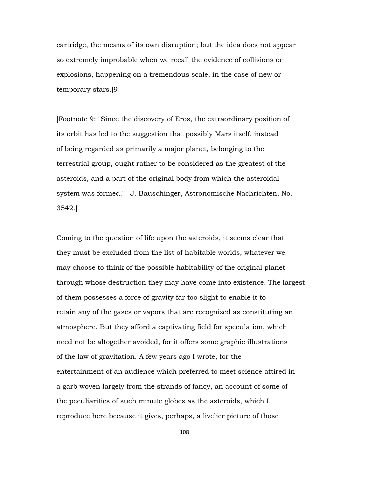cartridge, the means of its own disruption; but the idea does not appear so extremely improbable when we recall the evidence of collisions or explosions, happening on a tremendous scale, in the case of new or temporary stars.[9]

[Footnote 9: "Since the discovery of Eros, the extraordinary position of its orbit has led to the suggestion that possibly Mars itself, instead of being regarded as primarily a major planet, belonging to the terrestrial group, ought rather to be considered as the greatest of the asteroids, and a part of the original body from which the asteroidal system was formed."--J. Bauschinger, Astronomische Nachrichten, No. 3542.]

Coming to the question of life upon the asteroids, it seems clear that they must be excluded from the list of habitable worlds, whatever we may choose to think of the possible habitability of the original planet through whose destruction they may have come into existence. The largest of them possesses a force of gravity far too slight to enable it to retain any of the gases or vapors that are recognized as constituting an atmosphere. But they afford a captivating field for speculation, which need not be altogether avoided, for it offers some graphic illustrations of the law of gravitation. A few years ago I wrote, for the entertainment of an audience which preferred to meet science attired in a garb woven largely from the strands of fancy, an account of some of the peculiarities of such minute globes as the asteroids, which I reproduce here because it gives, perhaps, a livelier picture of those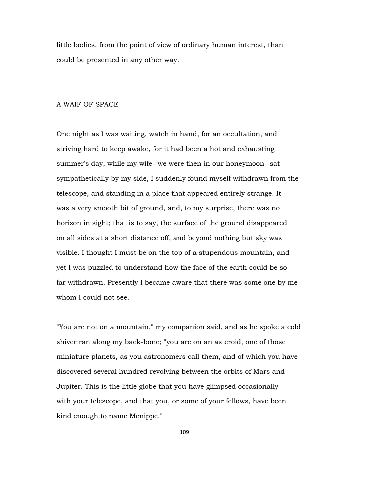little bodies, from the point of view of ordinary human interest, than could be presented in any other way.

# A WAIF OF SPACE

One night as I was waiting, watch in hand, for an occultation, and striving hard to keep awake, for it had been a hot and exhausting summer's day, while my wife--we were then in our honeymoon--sat sympathetically by my side, I suddenly found myself withdrawn from the telescope, and standing in a place that appeared entirely strange. It was a very smooth bit of ground, and, to my surprise, there was no horizon in sight; that is to say, the surface of the ground disappeared on all sides at a short distance off, and beyond nothing but sky was visible. I thought I must be on the top of a stupendous mountain, and yet I was puzzled to understand how the face of the earth could be so far withdrawn. Presently I became aware that there was some one by me whom I could not see.

"You are not on a mountain," my companion said, and as he spoke a cold shiver ran along my back-bone; "you are on an asteroid, one of those miniature planets, as you astronomers call them, and of which you have discovered several hundred revolving between the orbits of Mars and Jupiter. This is the little globe that you have glimpsed occasionally with your telescope, and that you, or some of your fellows, have been kind enough to name Menippe."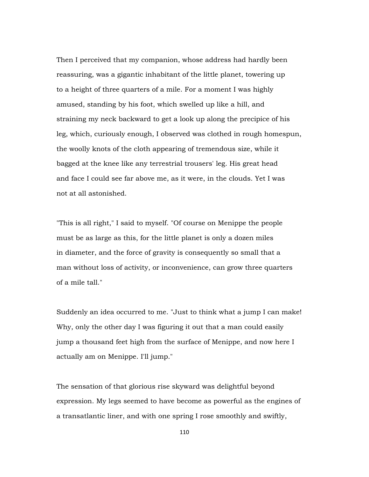Then I perceived that my companion, whose address had hardly been reassuring, was a gigantic inhabitant of the little planet, towering up to a height of three quarters of a mile. For a moment I was highly amused, standing by his foot, which swelled up like a hill, and straining my neck backward to get a look up along the precipice of his leg, which, curiously enough, I observed was clothed in rough homespun, the woolly knots of the cloth appearing of tremendous size, while it bagged at the knee like any terrestrial trousers' leg. His great head and face I could see far above me, as it were, in the clouds. Yet I was not at all astonished.

"This is all right," I said to myself. "Of course on Menippe the people must be as large as this, for the little planet is only a dozen miles in diameter, and the force of gravity is consequently so small that a man without loss of activity, or inconvenience, can grow three quarters of a mile tall."

Suddenly an idea occurred to me. "Just to think what a jump I can make! Why, only the other day I was figuring it out that a man could easily jump a thousand feet high from the surface of Menippe, and now here I actually am on Menippe. I'll jump."

The sensation of that glorious rise skyward was delightful beyond expression. My legs seemed to have become as powerful as the engines of a transatlantic liner, and with one spring I rose smoothly and swiftly,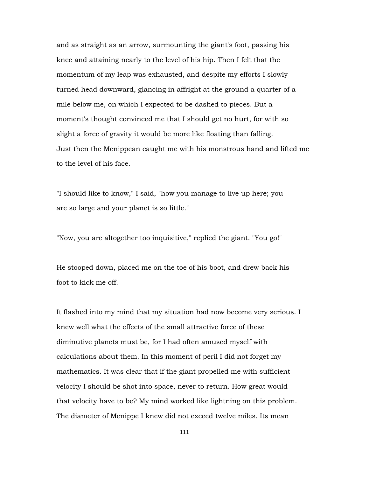and as straight as an arrow, surmounting the giant's foot, passing his knee and attaining nearly to the level of his hip. Then I felt that the momentum of my leap was exhausted, and despite my efforts I slowly turned head downward, glancing in affright at the ground a quarter of a mile below me, on which I expected to be dashed to pieces. But a moment's thought convinced me that I should get no hurt, for with so slight a force of gravity it would be more like floating than falling. Just then the Menippean caught me with his monstrous hand and lifted me to the level of his face.

"I should like to know," I said, "how you manage to live up here; you are so large and your planet is so little."

"Now, you are altogether too inquisitive," replied the giant. "You go!"

He stooped down, placed me on the toe of his boot, and drew back his foot to kick me off.

It flashed into my mind that my situation had now become very serious. I knew well what the effects of the small attractive force of these diminutive planets must be, for I had often amused myself with calculations about them. In this moment of peril I did not forget my mathematics. It was clear that if the giant propelled me with sufficient velocity I should be shot into space, never to return. How great would that velocity have to be? My mind worked like lightning on this problem. The diameter of Menippe I knew did not exceed twelve miles. Its mean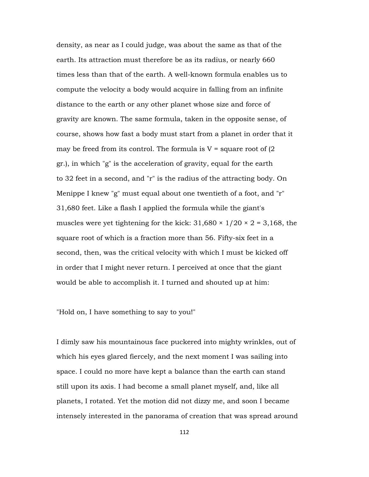density, as near as I could judge, was about the same as that of the earth. Its attraction must therefore be as its radius, or nearly 660 times less than that of the earth. A well-known formula enables us to compute the velocity a body would acquire in falling from an infinite distance to the earth or any other planet whose size and force of gravity are known. The same formula, taken in the opposite sense, of course, shows how fast a body must start from a planet in order that it may be freed from its control. The formula is  $V =$  square root of (2) gr.), in which "g" is the acceleration of gravity, equal for the earth to 32 feet in a second, and "r" is the radius of the attracting body. On Menippe I knew "g" must equal about one twentieth of a foot, and "r" 31,680 feet. Like a flash I applied the formula while the giant's muscles were yet tightening for the kick:  $31,680 \times 1/20 \times 2 = 3,168$ , the square root of which is a fraction more than 56. Fifty-six feet in a second, then, was the critical velocity with which I must be kicked off in order that I might never return. I perceived at once that the giant would be able to accomplish it. I turned and shouted up at him:

"Hold on, I have something to say to you!"

I dimly saw his mountainous face puckered into mighty wrinkles, out of which his eyes glared fiercely, and the next moment I was sailing into space. I could no more have kept a balance than the earth can stand still upon its axis. I had become a small planet myself, and, like all planets, I rotated. Yet the motion did not dizzy me, and soon I became intensely interested in the panorama of creation that was spread around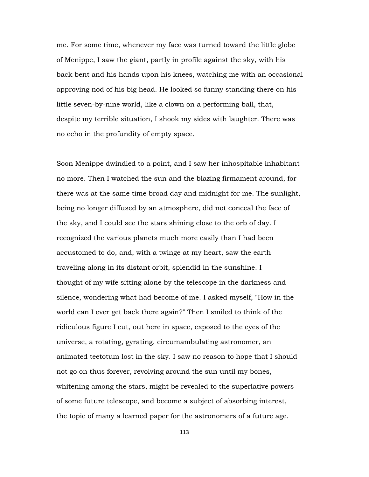me. For some time, whenever my face was turned toward the little globe of Menippe, I saw the giant, partly in profile against the sky, with his back bent and his hands upon his knees, watching me with an occasional approving nod of his big head. He looked so funny standing there on his little seven-by-nine world, like a clown on a performing ball, that, despite my terrible situation, I shook my sides with laughter. There was no echo in the profundity of empty space.

Soon Menippe dwindled to a point, and I saw her inhospitable inhabitant no more. Then I watched the sun and the blazing firmament around, for there was at the same time broad day and midnight for me. The sunlight, being no longer diffused by an atmosphere, did not conceal the face of the sky, and I could see the stars shining close to the orb of day. I recognized the various planets much more easily than I had been accustomed to do, and, with a twinge at my heart, saw the earth traveling along in its distant orbit, splendid in the sunshine. I thought of my wife sitting alone by the telescope in the darkness and silence, wondering what had become of me. I asked myself, "How in the world can I ever get back there again?" Then I smiled to think of the ridiculous figure I cut, out here in space, exposed to the eyes of the universe, a rotating, gyrating, circumambulating astronomer, an animated teetotum lost in the sky. I saw no reason to hope that I should not go on thus forever, revolving around the sun until my bones, whitening among the stars, might be revealed to the superlative powers of some future telescope, and become a subject of absorbing interest, the topic of many a learned paper for the astronomers of a future age.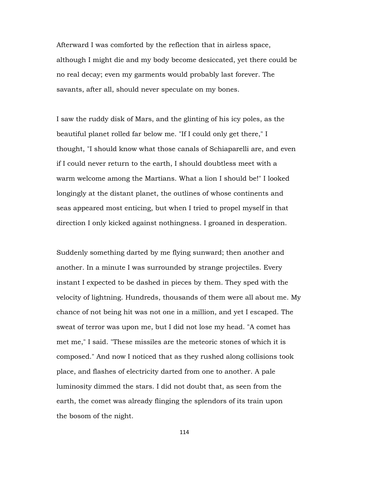Afterward I was comforted by the reflection that in airless space, although I might die and my body become desiccated, yet there could be no real decay; even my garments would probably last forever. The savants, after all, should never speculate on my bones.

I saw the ruddy disk of Mars, and the glinting of his icy poles, as the beautiful planet rolled far below me. "If I could only get there," I thought, "I should know what those canals of Schiaparelli are, and even if I could never return to the earth, I should doubtless meet with a warm welcome among the Martians. What a lion I should be!" I looked longingly at the distant planet, the outlines of whose continents and seas appeared most enticing, but when I tried to propel myself in that direction I only kicked against nothingness. I groaned in desperation.

Suddenly something darted by me flying sunward; then another and another. In a minute I was surrounded by strange projectiles. Every instant I expected to be dashed in pieces by them. They sped with the velocity of lightning. Hundreds, thousands of them were all about me. My chance of not being hit was not one in a million, and yet I escaped. The sweat of terror was upon me, but I did not lose my head. "A comet has met me," I said. "These missiles are the meteoric stones of which it is composed." And now I noticed that as they rushed along collisions took place, and flashes of electricity darted from one to another. A pale luminosity dimmed the stars. I did not doubt that, as seen from the earth, the comet was already flinging the splendors of its train upon the bosom of the night.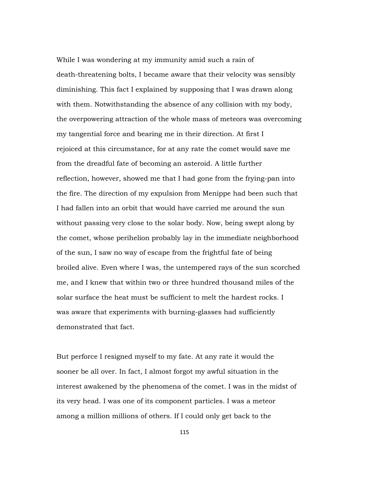While I was wondering at my immunity amid such a rain of death-threatening bolts, I became aware that their velocity was sensibly diminishing. This fact I explained by supposing that I was drawn along with them. Notwithstanding the absence of any collision with my body, the overpowering attraction of the whole mass of meteors was overcoming my tangential force and bearing me in their direction. At first I rejoiced at this circumstance, for at any rate the comet would save me from the dreadful fate of becoming an asteroid. A little further reflection, however, showed me that I had gone from the frying-pan into the fire. The direction of my expulsion from Menippe had been such that I had fallen into an orbit that would have carried me around the sun without passing very close to the solar body. Now, being swept along by the comet, whose perihelion probably lay in the immediate neighborhood of the sun, I saw no way of escape from the frightful fate of being broiled alive. Even where I was, the untempered rays of the sun scorched me, and I knew that within two or three hundred thousand miles of the solar surface the heat must be sufficient to melt the hardest rocks. I was aware that experiments with burning-glasses had sufficiently demonstrated that fact.

But perforce I resigned myself to my fate. At any rate it would the sooner be all over. In fact, I almost forgot my awful situation in the interest awakened by the phenomena of the comet. I was in the midst of its very head. I was one of its component particles. I was a meteor among a million millions of others. If I could only get back to the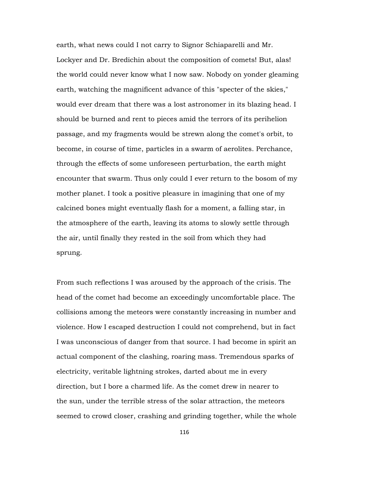earth, what news could I not carry to Signor Schiaparelli and Mr. Lockyer and Dr. Bredichin about the composition of comets! But, alas! the world could never know what I now saw. Nobody on yonder gleaming earth, watching the magnificent advance of this "specter of the skies," would ever dream that there was a lost astronomer in its blazing head. I should be burned and rent to pieces amid the terrors of its perihelion passage, and my fragments would be strewn along the comet's orbit, to become, in course of time, particles in a swarm of aerolites. Perchance, through the effects of some unforeseen perturbation, the earth might encounter that swarm. Thus only could I ever return to the bosom of my mother planet. I took a positive pleasure in imagining that one of my calcined bones might eventually flash for a moment, a falling star, in the atmosphere of the earth, leaving its atoms to slowly settle through the air, until finally they rested in the soil from which they had sprung.

From such reflections I was aroused by the approach of the crisis. The head of the comet had become an exceedingly uncomfortable place. The collisions among the meteors were constantly increasing in number and violence. How I escaped destruction I could not comprehend, but in fact I was unconscious of danger from that source. I had become in spirit an actual component of the clashing, roaring mass. Tremendous sparks of electricity, veritable lightning strokes, darted about me in every direction, but I bore a charmed life. As the comet drew in nearer to the sun, under the terrible stress of the solar attraction, the meteors seemed to crowd closer, crashing and grinding together, while the whole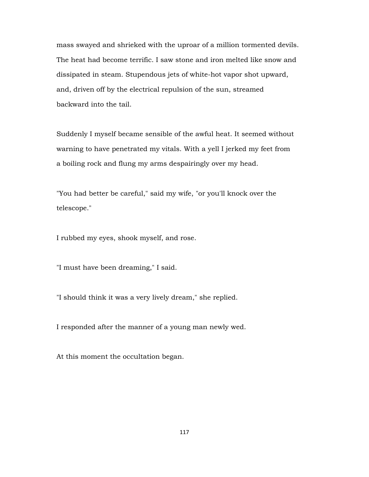mass swayed and shrieked with the uproar of a million tormented devils. The heat had become terrific. I saw stone and iron melted like snow and dissipated in steam. Stupendous jets of white-hot vapor shot upward, and, driven off by the electrical repulsion of the sun, streamed backward into the tail.

Suddenly I myself became sensible of the awful heat. It seemed without warning to have penetrated my vitals. With a yell I jerked my feet from a boiling rock and flung my arms despairingly over my head.

"You had better be careful," said my wife, "or you'll knock over the telescope."

I rubbed my eyes, shook myself, and rose.

"I must have been dreaming," I said.

"I should think it was a very lively dream," she replied.

I responded after the manner of a young man newly wed.

At this moment the occultation began.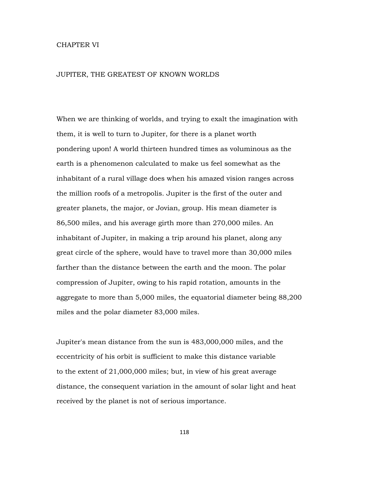## CHAPTER VI

#### JUPITER, THE GREATEST OF KNOWN WORLDS

When we are thinking of worlds, and trying to exalt the imagination with them, it is well to turn to Jupiter, for there is a planet worth pondering upon! A world thirteen hundred times as voluminous as the earth is a phenomenon calculated to make us feel somewhat as the inhabitant of a rural village does when his amazed vision ranges across the million roofs of a metropolis. Jupiter is the first of the outer and greater planets, the major, or Jovian, group. His mean diameter is 86,500 miles, and his average girth more than 270,000 miles. An inhabitant of Jupiter, in making a trip around his planet, along any great circle of the sphere, would have to travel more than 30,000 miles farther than the distance between the earth and the moon. The polar compression of Jupiter, owing to his rapid rotation, amounts in the aggregate to more than 5,000 miles, the equatorial diameter being 88,200 miles and the polar diameter 83,000 miles.

Jupiter's mean distance from the sun is 483,000,000 miles, and the eccentricity of his orbit is sufficient to make this distance variable to the extent of 21,000,000 miles; but, in view of his great average distance, the consequent variation in the amount of solar light and heat received by the planet is not of serious importance.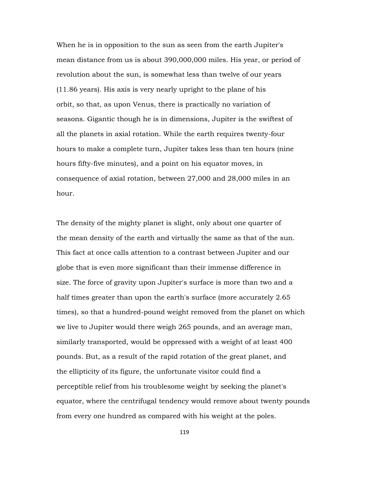When he is in opposition to the sun as seen from the earth Jupiter's mean distance from us is about 390,000,000 miles. His year, or period of revolution about the sun, is somewhat less than twelve of our years (11.86 years). His axis is very nearly upright to the plane of his orbit, so that, as upon Venus, there is practically no variation of seasons. Gigantic though he is in dimensions, Jupiter is the swiftest of all the planets in axial rotation. While the earth requires twenty-four hours to make a complete turn, Jupiter takes less than ten hours (nine hours fifty-five minutes), and a point on his equator moves, in consequence of axial rotation, between 27,000 and 28,000 miles in an hour.

The density of the mighty planet is slight, only about one quarter of the mean density of the earth and virtually the same as that of the sun. This fact at once calls attention to a contrast between Jupiter and our globe that is even more significant than their immense difference in size. The force of gravity upon Jupiter's surface is more than two and a half times greater than upon the earth's surface (more accurately 2.65 times), so that a hundred-pound weight removed from the planet on which we live to Jupiter would there weigh 265 pounds, and an average man, similarly transported, would be oppressed with a weight of at least 400 pounds. But, as a result of the rapid rotation of the great planet, and the ellipticity of its figure, the unfortunate visitor could find a perceptible relief from his troublesome weight by seeking the planet's equator, where the centrifugal tendency would remove about twenty pounds from every one hundred as compared with his weight at the poles.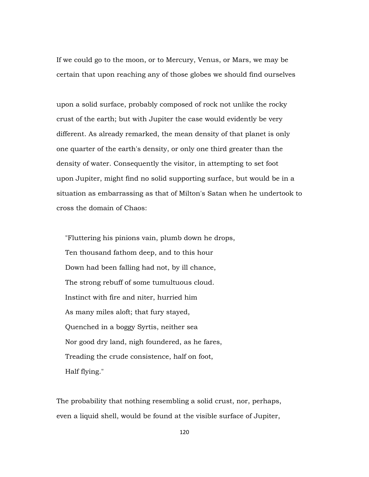If we could go to the moon, or to Mercury, Venus, or Mars, we may be certain that upon reaching any of those globes we should find ourselves

upon a solid surface, probably composed of rock not unlike the rocky crust of the earth; but with Jupiter the case would evidently be very different. As already remarked, the mean density of that planet is only one quarter of the earth's density, or only one third greater than the density of water. Consequently the visitor, in attempting to set foot upon Jupiter, might find no solid supporting surface, but would be in a situation as embarrassing as that of Milton's Satan when he undertook to cross the domain of Chaos:

 "Fluttering his pinions vain, plumb down he drops, Ten thousand fathom deep, and to this hour Down had been falling had not, by ill chance, The strong rebuff of some tumultuous cloud. Instinct with fire and niter, hurried him As many miles aloft; that fury stayed, Quenched in a boggy Syrtis, neither sea Nor good dry land, nigh foundered, as he fares, Treading the crude consistence, half on foot, Half flying."

The probability that nothing resembling a solid crust, nor, perhaps, even a liquid shell, would be found at the visible surface of Jupiter,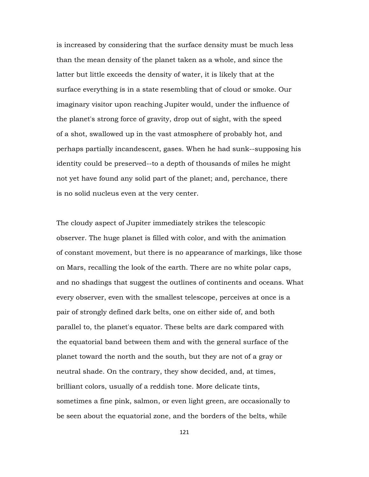is increased by considering that the surface density must be much less than the mean density of the planet taken as a whole, and since the latter but little exceeds the density of water, it is likely that at the surface everything is in a state resembling that of cloud or smoke. Our imaginary visitor upon reaching Jupiter would, under the influence of the planet's strong force of gravity, drop out of sight, with the speed of a shot, swallowed up in the vast atmosphere of probably hot, and perhaps partially incandescent, gases. When he had sunk--supposing his identity could be preserved--to a depth of thousands of miles he might not yet have found any solid part of the planet; and, perchance, there is no solid nucleus even at the very center.

The cloudy aspect of Jupiter immediately strikes the telescopic observer. The huge planet is filled with color, and with the animation of constant movement, but there is no appearance of markings, like those on Mars, recalling the look of the earth. There are no white polar caps, and no shadings that suggest the outlines of continents and oceans. What every observer, even with the smallest telescope, perceives at once is a pair of strongly defined dark belts, one on either side of, and both parallel to, the planet's equator. These belts are dark compared with the equatorial band between them and with the general surface of the planet toward the north and the south, but they are not of a gray or neutral shade. On the contrary, they show decided, and, at times, brilliant colors, usually of a reddish tone. More delicate tints, sometimes a fine pink, salmon, or even light green, are occasionally to be seen about the equatorial zone, and the borders of the belts, while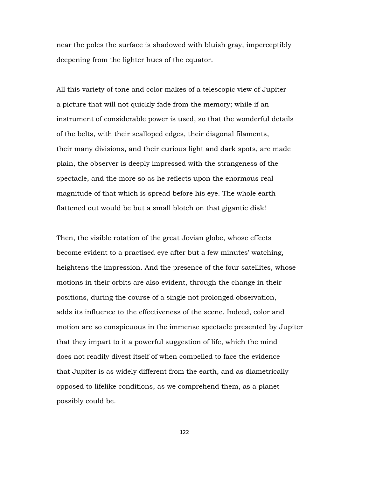near the poles the surface is shadowed with bluish gray, imperceptibly deepening from the lighter hues of the equator.

All this variety of tone and color makes of a telescopic view of Jupiter a picture that will not quickly fade from the memory; while if an instrument of considerable power is used, so that the wonderful details of the belts, with their scalloped edges, their diagonal filaments, their many divisions, and their curious light and dark spots, are made plain, the observer is deeply impressed with the strangeness of the spectacle, and the more so as he reflects upon the enormous real magnitude of that which is spread before his eye. The whole earth flattened out would be but a small blotch on that gigantic disk!

Then, the visible rotation of the great Jovian globe, whose effects become evident to a practised eye after but a few minutes' watching, heightens the impression. And the presence of the four satellites, whose motions in their orbits are also evident, through the change in their positions, during the course of a single not prolonged observation, adds its influence to the effectiveness of the scene. Indeed, color and motion are so conspicuous in the immense spectacle presented by Jupiter that they impart to it a powerful suggestion of life, which the mind does not readily divest itself of when compelled to face the evidence that Jupiter is as widely different from the earth, and as diametrically opposed to lifelike conditions, as we comprehend them, as a planet possibly could be.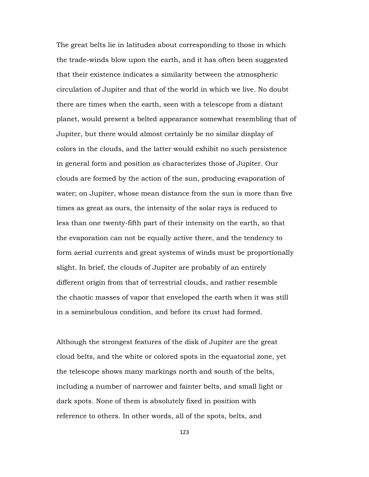The great belts lie in latitudes about corresponding to those in which the trade-winds blow upon the earth, and it has often been suggested that their existence indicates a similarity between the atmospheric circulation of Jupiter and that of the world in which we live. No doubt there are times when the earth, seen with a telescope from a distant planet, would present a belted appearance somewhat resembling that of Jupiter, but there would almost certainly be no similar display of colors in the clouds, and the latter would exhibit no such persistence in general form and position as characterizes those of Jupiter. Our clouds are formed by the action of the sun, producing evaporation of water; on Jupiter, whose mean distance from the sun is more than five times as great as ours, the intensity of the solar rays is reduced to less than one twenty-fifth part of their intensity on the earth, so that the evaporation can not be equally active there, and the tendency to form aerial currents and great systems of winds must be proportionally slight. In brief, the clouds of Jupiter are probably of an entirely different origin from that of terrestrial clouds, and rather resemble the chaotic masses of vapor that enveloped the earth when it was still in a seminebulous condition, and before its crust had formed.

Although the strongest features of the disk of Jupiter are the great cloud belts, and the white or colored spots in the equatorial zone, yet the telescope shows many markings north and south of the belts, including a number of narrower and fainter belts, and small light or dark spots. None of them is absolutely fixed in position with reference to others. In other words, all of the spots, belts, and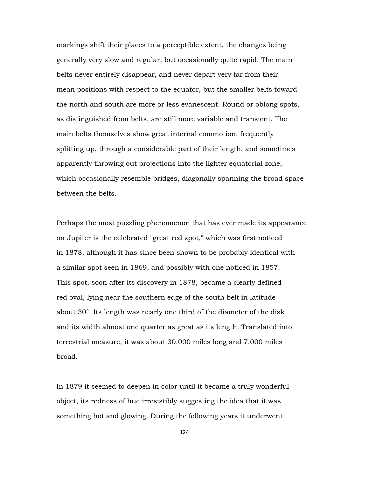markings shift their places to a perceptible extent, the changes being generally very slow and regular, but occasionally quite rapid. The main belts never entirely disappear, and never depart very far from their mean positions with respect to the equator, but the smaller belts toward the north and south are more or less evanescent. Round or oblong spots, as distinguished from belts, are still more variable and transient. The main belts themselves show great internal commotion, frequently splitting up, through a considerable part of their length, and sometimes apparently throwing out projections into the lighter equatorial zone, which occasionally resemble bridges, diagonally spanning the broad space between the belts.

Perhaps the most puzzling phenomenon that has ever made its appearance on Jupiter is the celebrated "great red spot," which was first noticed in 1878, although it has since been shown to be probably identical with a similar spot seen in 1869, and possibly with one noticed in 1857. This spot, soon after its discovery in 1878, became a clearly defined red oval, lying near the southern edge of the south belt in latitude about 30°. Its length was nearly one third of the diameter of the disk and its width almost one quarter as great as its length. Translated into terrestrial measure, it was about 30,000 miles long and 7,000 miles broad.

In 1879 it seemed to deepen in color until it became a truly wonderful object, its redness of hue irresistibly suggesting the idea that it was something hot and glowing. During the following years it underwent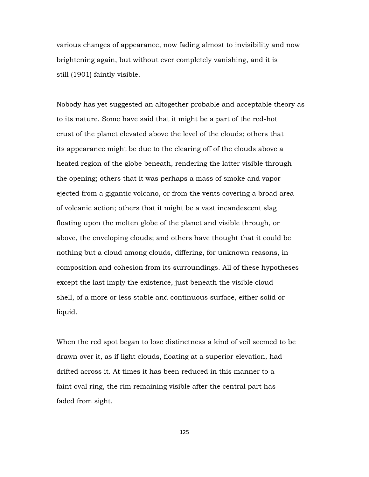various changes of appearance, now fading almost to invisibility and now brightening again, but without ever completely vanishing, and it is still (1901) faintly visible.

Nobody has yet suggested an altogether probable and acceptable theory as to its nature. Some have said that it might be a part of the red-hot crust of the planet elevated above the level of the clouds; others that its appearance might be due to the clearing off of the clouds above a heated region of the globe beneath, rendering the latter visible through the opening; others that it was perhaps a mass of smoke and vapor ejected from a gigantic volcano, or from the vents covering a broad area of volcanic action; others that it might be a vast incandescent slag floating upon the molten globe of the planet and visible through, or above, the enveloping clouds; and others have thought that it could be nothing but a cloud among clouds, differing, for unknown reasons, in composition and cohesion from its surroundings. All of these hypotheses except the last imply the existence, just beneath the visible cloud shell, of a more or less stable and continuous surface, either solid or liquid.

When the red spot began to lose distinctness a kind of veil seemed to be drawn over it, as if light clouds, floating at a superior elevation, had drifted across it. At times it has been reduced in this manner to a faint oval ring, the rim remaining visible after the central part has faded from sight.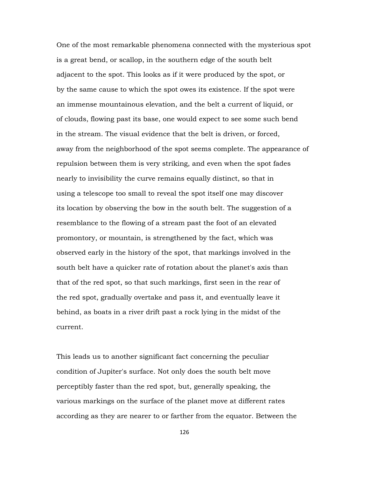One of the most remarkable phenomena connected with the mysterious spot is a great bend, or scallop, in the southern edge of the south belt adjacent to the spot. This looks as if it were produced by the spot, or by the same cause to which the spot owes its existence. If the spot were an immense mountainous elevation, and the belt a current of liquid, or of clouds, flowing past its base, one would expect to see some such bend in the stream. The visual evidence that the belt is driven, or forced, away from the neighborhood of the spot seems complete. The appearance of repulsion between them is very striking, and even when the spot fades nearly to invisibility the curve remains equally distinct, so that in using a telescope too small to reveal the spot itself one may discover its location by observing the bow in the south belt. The suggestion of a resemblance to the flowing of a stream past the foot of an elevated promontory, or mountain, is strengthened by the fact, which was observed early in the history of the spot, that markings involved in the south belt have a quicker rate of rotation about the planet's axis than that of the red spot, so that such markings, first seen in the rear of the red spot, gradually overtake and pass it, and eventually leave it behind, as boats in a river drift past a rock lying in the midst of the current.

This leads us to another significant fact concerning the peculiar condition of Jupiter's surface. Not only does the south belt move perceptibly faster than the red spot, but, generally speaking, the various markings on the surface of the planet move at different rates according as they are nearer to or farther from the equator. Between the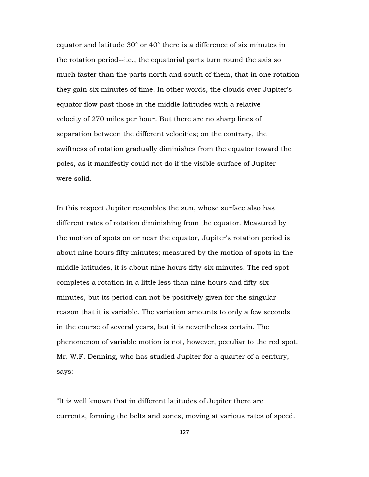equator and latitude 30° or 40° there is a difference of six minutes in the rotation period--i.e., the equatorial parts turn round the axis so much faster than the parts north and south of them, that in one rotation they gain six minutes of time. In other words, the clouds over Jupiter's equator flow past those in the middle latitudes with a relative velocity of 270 miles per hour. But there are no sharp lines of separation between the different velocities; on the contrary, the swiftness of rotation gradually diminishes from the equator toward the poles, as it manifestly could not do if the visible surface of Jupiter were solid.

In this respect Jupiter resembles the sun, whose surface also has different rates of rotation diminishing from the equator. Measured by the motion of spots on or near the equator, Jupiter's rotation period is about nine hours fifty minutes; measured by the motion of spots in the middle latitudes, it is about nine hours fifty-six minutes. The red spot completes a rotation in a little less than nine hours and fifty-six minutes, but its period can not be positively given for the singular reason that it is variable. The variation amounts to only a few seconds in the course of several years, but it is nevertheless certain. The phenomenon of variable motion is not, however, peculiar to the red spot. Mr. W.F. Denning, who has studied Jupiter for a quarter of a century, says:

"It is well known that in different latitudes of Jupiter there are currents, forming the belts and zones, moving at various rates of speed.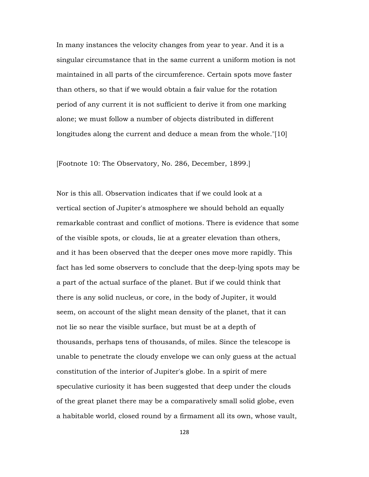In many instances the velocity changes from year to year. And it is a singular circumstance that in the same current a uniform motion is not maintained in all parts of the circumference. Certain spots move faster than others, so that if we would obtain a fair value for the rotation period of any current it is not sufficient to derive it from one marking alone; we must follow a number of objects distributed in different longitudes along the current and deduce a mean from the whole."[10]

[Footnote 10: The Observatory, No. 286, December, 1899.]

Nor is this all. Observation indicates that if we could look at a vertical section of Jupiter's atmosphere we should behold an equally remarkable contrast and conflict of motions. There is evidence that some of the visible spots, or clouds, lie at a greater elevation than others, and it has been observed that the deeper ones move more rapidly. This fact has led some observers to conclude that the deep-lying spots may be a part of the actual surface of the planet. But if we could think that there is any solid nucleus, or core, in the body of Jupiter, it would seem, on account of the slight mean density of the planet, that it can not lie so near the visible surface, but must be at a depth of thousands, perhaps tens of thousands, of miles. Since the telescope is unable to penetrate the cloudy envelope we can only guess at the actual constitution of the interior of Jupiter's globe. In a spirit of mere speculative curiosity it has been suggested that deep under the clouds of the great planet there may be a comparatively small solid globe, even a habitable world, closed round by a firmament all its own, whose vault,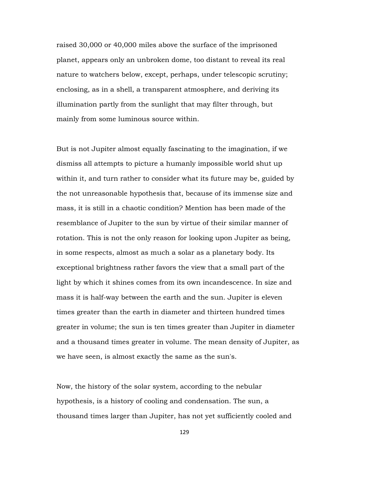raised 30,000 or 40,000 miles above the surface of the imprisoned planet, appears only an unbroken dome, too distant to reveal its real nature to watchers below, except, perhaps, under telescopic scrutiny; enclosing, as in a shell, a transparent atmosphere, and deriving its illumination partly from the sunlight that may filter through, but mainly from some luminous source within.

But is not Jupiter almost equally fascinating to the imagination, if we dismiss all attempts to picture a humanly impossible world shut up within it, and turn rather to consider what its future may be, guided by the not unreasonable hypothesis that, because of its immense size and mass, it is still in a chaotic condition? Mention has been made of the resemblance of Jupiter to the sun by virtue of their similar manner of rotation. This is not the only reason for looking upon Jupiter as being, in some respects, almost as much a solar as a planetary body. Its exceptional brightness rather favors the view that a small part of the light by which it shines comes from its own incandescence. In size and mass it is half-way between the earth and the sun. Jupiter is eleven times greater than the earth in diameter and thirteen hundred times greater in volume; the sun is ten times greater than Jupiter in diameter and a thousand times greater in volume. The mean density of Jupiter, as we have seen, is almost exactly the same as the sun's.

Now, the history of the solar system, according to the nebular hypothesis, is a history of cooling and condensation. The sun, a thousand times larger than Jupiter, has not yet sufficiently cooled and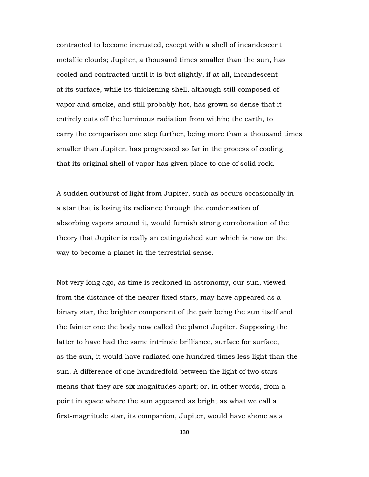contracted to become incrusted, except with a shell of incandescent metallic clouds; Jupiter, a thousand times smaller than the sun, has cooled and contracted until it is but slightly, if at all, incandescent at its surface, while its thickening shell, although still composed of vapor and smoke, and still probably hot, has grown so dense that it entirely cuts off the luminous radiation from within; the earth, to carry the comparison one step further, being more than a thousand times smaller than Jupiter, has progressed so far in the process of cooling that its original shell of vapor has given place to one of solid rock.

A sudden outburst of light from Jupiter, such as occurs occasionally in a star that is losing its radiance through the condensation of absorbing vapors around it, would furnish strong corroboration of the theory that Jupiter is really an extinguished sun which is now on the way to become a planet in the terrestrial sense.

Not very long ago, as time is reckoned in astronomy, our sun, viewed from the distance of the nearer fixed stars, may have appeared as a binary star, the brighter component of the pair being the sun itself and the fainter one the body now called the planet Jupiter. Supposing the latter to have had the same intrinsic brilliance, surface for surface, as the sun, it would have radiated one hundred times less light than the sun. A difference of one hundredfold between the light of two stars means that they are six magnitudes apart; or, in other words, from a point in space where the sun appeared as bright as what we call a first-magnitude star, its companion, Jupiter, would have shone as a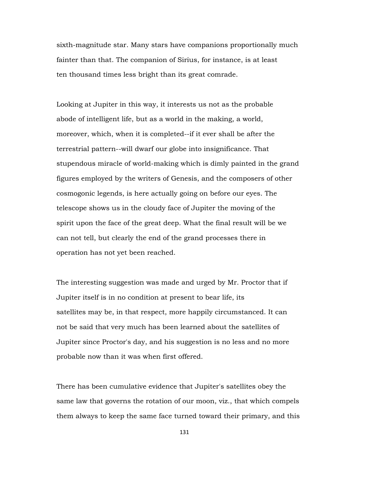sixth-magnitude star. Many stars have companions proportionally much fainter than that. The companion of Sirius, for instance, is at least ten thousand times less bright than its great comrade.

Looking at Jupiter in this way, it interests us not as the probable abode of intelligent life, but as a world in the making, a world, moreover, which, when it is completed--if it ever shall be after the terrestrial pattern--will dwarf our globe into insignificance. That stupendous miracle of world-making which is dimly painted in the grand figures employed by the writers of Genesis, and the composers of other cosmogonic legends, is here actually going on before our eyes. The telescope shows us in the cloudy face of Jupiter the moving of the spirit upon the face of the great deep. What the final result will be we can not tell, but clearly the end of the grand processes there in operation has not yet been reached.

The interesting suggestion was made and urged by Mr. Proctor that if Jupiter itself is in no condition at present to bear life, its satellites may be, in that respect, more happily circumstanced. It can not be said that very much has been learned about the satellites of Jupiter since Proctor's day, and his suggestion is no less and no more probable now than it was when first offered.

There has been cumulative evidence that Jupiter's satellites obey the same law that governs the rotation of our moon, viz., that which compels them always to keep the same face turned toward their primary, and this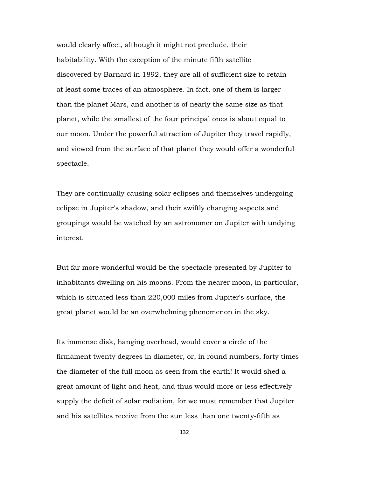would clearly affect, although it might not preclude, their habitability. With the exception of the minute fifth satellite discovered by Barnard in 1892, they are all of sufficient size to retain at least some traces of an atmosphere. In fact, one of them is larger than the planet Mars, and another is of nearly the same size as that planet, while the smallest of the four principal ones is about equal to our moon. Under the powerful attraction of Jupiter they travel rapidly, and viewed from the surface of that planet they would offer a wonderful spectacle.

They are continually causing solar eclipses and themselves undergoing eclipse in Jupiter's shadow, and their swiftly changing aspects and groupings would be watched by an astronomer on Jupiter with undying interest.

But far more wonderful would be the spectacle presented by Jupiter to inhabitants dwelling on his moons. From the nearer moon, in particular, which is situated less than 220,000 miles from Jupiter's surface, the great planet would be an overwhelming phenomenon in the sky.

Its immense disk, hanging overhead, would cover a circle of the firmament twenty degrees in diameter, or, in round numbers, forty times the diameter of the full moon as seen from the earth! It would shed a great amount of light and heat, and thus would more or less effectively supply the deficit of solar radiation, for we must remember that Jupiter and his satellites receive from the sun less than one twenty-fifth as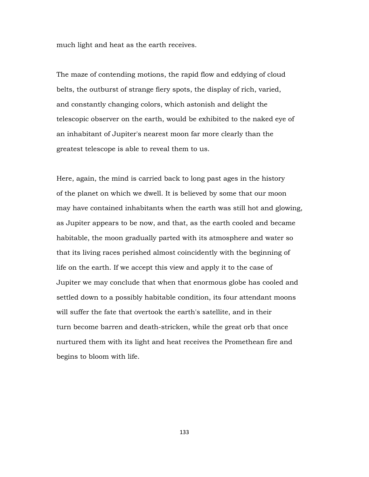much light and heat as the earth receives.

The maze of contending motions, the rapid flow and eddying of cloud belts, the outburst of strange fiery spots, the display of rich, varied, and constantly changing colors, which astonish and delight the telescopic observer on the earth, would be exhibited to the naked eye of an inhabitant of Jupiter's nearest moon far more clearly than the greatest telescope is able to reveal them to us.

Here, again, the mind is carried back to long past ages in the history of the planet on which we dwell. It is believed by some that our moon may have contained inhabitants when the earth was still hot and glowing, as Jupiter appears to be now, and that, as the earth cooled and became habitable, the moon gradually parted with its atmosphere and water so that its living races perished almost coincidently with the beginning of life on the earth. If we accept this view and apply it to the case of Jupiter we may conclude that when that enormous globe has cooled and settled down to a possibly habitable condition, its four attendant moons will suffer the fate that overtook the earth's satellite, and in their turn become barren and death-stricken, while the great orb that once nurtured them with its light and heat receives the Promethean fire and begins to bloom with life.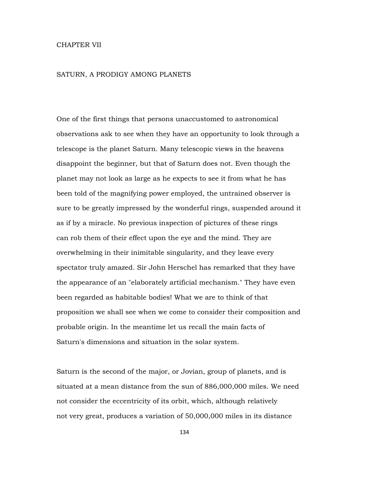## CHAPTER VII

### SATURN, A PRODIGY AMONG PLANETS

One of the first things that persons unaccustomed to astronomical observations ask to see when they have an opportunity to look through a telescope is the planet Saturn. Many telescopic views in the heavens disappoint the beginner, but that of Saturn does not. Even though the planet may not look as large as he expects to see it from what he has been told of the magnifying power employed, the untrained observer is sure to be greatly impressed by the wonderful rings, suspended around it as if by a miracle. No previous inspection of pictures of these rings can rob them of their effect upon the eye and the mind. They are overwhelming in their inimitable singularity, and they leave every spectator truly amazed. Sir John Herschel has remarked that they have the appearance of an "elaborately artificial mechanism." They have even been regarded as habitable bodies! What we are to think of that proposition we shall see when we come to consider their composition and probable origin. In the meantime let us recall the main facts of Saturn's dimensions and situation in the solar system.

Saturn is the second of the major, or Jovian, group of planets, and is situated at a mean distance from the sun of 886,000,000 miles. We need not consider the eccentricity of its orbit, which, although relatively not very great, produces a variation of 50,000,000 miles in its distance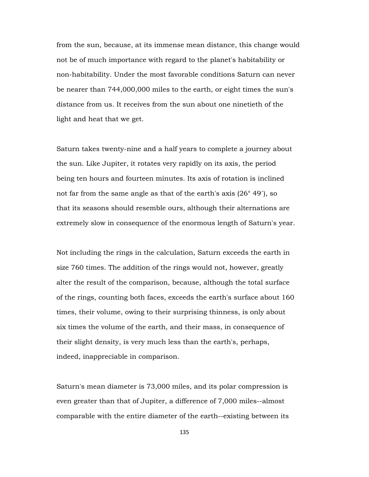from the sun, because, at its immense mean distance, this change would not be of much importance with regard to the planet's habitability or non-habitability. Under the most favorable conditions Saturn can never be nearer than 744,000,000 miles to the earth, or eight times the sun's distance from us. It receives from the sun about one ninetieth of the light and heat that we get.

Saturn takes twenty-nine and a half years to complete a journey about the sun. Like Jupiter, it rotates very rapidly on its axis, the period being ten hours and fourteen minutes. Its axis of rotation is inclined not far from the same angle as that of the earth's axis (26° 49´), so that its seasons should resemble ours, although their alternations are extremely slow in consequence of the enormous length of Saturn's year.

Not including the rings in the calculation, Saturn exceeds the earth in size 760 times. The addition of the rings would not, however, greatly alter the result of the comparison, because, although the total surface of the rings, counting both faces, exceeds the earth's surface about 160 times, their volume, owing to their surprising thinness, is only about six times the volume of the earth, and their mass, in consequence of their slight density, is very much less than the earth's, perhaps, indeed, inappreciable in comparison.

Saturn's mean diameter is 73,000 miles, and its polar compression is even greater than that of Jupiter, a difference of 7,000 miles--almost comparable with the entire diameter of the earth--existing between its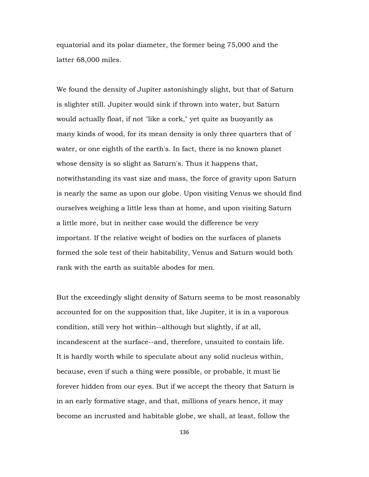equatorial and its polar diameter, the former being 75,000 and the latter 68,000 miles.

We found the density of Jupiter astonishingly slight, but that of Saturn is slighter still. Jupiter would sink if thrown into water, but Saturn would actually float, if not "like a cork," yet quite as buoyantly as many kinds of wood, for its mean density is only three quarters that of water, or one eighth of the earth's. In fact, there is no known planet whose density is so slight as Saturn's. Thus it happens that, notwithstanding its vast size and mass, the force of gravity upon Saturn is nearly the same as upon our globe. Upon visiting Venus we should find ourselves weighing a little less than at home, and upon visiting Saturn a little more, but in neither case would the difference be very important. If the relative weight of bodies on the surfaces of planets formed the sole test of their habitability, Venus and Saturn would both rank with the earth as suitable abodes for men.

But the exceedingly slight density of Saturn seems to be most reasonably accounted for on the supposition that, like Jupiter, it is in a vaporous condition, still very hot within--although but slightly, if at all, incandescent at the surface--and, therefore, unsuited to contain life. It is hardly worth while to speculate about any solid nucleus within, because, even if such a thing were possible, or probable, it must lie forever hidden from our eyes. But if we accept the theory that Saturn is in an early formative stage, and that, millions of years hence, it may become an incrusted and habitable globe, we shall, at least, follow the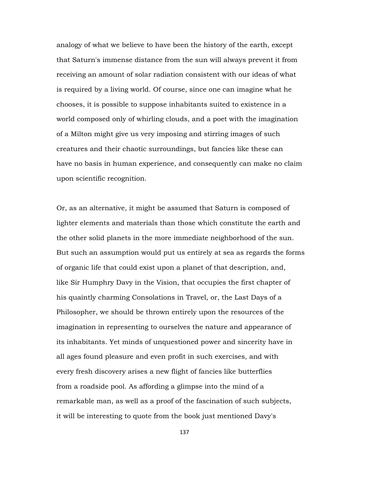analogy of what we believe to have been the history of the earth, except that Saturn's immense distance from the sun will always prevent it from receiving an amount of solar radiation consistent with our ideas of what is required by a living world. Of course, since one can imagine what he chooses, it is possible to suppose inhabitants suited to existence in a world composed only of whirling clouds, and a poet with the imagination of a Milton might give us very imposing and stirring images of such creatures and their chaotic surroundings, but fancies like these can have no basis in human experience, and consequently can make no claim upon scientific recognition.

Or, as an alternative, it might be assumed that Saturn is composed of lighter elements and materials than those which constitute the earth and the other solid planets in the more immediate neighborhood of the sun. But such an assumption would put us entirely at sea as regards the forms of organic life that could exist upon a planet of that description, and, like Sir Humphry Davy in the Vision, that occupies the first chapter of his quaintly charming Consolations in Travel, or, the Last Days of a Philosopher, we should be thrown entirely upon the resources of the imagination in representing to ourselves the nature and appearance of its inhabitants. Yet minds of unquestioned power and sincerity have in all ages found pleasure and even profit in such exercises, and with every fresh discovery arises a new flight of fancies like butterflies from a roadside pool. As affording a glimpse into the mind of a remarkable man, as well as a proof of the fascination of such subjects, it will be interesting to quote from the book just mentioned Davy's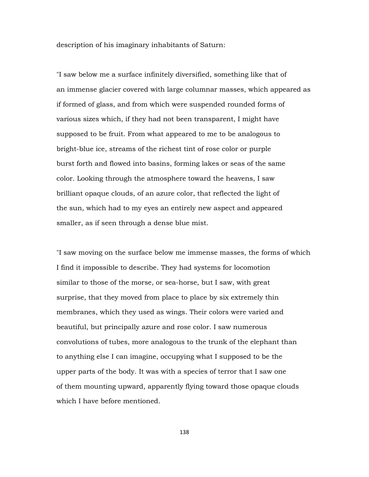description of his imaginary inhabitants of Saturn:

"I saw below me a surface infinitely diversified, something like that of an immense glacier covered with large columnar masses, which appeared as if formed of glass, and from which were suspended rounded forms of various sizes which, if they had not been transparent, I might have supposed to be fruit. From what appeared to me to be analogous to bright-blue ice, streams of the richest tint of rose color or purple burst forth and flowed into basins, forming lakes or seas of the same color. Looking through the atmosphere toward the heavens, I saw brilliant opaque clouds, of an azure color, that reflected the light of the sun, which had to my eyes an entirely new aspect and appeared smaller, as if seen through a dense blue mist.

"I saw moving on the surface below me immense masses, the forms of which I find it impossible to describe. They had systems for locomotion similar to those of the morse, or sea-horse, but I saw, with great surprise, that they moved from place to place by six extremely thin membranes, which they used as wings. Their colors were varied and beautiful, but principally azure and rose color. I saw numerous convolutions of tubes, more analogous to the trunk of the elephant than to anything else I can imagine, occupying what I supposed to be the upper parts of the body. It was with a species of terror that I saw one of them mounting upward, apparently flying toward those opaque clouds which I have before mentioned.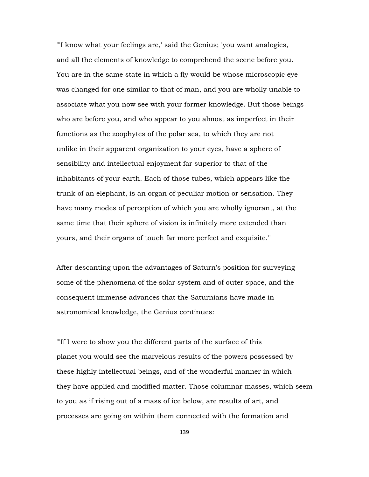"'I know what your feelings are,' said the Genius; 'you want analogies, and all the elements of knowledge to comprehend the scene before you. You are in the same state in which a fly would be whose microscopic eye was changed for one similar to that of man, and you are wholly unable to associate what you now see with your former knowledge. But those beings who are before you, and who appear to you almost as imperfect in their functions as the zoophytes of the polar sea, to which they are not unlike in their apparent organization to your eyes, have a sphere of sensibility and intellectual enjoyment far superior to that of the inhabitants of your earth. Each of those tubes, which appears like the trunk of an elephant, is an organ of peculiar motion or sensation. They have many modes of perception of which you are wholly ignorant, at the same time that their sphere of vision is infinitely more extended than yours, and their organs of touch far more perfect and exquisite.'"

After descanting upon the advantages of Saturn's position for surveying some of the phenomena of the solar system and of outer space, and the consequent immense advances that the Saturnians have made in astronomical knowledge, the Genius continues:

"'If I were to show you the different parts of the surface of this planet you would see the marvelous results of the powers possessed by these highly intellectual beings, and of the wonderful manner in which they have applied and modified matter. Those columnar masses, which seem to you as if rising out of a mass of ice below, are results of art, and processes are going on within them connected with the formation and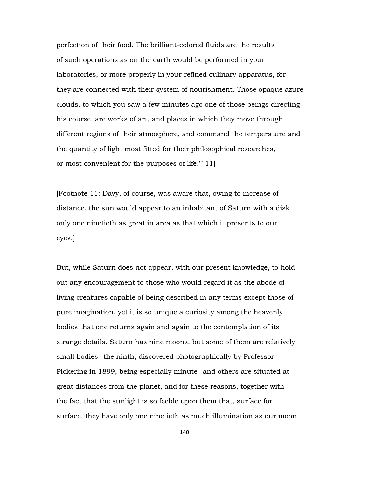perfection of their food. The brilliant-colored fluids are the results of such operations as on the earth would be performed in your laboratories, or more properly in your refined culinary apparatus, for they are connected with their system of nourishment. Those opaque azure clouds, to which you saw a few minutes ago one of those beings directing his course, are works of art, and places in which they move through different regions of their atmosphere, and command the temperature and the quantity of light most fitted for their philosophical researches, or most convenient for the purposes of life.'"[11]

[Footnote 11: Davy, of course, was aware that, owing to increase of distance, the sun would appear to an inhabitant of Saturn with a disk only one ninetieth as great in area as that which it presents to our eyes.]

But, while Saturn does not appear, with our present knowledge, to hold out any encouragement to those who would regard it as the abode of living creatures capable of being described in any terms except those of pure imagination, yet it is so unique a curiosity among the heavenly bodies that one returns again and again to the contemplation of its strange details. Saturn has nine moons, but some of them are relatively small bodies--the ninth, discovered photographically by Professor Pickering in 1899, being especially minute--and others are situated at great distances from the planet, and for these reasons, together with the fact that the sunlight is so feeble upon them that, surface for surface, they have only one ninetieth as much illumination as our moon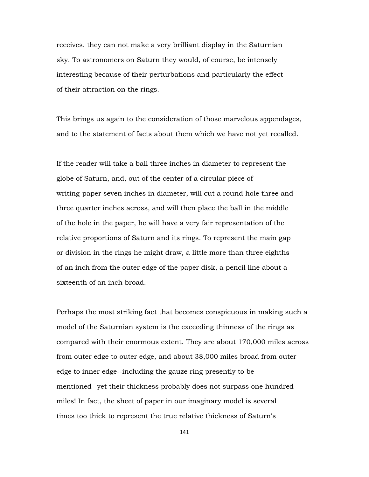receives, they can not make a very brilliant display in the Saturnian sky. To astronomers on Saturn they would, of course, be intensely interesting because of their perturbations and particularly the effect of their attraction on the rings.

This brings us again to the consideration of those marvelous appendages, and to the statement of facts about them which we have not yet recalled.

If the reader will take a ball three inches in diameter to represent the globe of Saturn, and, out of the center of a circular piece of writing-paper seven inches in diameter, will cut a round hole three and three quarter inches across, and will then place the ball in the middle of the hole in the paper, he will have a very fair representation of the relative proportions of Saturn and its rings. To represent the main gap or division in the rings he might draw, a little more than three eighths of an inch from the outer edge of the paper disk, a pencil line about a sixteenth of an inch broad.

Perhaps the most striking fact that becomes conspicuous in making such a model of the Saturnian system is the exceeding thinness of the rings as compared with their enormous extent. They are about 170,000 miles across from outer edge to outer edge, and about 38,000 miles broad from outer edge to inner edge--including the gauze ring presently to be mentioned--yet their thickness probably does not surpass one hundred miles! In fact, the sheet of paper in our imaginary model is several times too thick to represent the true relative thickness of Saturn's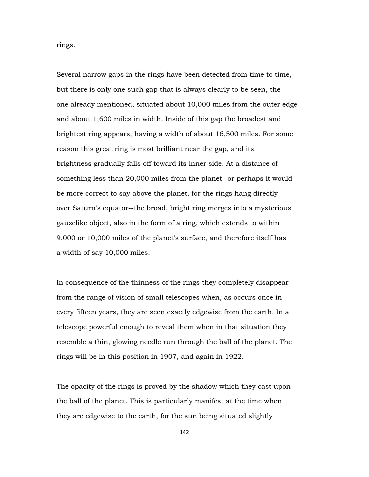rings.

Several narrow gaps in the rings have been detected from time to time, but there is only one such gap that is always clearly to be seen, the one already mentioned, situated about 10,000 miles from the outer edge and about 1,600 miles in width. Inside of this gap the broadest and brightest ring appears, having a width of about 16,500 miles. For some reason this great ring is most brilliant near the gap, and its brightness gradually falls off toward its inner side. At a distance of something less than 20,000 miles from the planet--or perhaps it would be more correct to say above the planet, for the rings hang directly over Saturn's equator--the broad, bright ring merges into a mysterious gauzelike object, also in the form of a ring, which extends to within 9,000 or 10,000 miles of the planet's surface, and therefore itself has a width of say 10,000 miles.

In consequence of the thinness of the rings they completely disappear from the range of vision of small telescopes when, as occurs once in every fifteen years, they are seen exactly edgewise from the earth. In a telescope powerful enough to reveal them when in that situation they resemble a thin, glowing needle run through the ball of the planet. The rings will be in this position in 1907, and again in 1922.

The opacity of the rings is proved by the shadow which they cast upon the ball of the planet. This is particularly manifest at the time when they are edgewise to the earth, for the sun being situated slightly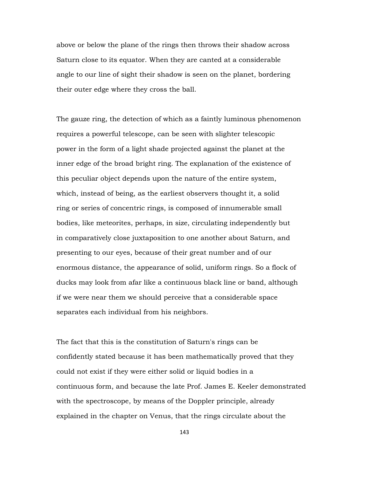above or below the plane of the rings then throws their shadow across Saturn close to its equator. When they are canted at a considerable angle to our line of sight their shadow is seen on the planet, bordering their outer edge where they cross the ball.

The gauze ring, the detection of which as a faintly luminous phenomenon requires a powerful telescope, can be seen with slighter telescopic power in the form of a light shade projected against the planet at the inner edge of the broad bright ring. The explanation of the existence of this peculiar object depends upon the nature of the entire system, which, instead of being, as the earliest observers thought it, a solid ring or series of concentric rings, is composed of innumerable small bodies, like meteorites, perhaps, in size, circulating independently but in comparatively close juxtaposition to one another about Saturn, and presenting to our eyes, because of their great number and of our enormous distance, the appearance of solid, uniform rings. So a flock of ducks may look from afar like a continuous black line or band, although if we were near them we should perceive that a considerable space separates each individual from his neighbors.

The fact that this is the constitution of Saturn's rings can be confidently stated because it has been mathematically proved that they could not exist if they were either solid or liquid bodies in a continuous form, and because the late Prof. James E. Keeler demonstrated with the spectroscope, by means of the Doppler principle, already explained in the chapter on Venus, that the rings circulate about the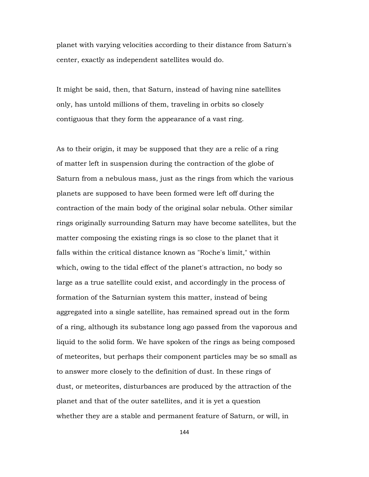planet with varying velocities according to their distance from Saturn's center, exactly as independent satellites would do.

It might be said, then, that Saturn, instead of having nine satellites only, has untold millions of them, traveling in orbits so closely contiguous that they form the appearance of a vast ring.

As to their origin, it may be supposed that they are a relic of a ring of matter left in suspension during the contraction of the globe of Saturn from a nebulous mass, just as the rings from which the various planets are supposed to have been formed were left off during the contraction of the main body of the original solar nebula. Other similar rings originally surrounding Saturn may have become satellites, but the matter composing the existing rings is so close to the planet that it falls within the critical distance known as "Roche's limit," within which, owing to the tidal effect of the planet's attraction, no body so large as a true satellite could exist, and accordingly in the process of formation of the Saturnian system this matter, instead of being aggregated into a single satellite, has remained spread out in the form of a ring, although its substance long ago passed from the vaporous and liquid to the solid form. We have spoken of the rings as being composed of meteorites, but perhaps their component particles may be so small as to answer more closely to the definition of dust. In these rings of dust, or meteorites, disturbances are produced by the attraction of the planet and that of the outer satellites, and it is yet a question whether they are a stable and permanent feature of Saturn, or will, in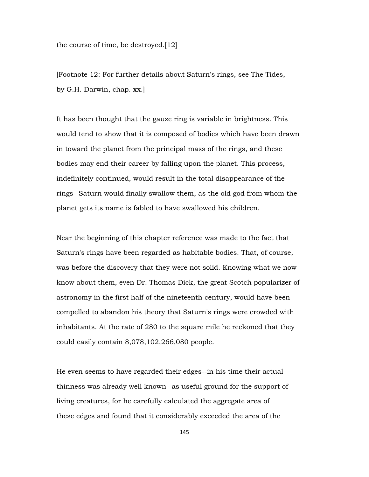the course of time, be destroyed.[12]

[Footnote 12: For further details about Saturn's rings, see The Tides, by G.H. Darwin, chap. xx.]

It has been thought that the gauze ring is variable in brightness. This would tend to show that it is composed of bodies which have been drawn in toward the planet from the principal mass of the rings, and these bodies may end their career by falling upon the planet. This process, indefinitely continued, would result in the total disappearance of the rings--Saturn would finally swallow them, as the old god from whom the planet gets its name is fabled to have swallowed his children.

Near the beginning of this chapter reference was made to the fact that Saturn's rings have been regarded as habitable bodies. That, of course, was before the discovery that they were not solid. Knowing what we now know about them, even Dr. Thomas Dick, the great Scotch popularizer of astronomy in the first half of the nineteenth century, would have been compelled to abandon his theory that Saturn's rings were crowded with inhabitants. At the rate of 280 to the square mile he reckoned that they could easily contain 8,078,102,266,080 people.

He even seems to have regarded their edges--in his time their actual thinness was already well known--as useful ground for the support of living creatures, for he carefully calculated the aggregate area of these edges and found that it considerably exceeded the area of the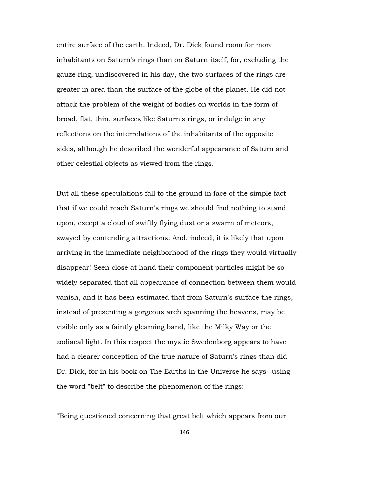entire surface of the earth. Indeed, Dr. Dick found room for more inhabitants on Saturn's rings than on Saturn itself, for, excluding the gauze ring, undiscovered in his day, the two surfaces of the rings are greater in area than the surface of the globe of the planet. He did not attack the problem of the weight of bodies on worlds in the form of broad, flat, thin, surfaces like Saturn's rings, or indulge in any reflections on the interrelations of the inhabitants of the opposite sides, although he described the wonderful appearance of Saturn and other celestial objects as viewed from the rings.

But all these speculations fall to the ground in face of the simple fact that if we could reach Saturn's rings we should find nothing to stand upon, except a cloud of swiftly flying dust or a swarm of meteors, swayed by contending attractions. And, indeed, it is likely that upon arriving in the immediate neighborhood of the rings they would virtually disappear! Seen close at hand their component particles might be so widely separated that all appearance of connection between them would vanish, and it has been estimated that from Saturn's surface the rings, instead of presenting a gorgeous arch spanning the heavens, may be visible only as a faintly gleaming band, like the Milky Way or the zodiacal light. In this respect the mystic Swedenborg appears to have had a clearer conception of the true nature of Saturn's rings than did Dr. Dick, for in his book on The Earths in the Universe he says--using the word "belt" to describe the phenomenon of the rings:

"Being questioned concerning that great belt which appears from our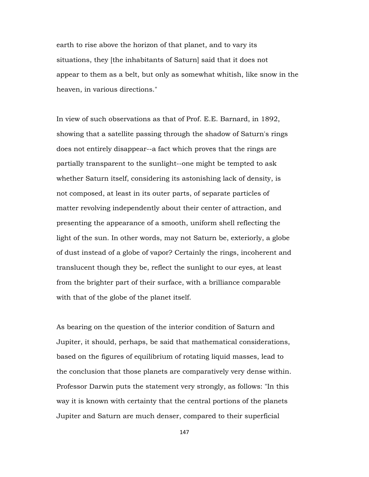earth to rise above the horizon of that planet, and to vary its situations, they [the inhabitants of Saturn] said that it does not appear to them as a belt, but only as somewhat whitish, like snow in the heaven, in various directions."

In view of such observations as that of Prof. E.E. Barnard, in 1892, showing that a satellite passing through the shadow of Saturn's rings does not entirely disappear--a fact which proves that the rings are partially transparent to the sunlight--one might be tempted to ask whether Saturn itself, considering its astonishing lack of density, is not composed, at least in its outer parts, of separate particles of matter revolving independently about their center of attraction, and presenting the appearance of a smooth, uniform shell reflecting the light of the sun. In other words, may not Saturn be, exteriorly, a globe of dust instead of a globe of vapor? Certainly the rings, incoherent and translucent though they be, reflect the sunlight to our eyes, at least from the brighter part of their surface, with a brilliance comparable with that of the globe of the planet itself.

As bearing on the question of the interior condition of Saturn and Jupiter, it should, perhaps, be said that mathematical considerations, based on the figures of equilibrium of rotating liquid masses, lead to the conclusion that those planets are comparatively very dense within. Professor Darwin puts the statement very strongly, as follows: "In this way it is known with certainty that the central portions of the planets Jupiter and Saturn are much denser, compared to their superficial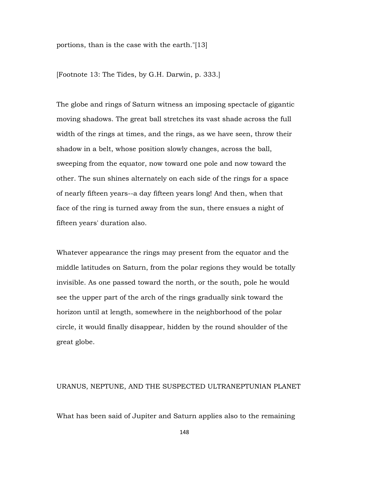portions, than is the case with the earth."[13]

[Footnote 13: The Tides, by G.H. Darwin, p. 333.]

The globe and rings of Saturn witness an imposing spectacle of gigantic moving shadows. The great ball stretches its vast shade across the full width of the rings at times, and the rings, as we have seen, throw their shadow in a belt, whose position slowly changes, across the ball, sweeping from the equator, now toward one pole and now toward the other. The sun shines alternately on each side of the rings for a space of nearly fifteen years--a day fifteen years long! And then, when that face of the ring is turned away from the sun, there ensues a night of fifteen years' duration also.

Whatever appearance the rings may present from the equator and the middle latitudes on Saturn, from the polar regions they would be totally invisible. As one passed toward the north, or the south, pole he would see the upper part of the arch of the rings gradually sink toward the horizon until at length, somewhere in the neighborhood of the polar circle, it would finally disappear, hidden by the round shoulder of the great globe.

## URANUS, NEPTUNE, AND THE SUSPECTED ULTRANEPTUNIAN PLANET

What has been said of Jupiter and Saturn applies also to the remaining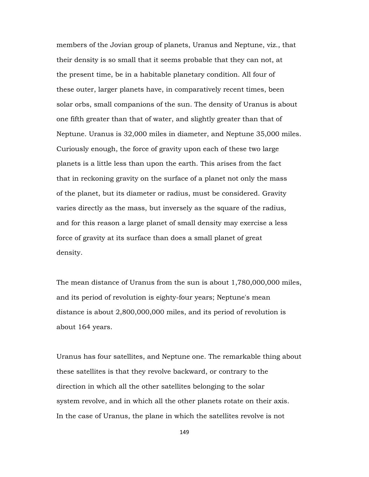members of the Jovian group of planets, Uranus and Neptune, viz., that their density is so small that it seems probable that they can not, at the present time, be in a habitable planetary condition. All four of these outer, larger planets have, in comparatively recent times, been solar orbs, small companions of the sun. The density of Uranus is about one fifth greater than that of water, and slightly greater than that of Neptune. Uranus is 32,000 miles in diameter, and Neptune 35,000 miles. Curiously enough, the force of gravity upon each of these two large planets is a little less than upon the earth. This arises from the fact that in reckoning gravity on the surface of a planet not only the mass of the planet, but its diameter or radius, must be considered. Gravity varies directly as the mass, but inversely as the square of the radius, and for this reason a large planet of small density may exercise a less force of gravity at its surface than does a small planet of great density.

The mean distance of Uranus from the sun is about 1,780,000,000 miles, and its period of revolution is eighty-four years; Neptune's mean distance is about 2,800,000,000 miles, and its period of revolution is about 164 years.

Uranus has four satellites, and Neptune one. The remarkable thing about these satellites is that they revolve backward, or contrary to the direction in which all the other satellites belonging to the solar system revolve, and in which all the other planets rotate on their axis. In the case of Uranus, the plane in which the satellites revolve is not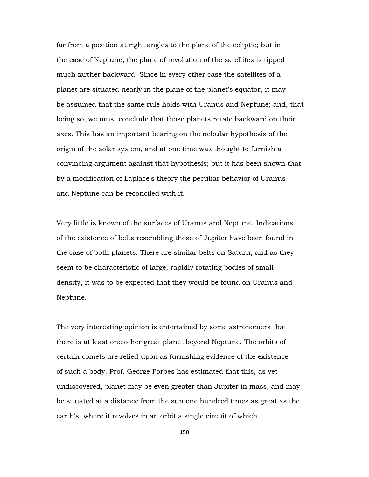far from a position at right angles to the plane of the ecliptic; but in the case of Neptune, the plane of revolution of the satellites is tipped much farther backward. Since in every other case the satellites of a planet are situated nearly in the plane of the planet's equator, it may be assumed that the same rule holds with Uranus and Neptune; and, that being so, we must conclude that those planets rotate backward on their axes. This has an important bearing on the nebular hypothesis of the origin of the solar system, and at one time was thought to furnish a convincing argument against that hypothesis; but it has been shown that by a modification of Laplace's theory the peculiar behavior of Uranus and Neptune can be reconciled with it.

Very little is known of the surfaces of Uranus and Neptune. Indications of the existence of belts resembling those of Jupiter have been found in the case of both planets. There are similar belts on Saturn, and as they seem to be characteristic of large, rapidly rotating bodies of small density, it was to be expected that they would be found on Uranus and Neptune.

The very interesting opinion is entertained by some astronomers that there is at least one other great planet beyond Neptune. The orbits of certain comets are relied upon as furnishing evidence of the existence of such a body. Prof. George Forbes has estimated that this, as yet undiscovered, planet may be even greater than Jupiter in mass, and may be situated at a distance from the sun one hundred times as great as the earth's, where it revolves in an orbit a single circuit of which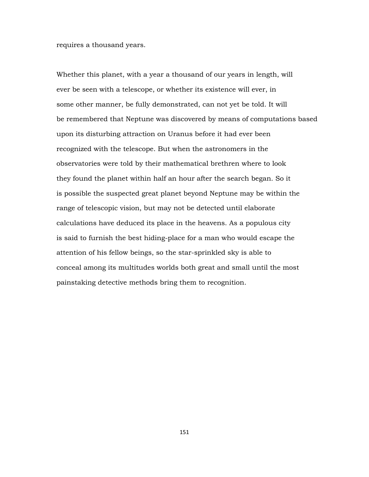requires a thousand years.

Whether this planet, with a year a thousand of our years in length, will ever be seen with a telescope, or whether its existence will ever, in some other manner, be fully demonstrated, can not yet be told. It will be remembered that Neptune was discovered by means of computations based upon its disturbing attraction on Uranus before it had ever been recognized with the telescope. But when the astronomers in the observatories were told by their mathematical brethren where to look they found the planet within half an hour after the search began. So it is possible the suspected great planet beyond Neptune may be within the range of telescopic vision, but may not be detected until elaborate calculations have deduced its place in the heavens. As a populous city is said to furnish the best hiding-place for a man who would escape the attention of his fellow beings, so the star-sprinkled sky is able to conceal among its multitudes worlds both great and small until the most painstaking detective methods bring them to recognition.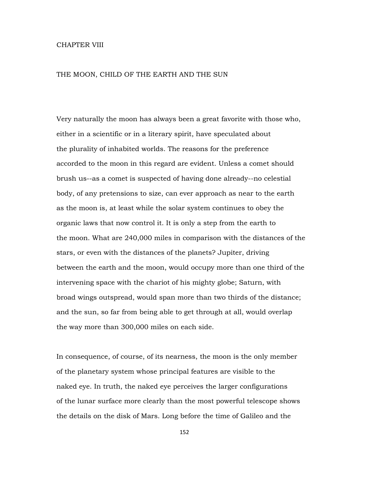## CHAPTER VIII

## THE MOON, CHILD OF THE EARTH AND THE SUN

Very naturally the moon has always been a great favorite with those who, either in a scientific or in a literary spirit, have speculated about the plurality of inhabited worlds. The reasons for the preference accorded to the moon in this regard are evident. Unless a comet should brush us--as a comet is suspected of having done already--no celestial body, of any pretensions to size, can ever approach as near to the earth as the moon is, at least while the solar system continues to obey the organic laws that now control it. It is only a step from the earth to the moon. What are 240,000 miles in comparison with the distances of the stars, or even with the distances of the planets? Jupiter, driving between the earth and the moon, would occupy more than one third of the intervening space with the chariot of his mighty globe; Saturn, with broad wings outspread, would span more than two thirds of the distance; and the sun, so far from being able to get through at all, would overlap the way more than 300,000 miles on each side.

In consequence, of course, of its nearness, the moon is the only member of the planetary system whose principal features are visible to the naked eye. In truth, the naked eye perceives the larger configurations of the lunar surface more clearly than the most powerful telescope shows the details on the disk of Mars. Long before the time of Galileo and the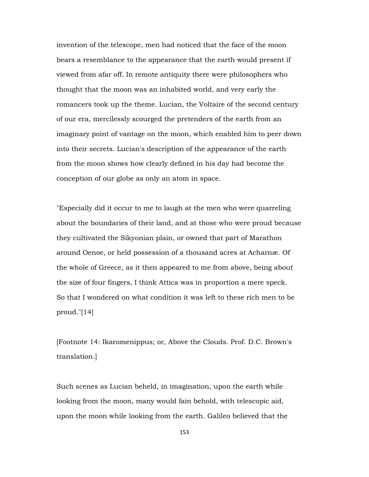invention of the telescope, men had noticed that the face of the moon bears a resemblance to the appearance that the earth would present if viewed from afar off. In remote antiquity there were philosophers who thought that the moon was an inhabited world, and very early the romancers took up the theme. Lucian, the Voltaire of the second century of our era, mercilessly scourged the pretenders of the earth from an imaginary point of vantage on the moon, which enabled him to peer down into their secrets. Lucian's description of the appearance of the earth from the moon shows how clearly defined in his day had become the conception of our globe as only an atom in space.

"Especially did it occur to me to laugh at the men who were quarreling about the boundaries of their land, and at those who were proud because they cultivated the Sikyonian plain, or owned that part of Marathon around Oenoe, or held possession of a thousand acres at Acharnæ. Of the whole of Greece, as it then appeared to me from above, being about the size of four fingers, I think Attica was in proportion a mere speck. So that I wondered on what condition it was left to these rich men to be proud."[14]

[Footnote 14: Ikaromenippus; or, Above the Clouds. Prof. D.C. Brown's translation.]

Such scenes as Lucian beheld, in imagination, upon the earth while looking from the moon, many would fain behold, with telescopic aid, upon the moon while looking from the earth. Galileo believed that the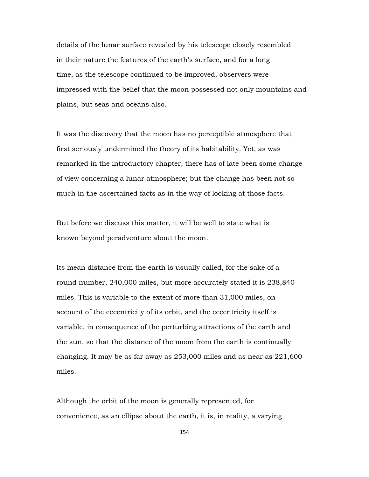details of the lunar surface revealed by his telescope closely resembled in their nature the features of the earth's surface, and for a long time, as the telescope continued to be improved, observers were impressed with the belief that the moon possessed not only mountains and plains, but seas and oceans also.

It was the discovery that the moon has no perceptible atmosphere that first seriously undermined the theory of its habitability. Yet, as was remarked in the introductory chapter, there has of late been some change of view concerning a lunar atmosphere; but the change has been not so much in the ascertained facts as in the way of looking at those facts.

But before we discuss this matter, it will be well to state what is known beyond peradventure about the moon.

Its mean distance from the earth is usually called, for the sake of a round number, 240,000 miles, but more accurately stated it is 238,840 miles. This is variable to the extent of more than 31,000 miles, on account of the eccentricity of its orbit, and the eccentricity itself is variable, in consequence of the perturbing attractions of the earth and the sun, so that the distance of the moon from the earth is continually changing. It may be as far away as 253,000 miles and as near as 221,600 miles.

Although the orbit of the moon is generally represented, for convenience, as an ellipse about the earth, it is, in reality, a varying

154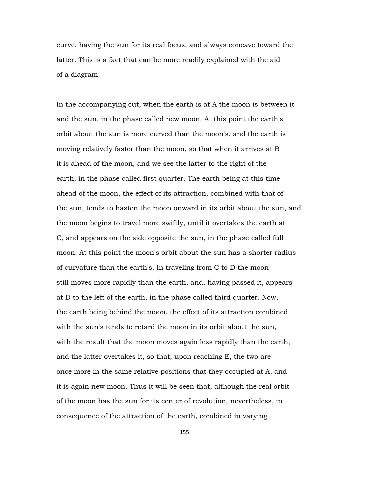curve, having the sun for its real focus, and always concave toward the latter. This is a fact that can be more readily explained with the aid of a diagram.

In the accompanying cut, when the earth is at A the moon is between it and the sun, in the phase called new moon. At this point the earth's orbit about the sun is more curved than the moon's, and the earth is moving relatively faster than the moon, so that when it arrives at B it is ahead of the moon, and we see the latter to the right of the earth, in the phase called first quarter. The earth being at this time ahead of the moon, the effect of its attraction, combined with that of the sun, tends to hasten the moon onward in its orbit about the sun, and the moon begins to travel more swiftly, until it overtakes the earth at C, and appears on the side opposite the sun, in the phase called full moon. At this point the moon's orbit about the sun has a shorter radius of curvature than the earth's. In traveling from C to D the moon still moves more rapidly than the earth, and, having passed it, appears at D to the left of the earth, in the phase called third quarter. Now, the earth being behind the moon, the effect of its attraction combined with the sun's tends to retard the moon in its orbit about the sun, with the result that the moon moves again less rapidly than the earth, and the latter overtakes it, so that, upon reaching E, the two are once more in the same relative positions that they occupied at A, and it is again new moon. Thus it will be seen that, although the real orbit of the moon has the sun for its center of revolution, nevertheless, in consequence of the attraction of the earth, combined in varying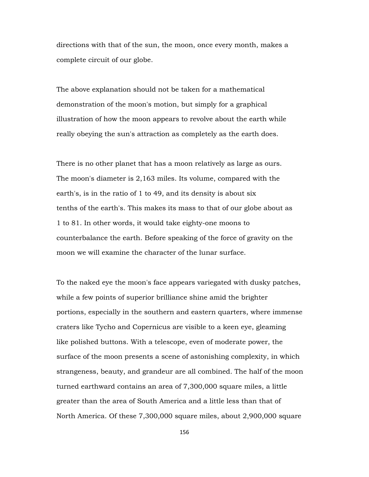directions with that of the sun, the moon, once every month, makes a complete circuit of our globe.

The above explanation should not be taken for a mathematical demonstration of the moon's motion, but simply for a graphical illustration of how the moon appears to revolve about the earth while really obeying the sun's attraction as completely as the earth does.

There is no other planet that has a moon relatively as large as ours. The moon's diameter is 2,163 miles. Its volume, compared with the earth's, is in the ratio of 1 to 49, and its density is about six tenths of the earth's. This makes its mass to that of our globe about as 1 to 81. In other words, it would take eighty-one moons to counterbalance the earth. Before speaking of the force of gravity on the moon we will examine the character of the lunar surface.

To the naked eye the moon's face appears variegated with dusky patches, while a few points of superior brilliance shine amid the brighter portions, especially in the southern and eastern quarters, where immense craters like Tycho and Copernicus are visible to a keen eye, gleaming like polished buttons. With a telescope, even of moderate power, the surface of the moon presents a scene of astonishing complexity, in which strangeness, beauty, and grandeur are all combined. The half of the moon turned earthward contains an area of 7,300,000 square miles, a little greater than the area of South America and a little less than that of North America. Of these 7,300,000 square miles, about 2,900,000 square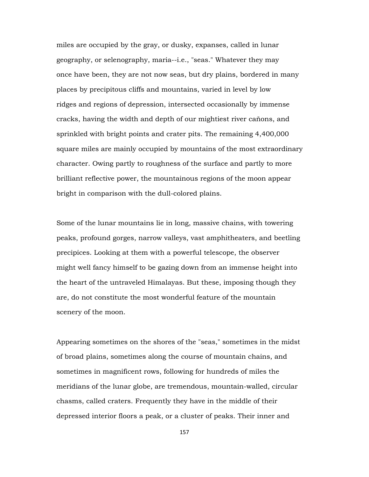miles are occupied by the gray, or dusky, expanses, called in lunar geography, or selenography, maria--i.e., "seas." Whatever they may once have been, they are not now seas, but dry plains, bordered in many places by precipitous cliffs and mountains, varied in level by low ridges and regions of depression, intersected occasionally by immense cracks, having the width and depth of our mightiest river cañons, and sprinkled with bright points and crater pits. The remaining 4,400,000 square miles are mainly occupied by mountains of the most extraordinary character. Owing partly to roughness of the surface and partly to more brilliant reflective power, the mountainous regions of the moon appear bright in comparison with the dull-colored plains.

Some of the lunar mountains lie in long, massive chains, with towering peaks, profound gorges, narrow valleys, vast amphitheaters, and beetling precipices. Looking at them with a powerful telescope, the observer might well fancy himself to be gazing down from an immense height into the heart of the untraveled Himalayas. But these, imposing though they are, do not constitute the most wonderful feature of the mountain scenery of the moon.

Appearing sometimes on the shores of the "seas," sometimes in the midst of broad plains, sometimes along the course of mountain chains, and sometimes in magnificent rows, following for hundreds of miles the meridians of the lunar globe, are tremendous, mountain-walled, circular chasms, called craters. Frequently they have in the middle of their depressed interior floors a peak, or a cluster of peaks. Their inner and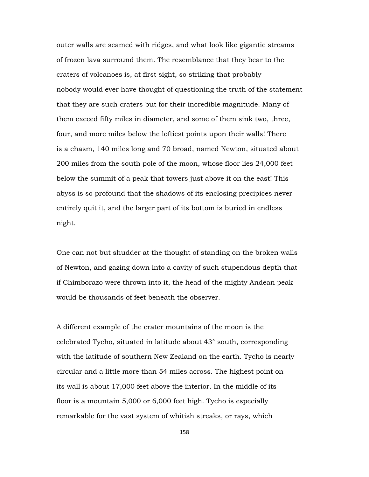outer walls are seamed with ridges, and what look like gigantic streams of frozen lava surround them. The resemblance that they bear to the craters of volcanoes is, at first sight, so striking that probably nobody would ever have thought of questioning the truth of the statement that they are such craters but for their incredible magnitude. Many of them exceed fifty miles in diameter, and some of them sink two, three, four, and more miles below the loftiest points upon their walls! There is a chasm, 140 miles long and 70 broad, named Newton, situated about 200 miles from the south pole of the moon, whose floor lies 24,000 feet below the summit of a peak that towers just above it on the east! This abyss is so profound that the shadows of its enclosing precipices never entirely quit it, and the larger part of its bottom is buried in endless night.

One can not but shudder at the thought of standing on the broken walls of Newton, and gazing down into a cavity of such stupendous depth that if Chimborazo were thrown into it, the head of the mighty Andean peak would be thousands of feet beneath the observer.

A different example of the crater mountains of the moon is the celebrated Tycho, situated in latitude about 43° south, corresponding with the latitude of southern New Zealand on the earth. Tycho is nearly circular and a little more than 54 miles across. The highest point on its wall is about 17,000 feet above the interior. In the middle of its floor is a mountain 5,000 or 6,000 feet high. Tycho is especially remarkable for the vast system of whitish streaks, or rays, which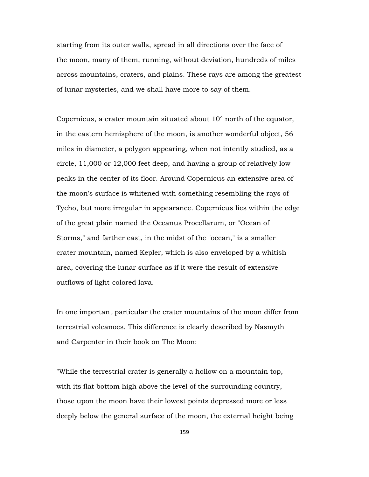starting from its outer walls, spread in all directions over the face of the moon, many of them, running, without deviation, hundreds of miles across mountains, craters, and plains. These rays are among the greatest of lunar mysteries, and we shall have more to say of them.

Copernicus, a crater mountain situated about 10° north of the equator, in the eastern hemisphere of the moon, is another wonderful object, 56 miles in diameter, a polygon appearing, when not intently studied, as a circle, 11,000 or 12,000 feet deep, and having a group of relatively low peaks in the center of its floor. Around Copernicus an extensive area of the moon's surface is whitened with something resembling the rays of Tycho, but more irregular in appearance. Copernicus lies within the edge of the great plain named the Oceanus Procellarum, or "Ocean of Storms," and farther east, in the midst of the "ocean," is a smaller crater mountain, named Kepler, which is also enveloped by a whitish area, covering the lunar surface as if it were the result of extensive outflows of light-colored lava.

In one important particular the crater mountains of the moon differ from terrestrial volcanoes. This difference is clearly described by Nasmyth and Carpenter in their book on The Moon:

"While the terrestrial crater is generally a hollow on a mountain top, with its flat bottom high above the level of the surrounding country, those upon the moon have their lowest points depressed more or less deeply below the general surface of the moon, the external height being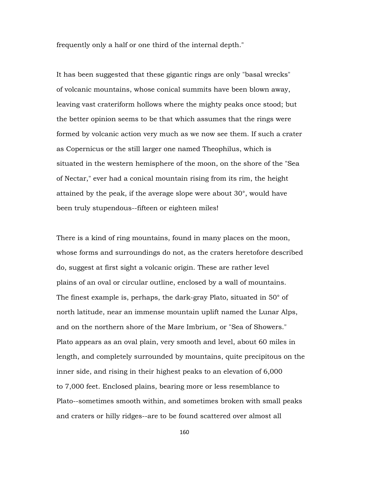frequently only a half or one third of the internal depth."

It has been suggested that these gigantic rings are only "basal wrecks" of volcanic mountains, whose conical summits have been blown away, leaving vast crateriform hollows where the mighty peaks once stood; but the better opinion seems to be that which assumes that the rings were formed by volcanic action very much as we now see them. If such a crater as Copernicus or the still larger one named Theophilus, which is situated in the western hemisphere of the moon, on the shore of the "Sea of Nectar," ever had a conical mountain rising from its rim, the height attained by the peak, if the average slope were about 30°, would have been truly stupendous--fifteen or eighteen miles!

There is a kind of ring mountains, found in many places on the moon, whose forms and surroundings do not, as the craters heretofore described do, suggest at first sight a volcanic origin. These are rather level plains of an oval or circular outline, enclosed by a wall of mountains. The finest example is, perhaps, the dark-gray Plato, situated in 50° of north latitude, near an immense mountain uplift named the Lunar Alps, and on the northern shore of the Mare Imbrium, or "Sea of Showers." Plato appears as an oval plain, very smooth and level, about 60 miles in length, and completely surrounded by mountains, quite precipitous on the inner side, and rising in their highest peaks to an elevation of 6,000 to 7,000 feet. Enclosed plains, bearing more or less resemblance to Plato--sometimes smooth within, and sometimes broken with small peaks and craters or hilly ridges--are to be found scattered over almost all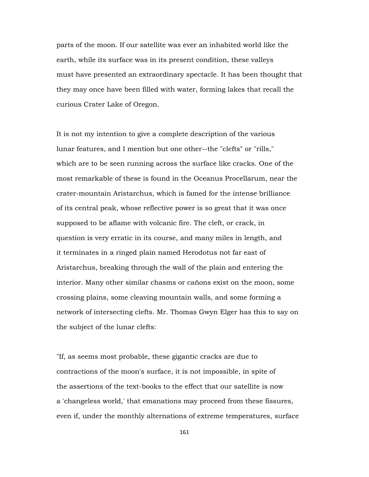parts of the moon. If our satellite was ever an inhabited world like the earth, while its surface was in its present condition, these valleys must have presented an extraordinary spectacle. It has been thought that they may once have been filled with water, forming lakes that recall the curious Crater Lake of Oregon.

It is not my intention to give a complete description of the various lunar features, and I mention but one other--the "clefts" or "rills," which are to be seen running across the surface like cracks. One of the most remarkable of these is found in the Oceanus Procellarum, near the crater-mountain Aristarchus, which is famed for the intense brilliance of its central peak, whose reflective power is so great that it was once supposed to be aflame with volcanic fire. The cleft, or crack, in question is very erratic in its course, and many miles in length, and it terminates in a ringed plain named Herodotus not far east of Aristarchus, breaking through the wall of the plain and entering the interior. Many other similar chasms or cañons exist on the moon, some crossing plains, some cleaving mountain walls, and some forming a network of intersecting clefts. Mr. Thomas Gwyn Elger has this to say on the subject of the lunar clefts:

"If, as seems most probable, these gigantic cracks are due to contractions of the moon's surface, it is not impossible, in spite of the assertions of the text-books to the effect that our satellite is now a 'changeless world,' that emanations may proceed from these fissures, even if, under the monthly alternations of extreme temperatures, surface

161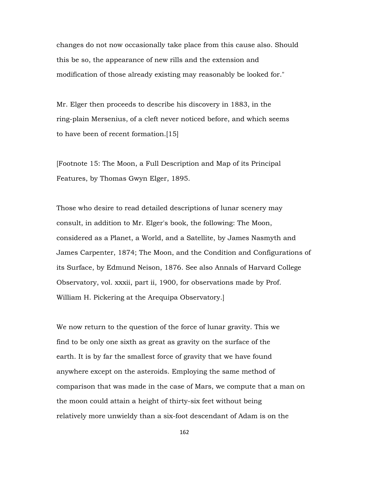changes do not now occasionally take place from this cause also. Should this be so, the appearance of new rills and the extension and modification of those already existing may reasonably be looked for."

Mr. Elger then proceeds to describe his discovery in 1883, in the ring-plain Mersenius, of a cleft never noticed before, and which seems to have been of recent formation.[15]

[Footnote 15: The Moon, a Full Description and Map of its Principal Features, by Thomas Gwyn Elger, 1895.

Those who desire to read detailed descriptions of lunar scenery may consult, in addition to Mr. Elger's book, the following: The Moon, considered as a Planet, a World, and a Satellite, by James Nasmyth and James Carpenter, 1874; The Moon, and the Condition and Configurations of its Surface, by Edmund Neison, 1876. See also Annals of Harvard College Observatory, vol. xxxii, part ii, 1900, for observations made by Prof. William H. Pickering at the Arequipa Observatory.]

We now return to the question of the force of lunar gravity. This we find to be only one sixth as great as gravity on the surface of the earth. It is by far the smallest force of gravity that we have found anywhere except on the asteroids. Employing the same method of comparison that was made in the case of Mars, we compute that a man on the moon could attain a height of thirty-six feet without being relatively more unwieldy than a six-foot descendant of Adam is on the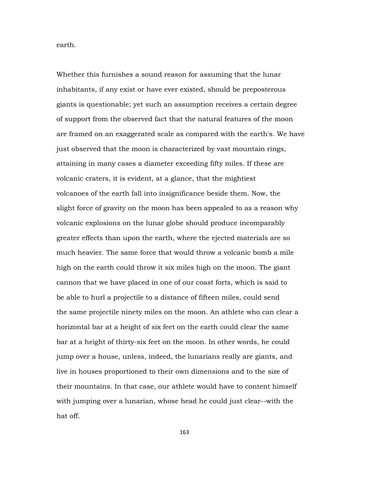earth.

Whether this furnishes a sound reason for assuming that the lunar inhabitants, if any exist or have ever existed, should be preposterous giants is questionable; yet such an assumption receives a certain degree of support from the observed fact that the natural features of the moon are framed on an exaggerated scale as compared with the earth's. We have just observed that the moon is characterized by vast mountain rings, attaining in many cases a diameter exceeding fifty miles. If these are volcanic craters, it is evident, at a glance, that the mightiest volcanoes of the earth fall into insignificance beside them. Now, the slight force of gravity on the moon has been appealed to as a reason why volcanic explosions on the lunar globe should produce incomparably greater effects than upon the earth, where the ejected materials are so much heavier. The same force that would throw a volcanic bomb a mile high on the earth could throw it six miles high on the moon. The giant cannon that we have placed in one of our coast forts, which is said to be able to hurl a projectile to a distance of fifteen miles, could send the same projectile ninety miles on the moon. An athlete who can clear a horizontal bar at a height of six feet on the earth could clear the same bar at a height of thirty-six feet on the moon. In other words, he could jump over a house, unless, indeed, the lunarians really are giants, and live in houses proportioned to their own dimensions and to the size of their mountains. In that case, our athlete would have to content himself with jumping over a lunarian, whose head he could just clear--with the hat off.

163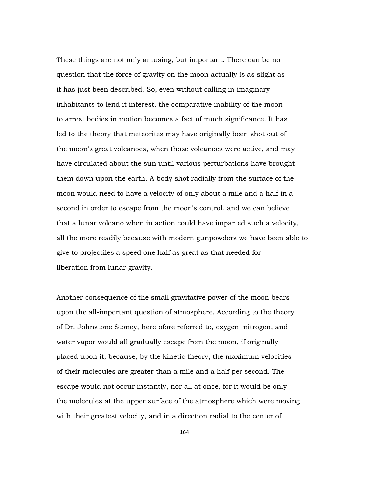These things are not only amusing, but important. There can be no question that the force of gravity on the moon actually is as slight as it has just been described. So, even without calling in imaginary inhabitants to lend it interest, the comparative inability of the moon to arrest bodies in motion becomes a fact of much significance. It has led to the theory that meteorites may have originally been shot out of the moon's great volcanoes, when those volcanoes were active, and may have circulated about the sun until various perturbations have brought them down upon the earth. A body shot radially from the surface of the moon would need to have a velocity of only about a mile and a half in a second in order to escape from the moon's control, and we can believe that a lunar volcano when in action could have imparted such a velocity, all the more readily because with modern gunpowders we have been able to give to projectiles a speed one half as great as that needed for liberation from lunar gravity.

Another consequence of the small gravitative power of the moon bears upon the all-important question of atmosphere. According to the theory of Dr. Johnstone Stoney, heretofore referred to, oxygen, nitrogen, and water vapor would all gradually escape from the moon, if originally placed upon it, because, by the kinetic theory, the maximum velocities of their molecules are greater than a mile and a half per second. The escape would not occur instantly, nor all at once, for it would be only the molecules at the upper surface of the atmosphere which were moving with their greatest velocity, and in a direction radial to the center of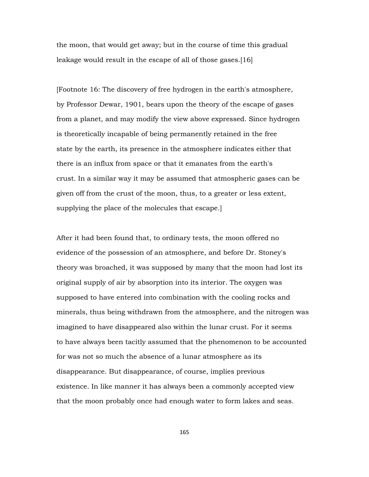the moon, that would get away; but in the course of time this gradual leakage would result in the escape of all of those gases.[16]

[Footnote 16: The discovery of free hydrogen in the earth's atmosphere, by Professor Dewar, 1901, bears upon the theory of the escape of gases from a planet, and may modify the view above expressed. Since hydrogen is theoretically incapable of being permanently retained in the free state by the earth, its presence in the atmosphere indicates either that there is an influx from space or that it emanates from the earth's crust. In a similar way it may be assumed that atmospheric gases can be given off from the crust of the moon, thus, to a greater or less extent, supplying the place of the molecules that escape.]

After it had been found that, to ordinary tests, the moon offered no evidence of the possession of an atmosphere, and before Dr. Stoney's theory was broached, it was supposed by many that the moon had lost its original supply of air by absorption into its interior. The oxygen was supposed to have entered into combination with the cooling rocks and minerals, thus being withdrawn from the atmosphere, and the nitrogen was imagined to have disappeared also within the lunar crust. For it seems to have always been tacitly assumed that the phenomenon to be accounted for was not so much the absence of a lunar atmosphere as its disappearance. But disappearance, of course, implies previous existence. In like manner it has always been a commonly accepted view that the moon probably once had enough water to form lakes and seas.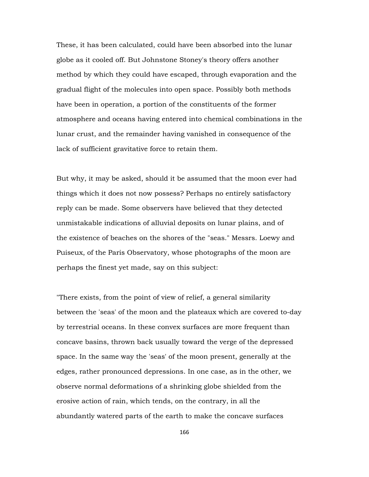These, it has been calculated, could have been absorbed into the lunar globe as it cooled off. But Johnstone Stoney's theory offers another method by which they could have escaped, through evaporation and the gradual flight of the molecules into open space. Possibly both methods have been in operation, a portion of the constituents of the former atmosphere and oceans having entered into chemical combinations in the lunar crust, and the remainder having vanished in consequence of the lack of sufficient gravitative force to retain them.

But why, it may be asked, should it be assumed that the moon ever had things which it does not now possess? Perhaps no entirely satisfactory reply can be made. Some observers have believed that they detected unmistakable indications of alluvial deposits on lunar plains, and of the existence of beaches on the shores of the "seas." Messrs. Loewy and Puiseux, of the Paris Observatory, whose photographs of the moon are perhaps the finest yet made, say on this subject:

"There exists, from the point of view of relief, a general similarity between the 'seas' of the moon and the plateaux which are covered to-day by terrestrial oceans. In these convex surfaces are more frequent than concave basins, thrown back usually toward the verge of the depressed space. In the same way the 'seas' of the moon present, generally at the edges, rather pronounced depressions. In one case, as in the other, we observe normal deformations of a shrinking globe shielded from the erosive action of rain, which tends, on the contrary, in all the abundantly watered parts of the earth to make the concave surfaces

166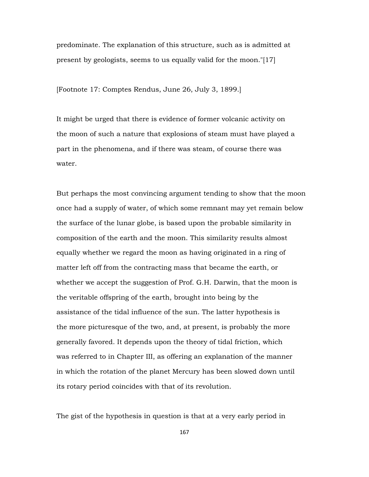predominate. The explanation of this structure, such as is admitted at present by geologists, seems to us equally valid for the moon."[17]

[Footnote 17: Comptes Rendus, June 26, July 3, 1899.]

It might be urged that there is evidence of former volcanic activity on the moon of such a nature that explosions of steam must have played a part in the phenomena, and if there was steam, of course there was water.

But perhaps the most convincing argument tending to show that the moon once had a supply of water, of which some remnant may yet remain below the surface of the lunar globe, is based upon the probable similarity in composition of the earth and the moon. This similarity results almost equally whether we regard the moon as having originated in a ring of matter left off from the contracting mass that became the earth, or whether we accept the suggestion of Prof. G.H. Darwin, that the moon is the veritable offspring of the earth, brought into being by the assistance of the tidal influence of the sun. The latter hypothesis is the more picturesque of the two, and, at present, is probably the more generally favored. It depends upon the theory of tidal friction, which was referred to in Chapter III, as offering an explanation of the manner in which the rotation of the planet Mercury has been slowed down until its rotary period coincides with that of its revolution.

The gist of the hypothesis in question is that at a very early period in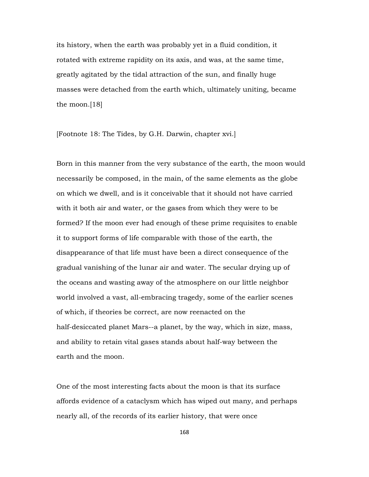its history, when the earth was probably yet in a fluid condition, it rotated with extreme rapidity on its axis, and was, at the same time, greatly agitated by the tidal attraction of the sun, and finally huge masses were detached from the earth which, ultimately uniting, became the moon.[18]

[Footnote 18: The Tides, by G.H. Darwin, chapter xvi.]

Born in this manner from the very substance of the earth, the moon would necessarily be composed, in the main, of the same elements as the globe on which we dwell, and is it conceivable that it should not have carried with it both air and water, or the gases from which they were to be formed? If the moon ever had enough of these prime requisites to enable it to support forms of life comparable with those of the earth, the disappearance of that life must have been a direct consequence of the gradual vanishing of the lunar air and water. The secular drying up of the oceans and wasting away of the atmosphere on our little neighbor world involved a vast, all-embracing tragedy, some of the earlier scenes of which, if theories be correct, are now reenacted on the half-desiccated planet Mars--a planet, by the way, which in size, mass, and ability to retain vital gases stands about half-way between the earth and the moon.

One of the most interesting facts about the moon is that its surface affords evidence of a cataclysm which has wiped out many, and perhaps nearly all, of the records of its earlier history, that were once

168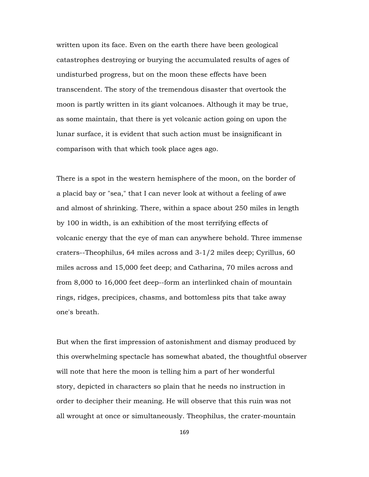written upon its face. Even on the earth there have been geological catastrophes destroying or burying the accumulated results of ages of undisturbed progress, but on the moon these effects have been transcendent. The story of the tremendous disaster that overtook the moon is partly written in its giant volcanoes. Although it may be true, as some maintain, that there is yet volcanic action going on upon the lunar surface, it is evident that such action must be insignificant in comparison with that which took place ages ago.

There is a spot in the western hemisphere of the moon, on the border of a placid bay or "sea," that I can never look at without a feeling of awe and almost of shrinking. There, within a space about 250 miles in length by 100 in width, is an exhibition of the most terrifying effects of volcanic energy that the eye of man can anywhere behold. Three immense craters--Theophilus, 64 miles across and 3-1/2 miles deep; Cyrillus, 60 miles across and 15,000 feet deep; and Catharina, 70 miles across and from 8,000 to 16,000 feet deep--form an interlinked chain of mountain rings, ridges, precipices, chasms, and bottomless pits that take away one's breath.

But when the first impression of astonishment and dismay produced by this overwhelming spectacle has somewhat abated, the thoughtful observer will note that here the moon is telling him a part of her wonderful story, depicted in characters so plain that he needs no instruction in order to decipher their meaning. He will observe that this ruin was not all wrought at once or simultaneously. Theophilus, the crater-mountain

169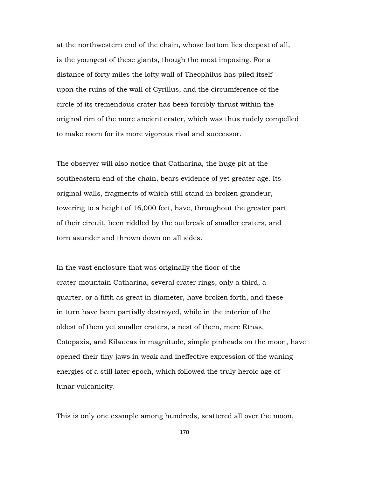at the northwestern end of the chain, whose bottom lies deepest of all, is the youngest of these giants, though the most imposing. For a distance of forty miles the lofty wall of Theophilus has piled itself upon the ruins of the wall of Cyrillus, and the circumference of the circle of its tremendous crater has been forcibly thrust within the original rim of the more ancient crater, which was thus rudely compelled to make room for its more vigorous rival and successor.

The observer will also notice that Catharina, the huge pit at the southeastern end of the chain, bears evidence of yet greater age. Its original walls, fragments of which still stand in broken grandeur, towering to a height of 16,000 feet, have, throughout the greater part of their circuit, been riddled by the outbreak of smaller craters, and torn asunder and thrown down on all sides.

In the vast enclosure that was originally the floor of the crater-mountain Catharina, several crater rings, only a third, a quarter, or a fifth as great in diameter, have broken forth, and these in turn have been partially destroyed, while in the interior of the oldest of them yet smaller craters, a nest of them, mere Etnas, Cotopaxis, and Kilaueas in magnitude, simple pinheads on the moon, have opened their tiny jaws in weak and ineffective expression of the waning energies of a still later epoch, which followed the truly heroic age of lunar vulcanicity.

This is only one example among hundreds, scattered all over the moon,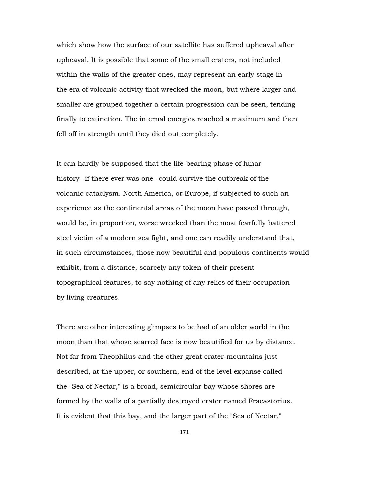which show how the surface of our satellite has suffered upheaval after upheaval. It is possible that some of the small craters, not included within the walls of the greater ones, may represent an early stage in the era of volcanic activity that wrecked the moon, but where larger and smaller are grouped together a certain progression can be seen, tending finally to extinction. The internal energies reached a maximum and then fell off in strength until they died out completely.

It can hardly be supposed that the life-bearing phase of lunar history--if there ever was one--could survive the outbreak of the volcanic cataclysm. North America, or Europe, if subjected to such an experience as the continental areas of the moon have passed through, would be, in proportion, worse wrecked than the most fearfully battered steel victim of a modern sea fight, and one can readily understand that, in such circumstances, those now beautiful and populous continents would exhibit, from a distance, scarcely any token of their present topographical features, to say nothing of any relics of their occupation by living creatures.

There are other interesting glimpses to be had of an older world in the moon than that whose scarred face is now beautified for us by distance. Not far from Theophilus and the other great crater-mountains just described, at the upper, or southern, end of the level expanse called the "Sea of Nectar," is a broad, semicircular bay whose shores are formed by the walls of a partially destroyed crater named Fracastorius. It is evident that this bay, and the larger part of the "Sea of Nectar,"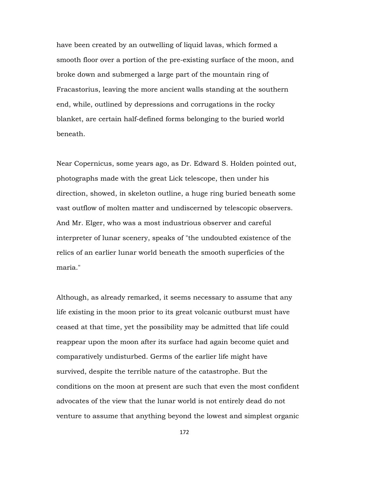have been created by an outwelling of liquid lavas, which formed a smooth floor over a portion of the pre-existing surface of the moon, and broke down and submerged a large part of the mountain ring of Fracastorius, leaving the more ancient walls standing at the southern end, while, outlined by depressions and corrugations in the rocky blanket, are certain half-defined forms belonging to the buried world beneath.

Near Copernicus, some years ago, as Dr. Edward S. Holden pointed out, photographs made with the great Lick telescope, then under his direction, showed, in skeleton outline, a huge ring buried beneath some vast outflow of molten matter and undiscerned by telescopic observers. And Mr. Elger, who was a most industrious observer and careful interpreter of lunar scenery, speaks of "the undoubted existence of the relics of an earlier lunar world beneath the smooth superficies of the maria."

Although, as already remarked, it seems necessary to assume that any life existing in the moon prior to its great volcanic outburst must have ceased at that time, yet the possibility may be admitted that life could reappear upon the moon after its surface had again become quiet and comparatively undisturbed. Germs of the earlier life might have survived, despite the terrible nature of the catastrophe. But the conditions on the moon at present are such that even the most confident advocates of the view that the lunar world is not entirely dead do not venture to assume that anything beyond the lowest and simplest organic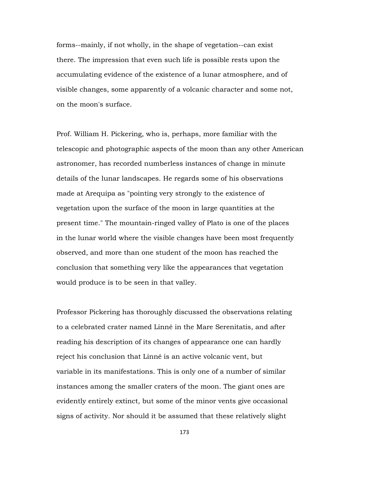forms--mainly, if not wholly, in the shape of vegetation--can exist there. The impression that even such life is possible rests upon the accumulating evidence of the existence of a lunar atmosphere, and of visible changes, some apparently of a volcanic character and some not, on the moon's surface.

Prof. William H. Pickering, who is, perhaps, more familiar with the telescopic and photographic aspects of the moon than any other American astronomer, has recorded numberless instances of change in minute details of the lunar landscapes. He regards some of his observations made at Arequipa as "pointing very strongly to the existence of vegetation upon the surface of the moon in large quantities at the present time." The mountain-ringed valley of Plato is one of the places in the lunar world where the visible changes have been most frequently observed, and more than one student of the moon has reached the conclusion that something very like the appearances that vegetation would produce is to be seen in that valley.

Professor Pickering has thoroughly discussed the observations relating to a celebrated crater named Linné in the Mare Serenitatis, and after reading his description of its changes of appearance one can hardly reject his conclusion that Linné is an active volcanic vent, but variable in its manifestations. This is only one of a number of similar instances among the smaller craters of the moon. The giant ones are evidently entirely extinct, but some of the minor vents give occasional signs of activity. Nor should it be assumed that these relatively slight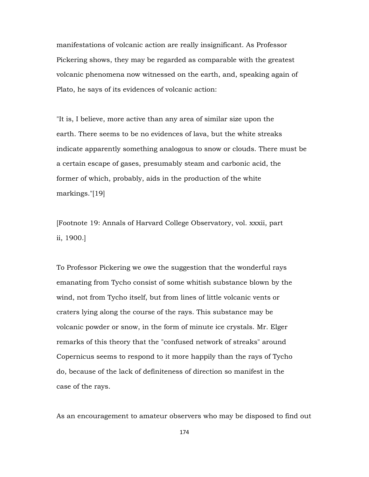manifestations of volcanic action are really insignificant. As Professor Pickering shows, they may be regarded as comparable with the greatest volcanic phenomena now witnessed on the earth, and, speaking again of Plato, he says of its evidences of volcanic action:

"It is, I believe, more active than any area of similar size upon the earth. There seems to be no evidences of lava, but the white streaks indicate apparently something analogous to snow or clouds. There must be a certain escape of gases, presumably steam and carbonic acid, the former of which, probably, aids in the production of the white markings."[19]

[Footnote 19: Annals of Harvard College Observatory, vol. xxxii, part ii, 1900.]

To Professor Pickering we owe the suggestion that the wonderful rays emanating from Tycho consist of some whitish substance blown by the wind, not from Tycho itself, but from lines of little volcanic vents or craters lying along the course of the rays. This substance may be volcanic powder or snow, in the form of minute ice crystals. Mr. Elger remarks of this theory that the "confused network of streaks" around Copernicus seems to respond to it more happily than the rays of Tycho do, because of the lack of definiteness of direction so manifest in the case of the rays.

As an encouragement to amateur observers who may be disposed to find out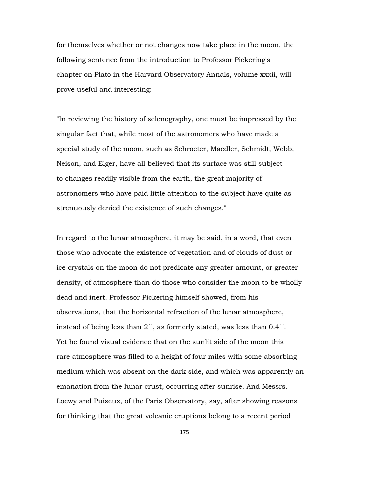for themselves whether or not changes now take place in the moon, the following sentence from the introduction to Professor Pickering's chapter on Plato in the Harvard Observatory Annals, volume xxxii, will prove useful and interesting:

"In reviewing the history of selenography, one must be impressed by the singular fact that, while most of the astronomers who have made a special study of the moon, such as Schroeter, Maedler, Schmidt, Webb, Neison, and Elger, have all believed that its surface was still subject to changes readily visible from the earth, the great majority of astronomers who have paid little attention to the subject have quite as strenuously denied the existence of such changes."

In regard to the lunar atmosphere, it may be said, in a word, that even those who advocate the existence of vegetation and of clouds of dust or ice crystals on the moon do not predicate any greater amount, or greater density, of atmosphere than do those who consider the moon to be wholly dead and inert. Professor Pickering himself showed, from his observations, that the horizontal refraction of the lunar atmosphere, instead of being less than  $2^{\prime\prime}$ , as formerly stated, was less than 0.4 $\cdot\cdot$ . Yet he found visual evidence that on the sunlit side of the moon this rare atmosphere was filled to a height of four miles with some absorbing medium which was absent on the dark side, and which was apparently an emanation from the lunar crust, occurring after sunrise. And Messrs. Loewy and Puiseux, of the Paris Observatory, say, after showing reasons for thinking that the great volcanic eruptions belong to a recent period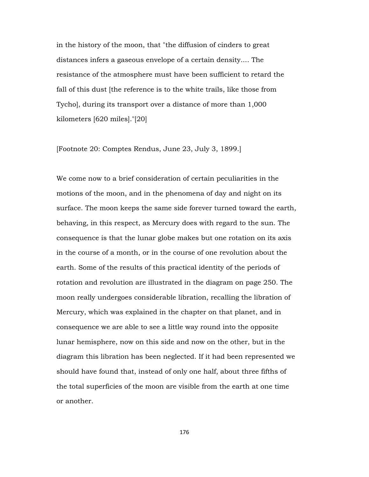in the history of the moon, that "the diffusion of cinders to great distances infers a gaseous envelope of a certain density.... The resistance of the atmosphere must have been sufficient to retard the fall of this dust [the reference is to the white trails, like those from Tycho], during its transport over a distance of more than 1,000 kilometers [620 miles]."[20]

[Footnote 20: Comptes Rendus, June 23, July 3, 1899.]

We come now to a brief consideration of certain peculiarities in the motions of the moon, and in the phenomena of day and night on its surface. The moon keeps the same side forever turned toward the earth, behaving, in this respect, as Mercury does with regard to the sun. The consequence is that the lunar globe makes but one rotation on its axis in the course of a month, or in the course of one revolution about the earth. Some of the results of this practical identity of the periods of rotation and revolution are illustrated in the diagram on page 250. The moon really undergoes considerable libration, recalling the libration of Mercury, which was explained in the chapter on that planet, and in consequence we are able to see a little way round into the opposite lunar hemisphere, now on this side and now on the other, but in the diagram this libration has been neglected. If it had been represented we should have found that, instead of only one half, about three fifths of the total superficies of the moon are visible from the earth at one time or another.

176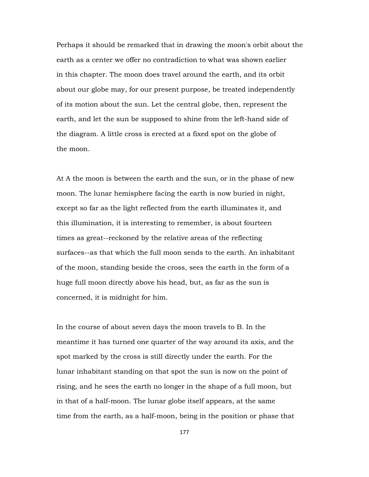Perhaps it should be remarked that in drawing the moon's orbit about the earth as a center we offer no contradiction to what was shown earlier in this chapter. The moon does travel around the earth, and its orbit about our globe may, for our present purpose, be treated independently of its motion about the sun. Let the central globe, then, represent the earth, and let the sun be supposed to shine from the left-hand side of the diagram. A little cross is erected at a fixed spot on the globe of the moon.

At A the moon is between the earth and the sun, or in the phase of new moon. The lunar hemisphere facing the earth is now buried in night, except so far as the light reflected from the earth illuminates it, and this illumination, it is interesting to remember, is about fourteen times as great--reckoned by the relative areas of the reflecting surfaces--as that which the full moon sends to the earth. An inhabitant of the moon, standing beside the cross, sees the earth in the form of a huge full moon directly above his head, but, as far as the sun is concerned, it is midnight for him.

In the course of about seven days the moon travels to B. In the meantime it has turned one quarter of the way around its axis, and the spot marked by the cross is still directly under the earth. For the lunar inhabitant standing on that spot the sun is now on the point of rising, and he sees the earth no longer in the shape of a full moon, but in that of a half-moon. The lunar globe itself appears, at the same time from the earth, as a half-moon, being in the position or phase that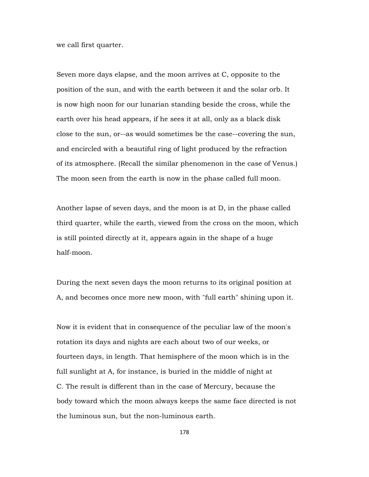we call first quarter.

Seven more days elapse, and the moon arrives at C, opposite to the position of the sun, and with the earth between it and the solar orb. It is now high noon for our lunarian standing beside the cross, while the earth over his head appears, if he sees it at all, only as a black disk close to the sun, or--as would sometimes be the case--covering the sun, and encircled with a beautiful ring of light produced by the refraction of its atmosphere. (Recall the similar phenomenon in the case of Venus.) The moon seen from the earth is now in the phase called full moon.

Another lapse of seven days, and the moon is at D, in the phase called third quarter, while the earth, viewed from the cross on the moon, which is still pointed directly at it, appears again in the shape of a huge half-moon.

During the next seven days the moon returns to its original position at A, and becomes once more new moon, with "full earth" shining upon it.

Now it is evident that in consequence of the peculiar law of the moon's rotation its days and nights are each about two of our weeks, or fourteen days, in length. That hemisphere of the moon which is in the full sunlight at A, for instance, is buried in the middle of night at C. The result is different than in the case of Mercury, because the body toward which the moon always keeps the same face directed is not the luminous sun, but the non-luminous earth.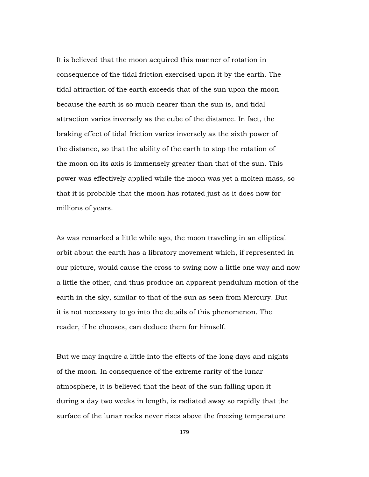It is believed that the moon acquired this manner of rotation in consequence of the tidal friction exercised upon it by the earth. The tidal attraction of the earth exceeds that of the sun upon the moon because the earth is so much nearer than the sun is, and tidal attraction varies inversely as the cube of the distance. In fact, the braking effect of tidal friction varies inversely as the sixth power of the distance, so that the ability of the earth to stop the rotation of the moon on its axis is immensely greater than that of the sun. This power was effectively applied while the moon was yet a molten mass, so that it is probable that the moon has rotated just as it does now for millions of years.

As was remarked a little while ago, the moon traveling in an elliptical orbit about the earth has a libratory movement which, if represented in our picture, would cause the cross to swing now a little one way and now a little the other, and thus produce an apparent pendulum motion of the earth in the sky, similar to that of the sun as seen from Mercury. But it is not necessary to go into the details of this phenomenon. The reader, if he chooses, can deduce them for himself.

But we may inquire a little into the effects of the long days and nights of the moon. In consequence of the extreme rarity of the lunar atmosphere, it is believed that the heat of the sun falling upon it during a day two weeks in length, is radiated away so rapidly that the surface of the lunar rocks never rises above the freezing temperature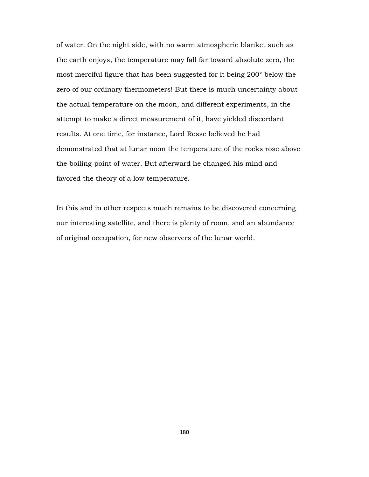of water. On the night side, with no warm atmospheric blanket such as the earth enjoys, the temperature may fall far toward absolute zero, the most merciful figure that has been suggested for it being 200° below the zero of our ordinary thermometers! But there is much uncertainty about the actual temperature on the moon, and different experiments, in the attempt to make a direct measurement of it, have yielded discordant results. At one time, for instance, Lord Rosse believed he had demonstrated that at lunar noon the temperature of the rocks rose above the boiling-point of water. But afterward he changed his mind and favored the theory of a low temperature.

In this and in other respects much remains to be discovered concerning our interesting satellite, and there is plenty of room, and an abundance of original occupation, for new observers of the lunar world.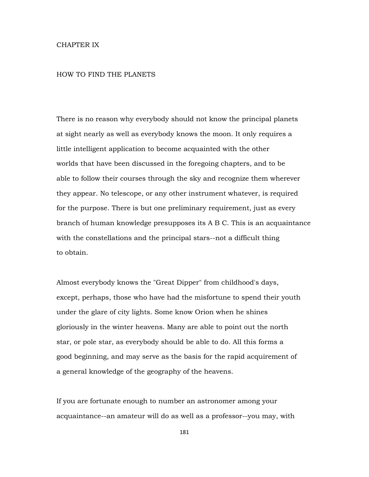## CHAPTER IX

## HOW TO FIND THE PLANETS

There is no reason why everybody should not know the principal planets at sight nearly as well as everybody knows the moon. It only requires a little intelligent application to become acquainted with the other worlds that have been discussed in the foregoing chapters, and to be able to follow their courses through the sky and recognize them wherever they appear. No telescope, or any other instrument whatever, is required for the purpose. There is but one preliminary requirement, just as every branch of human knowledge presupposes its A B C. This is an acquaintance with the constellations and the principal stars--not a difficult thing to obtain.

Almost everybody knows the "Great Dipper" from childhood's days, except, perhaps, those who have had the misfortune to spend their youth under the glare of city lights. Some know Orion when he shines gloriously in the winter heavens. Many are able to point out the north star, or pole star, as everybody should be able to do. All this forms a good beginning, and may serve as the basis for the rapid acquirement of a general knowledge of the geography of the heavens.

If you are fortunate enough to number an astronomer among your acquaintance--an amateur will do as well as a professor--you may, with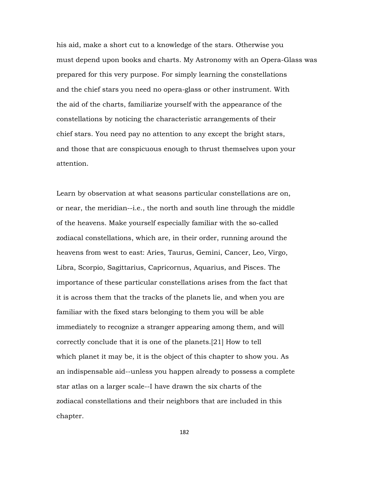his aid, make a short cut to a knowledge of the stars. Otherwise you must depend upon books and charts. My Astronomy with an Opera-Glass was prepared for this very purpose. For simply learning the constellations and the chief stars you need no opera-glass or other instrument. With the aid of the charts, familiarize yourself with the appearance of the constellations by noticing the characteristic arrangements of their chief stars. You need pay no attention to any except the bright stars, and those that are conspicuous enough to thrust themselves upon your attention.

Learn by observation at what seasons particular constellations are on, or near, the meridian--i.e., the north and south line through the middle of the heavens. Make yourself especially familiar with the so-called zodiacal constellations, which are, in their order, running around the heavens from west to east: Aries, Taurus, Gemini, Cancer, Leo, Virgo, Libra, Scorpio, Sagittarius, Capricornus, Aquarius, and Pisces. The importance of these particular constellations arises from the fact that it is across them that the tracks of the planets lie, and when you are familiar with the fixed stars belonging to them you will be able immediately to recognize a stranger appearing among them, and will correctly conclude that it is one of the planets.[21] How to tell which planet it may be, it is the object of this chapter to show you. As an indispensable aid--unless you happen already to possess a complete star atlas on a larger scale--I have drawn the six charts of the zodiacal constellations and their neighbors that are included in this chapter.

182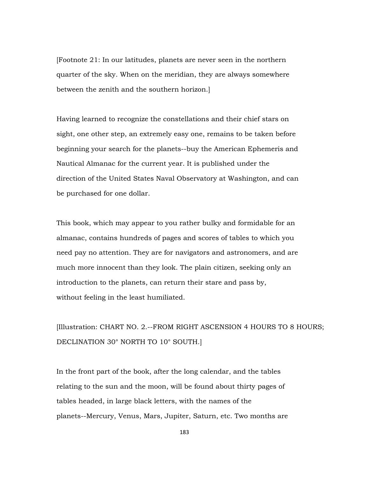[Footnote 21: In our latitudes, planets are never seen in the northern quarter of the sky. When on the meridian, they are always somewhere between the zenith and the southern horizon.]

Having learned to recognize the constellations and their chief stars on sight, one other step, an extremely easy one, remains to be taken before beginning your search for the planets--buy the American Ephemeris and Nautical Almanac for the current year. It is published under the direction of the United States Naval Observatory at Washington, and can be purchased for one dollar.

This book, which may appear to you rather bulky and formidable for an almanac, contains hundreds of pages and scores of tables to which you need pay no attention. They are for navigators and astronomers, and are much more innocent than they look. The plain citizen, seeking only an introduction to the planets, can return their stare and pass by, without feeling in the least humiliated.

[Illustration: CHART NO. 2.--FROM RIGHT ASCENSION 4 HOURS TO 8 HOURS; DECLINATION 30° NORTH TO 10° SOUTH.]

In the front part of the book, after the long calendar, and the tables relating to the sun and the moon, will be found about thirty pages of tables headed, in large black letters, with the names of the planets--Mercury, Venus, Mars, Jupiter, Saturn, etc. Two months are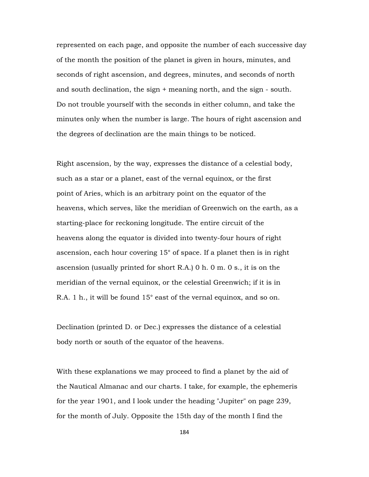represented on each page, and opposite the number of each successive day of the month the position of the planet is given in hours, minutes, and seconds of right ascension, and degrees, minutes, and seconds of north and south declination, the sign + meaning north, and the sign - south. Do not trouble yourself with the seconds in either column, and take the minutes only when the number is large. The hours of right ascension and the degrees of declination are the main things to be noticed.

Right ascension, by the way, expresses the distance of a celestial body, such as a star or a planet, east of the vernal equinox, or the first point of Aries, which is an arbitrary point on the equator of the heavens, which serves, like the meridian of Greenwich on the earth, as a starting-place for reckoning longitude. The entire circuit of the heavens along the equator is divided into twenty-four hours of right ascension, each hour covering 15° of space. If a planet then is in right ascension (usually printed for short R.A.) 0 h. 0 m. 0 s., it is on the meridian of the vernal equinox, or the celestial Greenwich; if it is in R.A. 1 h., it will be found 15° east of the vernal equinox, and so on.

Declination (printed D. or Dec.) expresses the distance of a celestial body north or south of the equator of the heavens.

With these explanations we may proceed to find a planet by the aid of the Nautical Almanac and our charts. I take, for example, the ephemeris for the year 1901, and I look under the heading "Jupiter" on page 239, for the month of July. Opposite the 15th day of the month I find the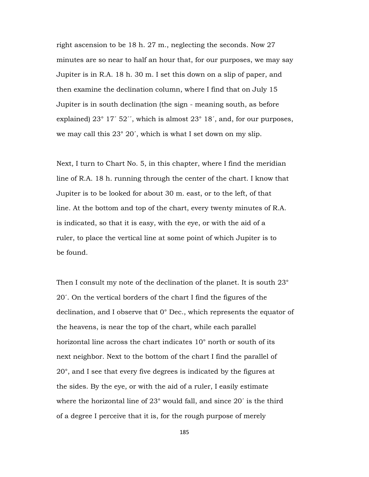right ascension to be 18 h. 27 m., neglecting the seconds. Now 27 minutes are so near to half an hour that, for our purposes, we may say Jupiter is in R.A. 18 h. 30 m. I set this down on a slip of paper, and then examine the declination column, where I find that on July 15 Jupiter is in south declination (the sign - meaning south, as before explained)  $23^{\circ}$  17´ 52´´, which is almost  $23^{\circ}$  18´, and, for our purposes, we may call this 23° 20´, which is what I set down on my slip.

Next, I turn to Chart No. 5, in this chapter, where I find the meridian line of R.A. 18 h. running through the center of the chart. I know that Jupiter is to be looked for about 30 m. east, or to the left, of that line. At the bottom and top of the chart, every twenty minutes of R.A. is indicated, so that it is easy, with the eye, or with the aid of a ruler, to place the vertical line at some point of which Jupiter is to be found.

Then I consult my note of the declination of the planet. It is south 23° 20´. On the vertical borders of the chart I find the figures of the declination, and I observe that 0° Dec., which represents the equator of the heavens, is near the top of the chart, while each parallel horizontal line across the chart indicates 10° north or south of its next neighbor. Next to the bottom of the chart I find the parallel of 20°, and I see that every five degrees is indicated by the figures at the sides. By the eye, or with the aid of a ruler, I easily estimate where the horizontal line of 23° would fall, and since 20´ is the third of a degree I perceive that it is, for the rough purpose of merely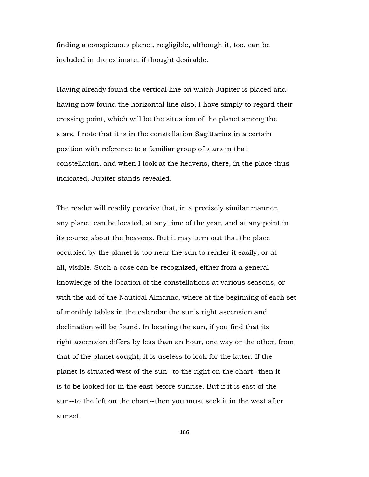finding a conspicuous planet, negligible, although it, too, can be included in the estimate, if thought desirable.

Having already found the vertical line on which Jupiter is placed and having now found the horizontal line also, I have simply to regard their crossing point, which will be the situation of the planet among the stars. I note that it is in the constellation Sagittarius in a certain position with reference to a familiar group of stars in that constellation, and when I look at the heavens, there, in the place thus indicated, Jupiter stands revealed.

The reader will readily perceive that, in a precisely similar manner, any planet can be located, at any time of the year, and at any point in its course about the heavens. But it may turn out that the place occupied by the planet is too near the sun to render it easily, or at all, visible. Such a case can be recognized, either from a general knowledge of the location of the constellations at various seasons, or with the aid of the Nautical Almanac, where at the beginning of each set of monthly tables in the calendar the sun's right ascension and declination will be found. In locating the sun, if you find that its right ascension differs by less than an hour, one way or the other, from that of the planet sought, it is useless to look for the latter. If the planet is situated west of the sun--to the right on the chart--then it is to be looked for in the east before sunrise. But if it is east of the sun--to the left on the chart--then you must seek it in the west after sunset.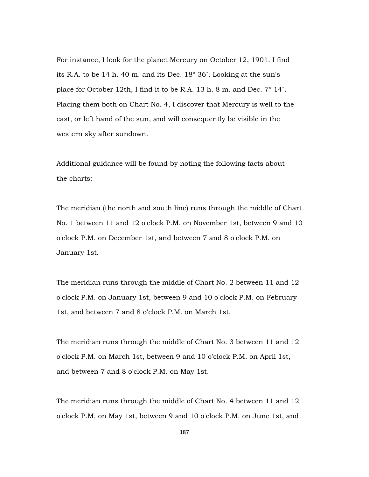For instance, I look for the planet Mercury on October 12, 1901. I find its R.A. to be 14 h. 40 m. and its Dec. 18° 36´. Looking at the sun's place for October 12th, I find it to be R.A. 13 h. 8 m. and Dec. 7° 14´. Placing them both on Chart No. 4, I discover that Mercury is well to the east, or left hand of the sun, and will consequently be visible in the western sky after sundown.

Additional guidance will be found by noting the following facts about the charts:

The meridian (the north and south line) runs through the middle of Chart No. 1 between 11 and 12 o'clock P.M. on November 1st, between 9 and 10 o'clock P.M. on December 1st, and between 7 and 8 o'clock P.M. on January 1st.

The meridian runs through the middle of Chart No. 2 between 11 and 12 o'clock P.M. on January 1st, between 9 and 10 o'clock P.M. on February 1st, and between 7 and 8 o'clock P.M. on March 1st.

The meridian runs through the middle of Chart No. 3 between 11 and 12 o'clock P.M. on March 1st, between 9 and 10 o'clock P.M. on April 1st, and between 7 and 8 o'clock P.M. on May 1st.

The meridian runs through the middle of Chart No. 4 between 11 and 12 o'clock P.M. on May 1st, between 9 and 10 o'clock P.M. on June 1st, and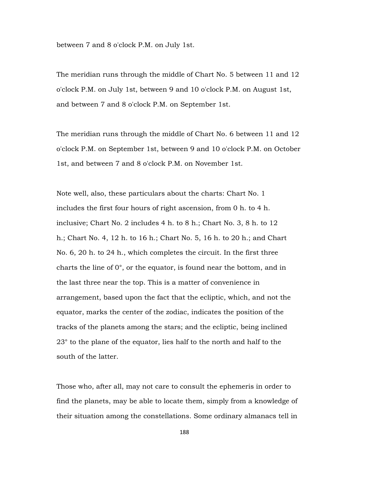between 7 and 8 o'clock P.M. on July 1st.

The meridian runs through the middle of Chart No. 5 between 11 and 12 o'clock P.M. on July 1st, between 9 and 10 o'clock P.M. on August 1st, and between 7 and 8 o'clock P.M. on September 1st.

The meridian runs through the middle of Chart No. 6 between 11 and 12 o'clock P.M. on September 1st, between 9 and 10 o'clock P.M. on October 1st, and between 7 and 8 o'clock P.M. on November 1st.

Note well, also, these particulars about the charts: Chart No. 1 includes the first four hours of right ascension, from 0 h. to 4 h. inclusive; Chart No. 2 includes 4 h. to 8 h.; Chart No. 3, 8 h. to 12 h.; Chart No. 4, 12 h. to 16 h.; Chart No. 5, 16 h. to 20 h.; and Chart No. 6, 20 h. to 24 h., which completes the circuit. In the first three charts the line of 0°, or the equator, is found near the bottom, and in the last three near the top. This is a matter of convenience in arrangement, based upon the fact that the ecliptic, which, and not the equator, marks the center of the zodiac, indicates the position of the tracks of the planets among the stars; and the ecliptic, being inclined 23° to the plane of the equator, lies half to the north and half to the south of the latter.

Those who, after all, may not care to consult the ephemeris in order to find the planets, may be able to locate them, simply from a knowledge of their situation among the constellations. Some ordinary almanacs tell in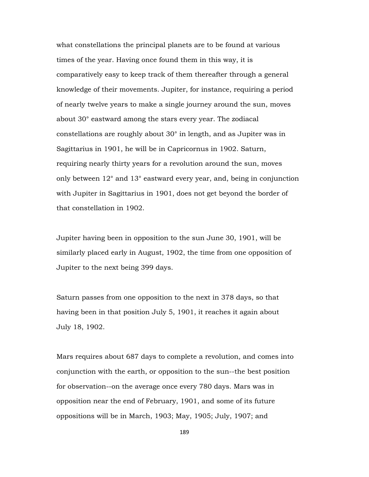what constellations the principal planets are to be found at various times of the year. Having once found them in this way, it is comparatively easy to keep track of them thereafter through a general knowledge of their movements. Jupiter, for instance, requiring a period of nearly twelve years to make a single journey around the sun, moves about 30° eastward among the stars every year. The zodiacal constellations are roughly about 30° in length, and as Jupiter was in Sagittarius in 1901, he will be in Capricornus in 1902. Saturn, requiring nearly thirty years for a revolution around the sun, moves only between 12° and 13° eastward every year, and, being in conjunction with Jupiter in Sagittarius in 1901, does not get beyond the border of that constellation in 1902.

Jupiter having been in opposition to the sun June 30, 1901, will be similarly placed early in August, 1902, the time from one opposition of Jupiter to the next being 399 days.

Saturn passes from one opposition to the next in 378 days, so that having been in that position July 5, 1901, it reaches it again about July 18, 1902.

Mars requires about 687 days to complete a revolution, and comes into conjunction with the earth, or opposition to the sun--the best position for observation--on the average once every 780 days. Mars was in opposition near the end of February, 1901, and some of its future oppositions will be in March, 1903; May, 1905; July, 1907; and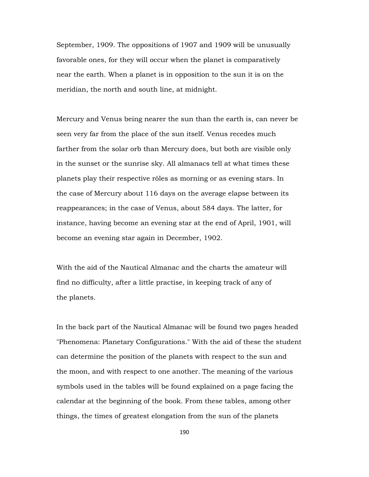September, 1909. The oppositions of 1907 and 1909 will be unusually favorable ones, for they will occur when the planet is comparatively near the earth. When a planet is in opposition to the sun it is on the meridian, the north and south line, at midnight.

Mercury and Venus being nearer the sun than the earth is, can never be seen very far from the place of the sun itself. Venus recedes much farther from the solar orb than Mercury does, but both are visible only in the sunset or the sunrise sky. All almanacs tell at what times these planets play their respective rôles as morning or as evening stars. In the case of Mercury about 116 days on the average elapse between its reappearances; in the case of Venus, about 584 days. The latter, for instance, having become an evening star at the end of April, 1901, will become an evening star again in December, 1902.

With the aid of the Nautical Almanac and the charts the amateur will find no difficulty, after a little practise, in keeping track of any of the planets.

In the back part of the Nautical Almanac will be found two pages headed "Phenomena: Planetary Configurations." With the aid of these the student can determine the position of the planets with respect to the sun and the moon, and with respect to one another. The meaning of the various symbols used in the tables will be found explained on a page facing the calendar at the beginning of the book. From these tables, among other things, the times of greatest elongation from the sun of the planets